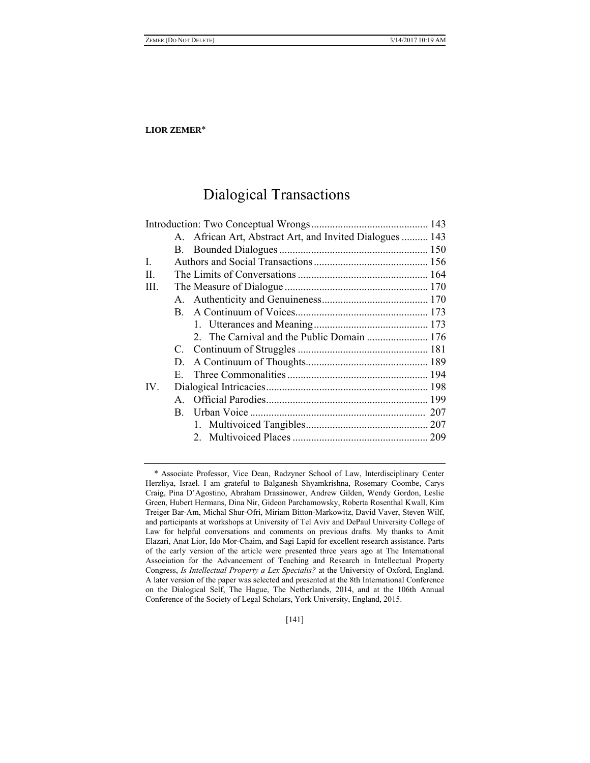# Dialogical Transactions

|              |    | A. African Art, Abstract Art, and Invited Dialogues  143 |  |
|--------------|----|----------------------------------------------------------|--|
|              |    |                                                          |  |
| $\mathbf{I}$ |    |                                                          |  |
| $\Pi$ .      |    |                                                          |  |
| III.         |    |                                                          |  |
|              |    |                                                          |  |
|              |    |                                                          |  |
|              |    |                                                          |  |
|              |    |                                                          |  |
|              |    |                                                          |  |
|              | D. |                                                          |  |
|              |    |                                                          |  |
| $IV_{-}$     |    |                                                          |  |
|              |    |                                                          |  |
|              |    |                                                          |  |
|              |    |                                                          |  |
|              |    |                                                          |  |
|              |    |                                                          |  |

[141]

Associate Professor, Vice Dean, Radzyner School of Law, Interdisciplinary Center Herzliya, Israel. I am grateful to Balganesh Shyamkrishna, Rosemary Coombe, Carys Craig, Pina D'Agostino, Abraham Drassinower, Andrew Gilden, Wendy Gordon, Leslie Green, Hubert Hermans, Dina Nir, Gideon Parchamowsky, Roberta Rosenthal Kwall, Kim Treiger Bar-Am, Michal Shur-Ofri, Miriam Bitton-Markowitz, David Vaver, Steven Wilf, and participants at workshops at University of Tel Aviv and DePaul University College of Law for helpful conversations and comments on previous drafts. My thanks to Amit Elazari, Anat Lior, Ido Mor-Chaim, and Sagi Lapid for excellent research assistance. Parts of the early version of the article were presented three years ago at The International Association for the Advancement of Teaching and Research in Intellectual Property Congress, *Is Intellectual Property a Lex Specialis?* at the University of Oxford, England. A later version of the paper was selected and presented at the 8th International Conference on the Dialogical Self, The Hague, The Netherlands, 2014, and at the 106th Annual Conference of the Society of Legal Scholars, York University, England, 2015.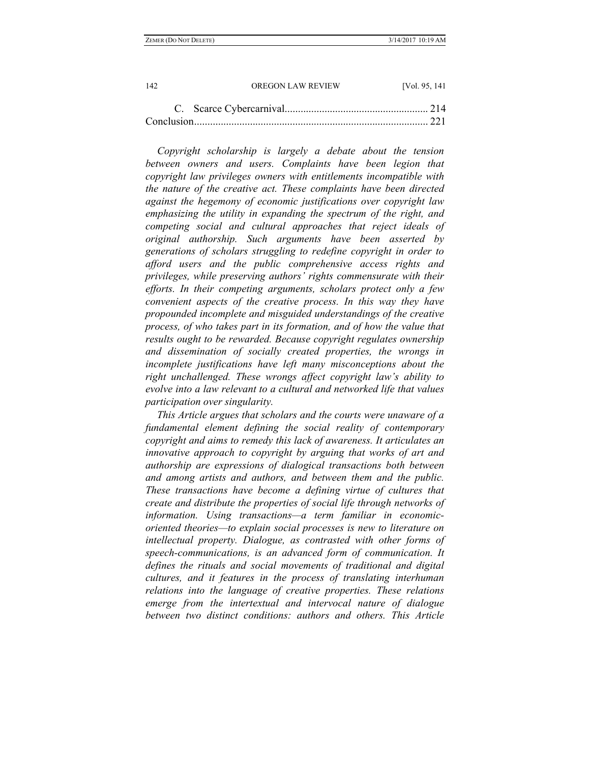*Copyright scholarship is largely a debate about the tension between owners and users. Complaints have been legion that copyright law privileges owners with entitlements incompatible with the nature of the creative act. These complaints have been directed against the hegemony of economic justifications over copyright law emphasizing the utility in expanding the spectrum of the right, and competing social and cultural approaches that reject ideals of original authorship. Such arguments have been asserted by generations of scholars struggling to redefine copyright in order to afford users and the public comprehensive access rights and privileges, while preserving authors' rights commensurate with their efforts. In their competing arguments, scholars protect only a few convenient aspects of the creative process. In this way they have propounded incomplete and misguided understandings of the creative process, of who takes part in its formation, and of how the value that results ought to be rewarded. Because copyright regulates ownership and dissemination of socially created properties, the wrongs in incomplete justifications have left many misconceptions about the right unchallenged. These wrongs affect copyright law's ability to evolve into a law relevant to a cultural and networked life that values participation over singularity.*

*This Article argues that scholars and the courts were unaware of a fundamental element defining the social reality of contemporary copyright and aims to remedy this lack of awareness. It articulates an innovative approach to copyright by arguing that works of art and authorship are expressions of dialogical transactions both between and among artists and authors, and between them and the public. These transactions have become a defining virtue of cultures that create and distribute the properties of social life through networks of information. Using transactions—a term familiar in economicoriented theories—to explain social processes is new to literature on intellectual property. Dialogue, as contrasted with other forms of speech-communications, is an advanced form of communication. It defines the rituals and social movements of traditional and digital cultures, and it features in the process of translating interhuman relations into the language of creative properties. These relations emerge from the intertextual and intervocal nature of dialogue between two distinct conditions: authors and others. This Article*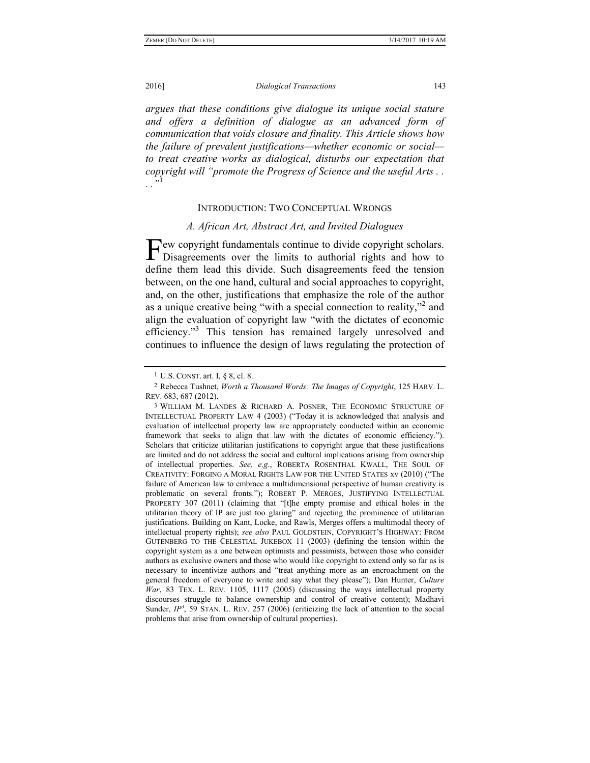*argues that these conditions give dialogue its unique social stature and offers a definition of dialogue as an advanced form of communication that voids closure and finality. This Article shows how the failure of prevalent justifications—whether economic or social to treat creative works as dialogical, disturbs our expectation that copyright will "promote the Progress of Science and the useful Arts . . . ."*<sup>1</sup>

### INTRODUCTION: TWO CONCEPTUAL WRONGS

# *A. African Art, Abstract Art, and Invited Dialogues*

ew copyright fundamentals continue to divide copyright scholars. Few copyright fundamentals continue to divide copyright scholars.<br>Disagreements over the limits to authorial rights and how to define them lead this divide. Such disagreements feed the tension between, on the one hand, cultural and social approaches to copyright, and, on the other, justifications that emphasize the role of the author as a unique creative being "with a special connection to reality,"<sup>2</sup> and align the evaluation of copyright law "with the dictates of economic efficiency."<sup>3</sup> This tension has remained largely unresolved and continues to influence the design of laws regulating the protection of

<sup>1</sup> U.S. CONST. art. I, § 8, cl. 8.

<sup>2</sup> Rebecca Tushnet, *Worth a Thousand Words: The Images of Copyright*, 125 HARV. L. REV. 683, 687 (2012).

<sup>3</sup> WILLIAM M. LANDES & RICHARD A. POSNER, THE ECONOMIC STRUCTURE OF INTELLECTUAL PROPERTY LAW 4 (2003) ("Today it is acknowledged that analysis and evaluation of intellectual property law are appropriately conducted within an economic framework that seeks to align that law with the dictates of economic efficiency."). Scholars that criticize utilitarian justifications to copyright argue that these justifications are limited and do not address the social and cultural implications arising from ownership of intellectual properties. *See, e.g.*, ROBERTA ROSENTHAL KWALL, THE SOUL OF CREATIVITY: FORGING A MORAL RIGHTS LAW FOR THE UNITED STATES xv (2010) ("The failure of American law to embrace a multidimensional perspective of human creativity is problematic on several fronts."); ROBERT P. MERGES, JUSTIFYING INTELLECTUAL PROPERTY 307 (2011) (claiming that "[t]he empty promise and ethical holes in the utilitarian theory of IP are just too glaring" and rejecting the prominence of utilitarian justifications. Building on Kant, Locke, and Rawls, Merges offers a multimodal theory of intellectual property rights); *see also* PAUL GOLDSTEIN, COPYRIGHT'S HIGHWAY: FROM GUTENBERG TO THE CELESTIAL JUKEBOX 11 (2003) (defining the tension within the copyright system as a one between optimists and pessimists, between those who consider authors as exclusive owners and those who would like copyright to extend only so far as is necessary to incentivize authors and "treat anything more as an encroachment on the general freedom of everyone to write and say what they please"); Dan Hunter, *Culture War*, 83 TEX. L. REV. 1105, 1117 (2005) (discussing the ways intellectual property discourses struggle to balance ownership and control of creative content); Madhavi Sunder,  $IP^3$ , 59 STAN. L. REV. 257 (2006) (criticizing the lack of attention to the social problems that arise from ownership of cultural properties).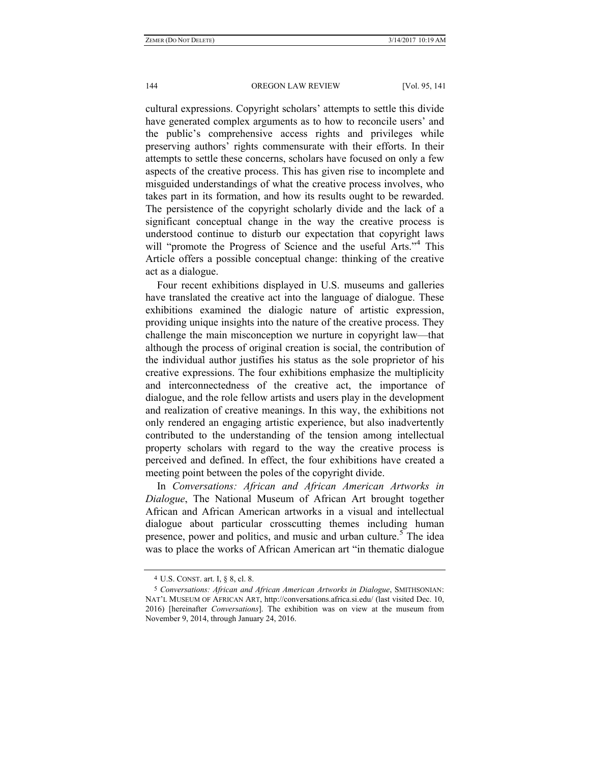cultural expressions. Copyright scholars' attempts to settle this divide have generated complex arguments as to how to reconcile users' and the public's comprehensive access rights and privileges while preserving authors' rights commensurate with their efforts. In their attempts to settle these concerns, scholars have focused on only a few aspects of the creative process. This has given rise to incomplete and misguided understandings of what the creative process involves, who takes part in its formation, and how its results ought to be rewarded. The persistence of the copyright scholarly divide and the lack of a significant conceptual change in the way the creative process is understood continue to disturb our expectation that copyright laws will "promote the Progress of Science and the useful Arts."<sup>4</sup> This Article offers a possible conceptual change: thinking of the creative act as a dialogue.

Four recent exhibitions displayed in U.S. museums and galleries have translated the creative act into the language of dialogue. These exhibitions examined the dialogic nature of artistic expression, providing unique insights into the nature of the creative process. They challenge the main misconception we nurture in copyright law—that although the process of original creation is social, the contribution of the individual author justifies his status as the sole proprietor of his creative expressions. The four exhibitions emphasize the multiplicity and interconnectedness of the creative act, the importance of dialogue, and the role fellow artists and users play in the development and realization of creative meanings. In this way, the exhibitions not only rendered an engaging artistic experience, but also inadvertently contributed to the understanding of the tension among intellectual property scholars with regard to the way the creative process is perceived and defined. In effect, the four exhibitions have created a meeting point between the poles of the copyright divide.

In *Conversations: African and African American Artworks in Dialogue*, The National Museum of African Art brought together African and African American artworks in a visual and intellectual dialogue about particular crosscutting themes including human presence, power and politics, and music and urban culture.<sup>5</sup> The idea was to place the works of African American art "in thematic dialogue

<sup>4</sup> U.S. CONST. art. I, § 8, cl. 8.

<sup>5</sup> *Conversations: African and African American Artworks in Dialogue*, SMITHSONIAN: NAT'L MUSEUM OF AFRICAN ART, http://conversations.africa.si.edu/ (last visited Dec. 10, 2016) [hereinafter *Conversations*]. The exhibition was on view at the museum from November 9, 2014, through January 24, 2016.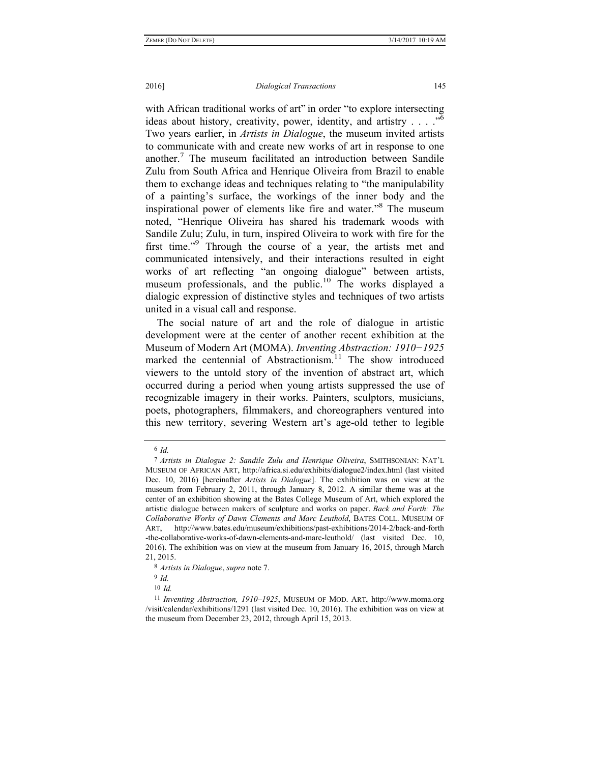### 2016] *Dialogical Transactions* 145

with African traditional works of art" in order "to explore intersecting ideas about history, creativity, power, identity, and artistry  $\ldots$  ...<sup>56</sup> Two years earlier, in *Artists in Dialogue*, the museum invited artists to communicate with and create new works of art in response to one another.<sup>7</sup> The museum facilitated an introduction between Sandile Zulu from South Africa and Henrique Oliveira from Brazil to enable them to exchange ideas and techniques relating to "the manipulability of a painting's surface, the workings of the inner body and the inspirational power of elements like fire and water."8 The museum noted, "Henrique Oliveira has shared his trademark woods with Sandile Zulu; Zulu, in turn, inspired Oliveira to work with fire for the first time."<sup>9</sup> Through the course of a year, the artists met and communicated intensively, and their interactions resulted in eight works of art reflecting "an ongoing dialogue" between artists, museum professionals, and the public.<sup>10</sup> The works displayed a dialogic expression of distinctive styles and techniques of two artists united in a visual call and response.

The social nature of art and the role of dialogue in artistic development were at the center of another recent exhibition at the Museum of Modern Art (MOMA). *Inventing Abstraction: 1910−1925* marked the centennial of Abstractionism.<sup>11</sup> The show introduced viewers to the untold story of the invention of abstract art, which occurred during a period when young artists suppressed the use of recognizable imagery in their works. Painters, sculptors, musicians, poets, photographers, filmmakers, and choreographers ventured into this new territory, severing Western art's age-old tether to legible

<sup>6</sup> *Id.*

<sup>7</sup> *Artists in Dialogue 2: Sandile Zulu and Henrique Oliveira*, SMITHSONIAN: NAT'L MUSEUM OF AFRICAN ART, http://africa.si.edu/exhibits/dialogue2/index.html (last visited Dec. 10, 2016) [hereinafter *Artists in Dialogue*]. The exhibition was on view at the museum from February 2, 2011, through January 8, 2012. A similar theme was at the center of an exhibition showing at the Bates College Museum of Art, which explored the artistic dialogue between makers of sculpture and works on paper. *Back and Forth: The Collaborative Works of Dawn Clements and Marc Leuthold*, BATES COLL. MUSEUM OF ART, http://www.bates.edu/museum/exhibitions/past-exhibitions/2014-2/back-and-forth -the-collaborative-works-of-dawn-clements-and-marc-leuthold/ (last visited Dec. 10, 2016). The exhibition was on view at the museum from January 16, 2015, through March 21, 2015.

<sup>8</sup> *Artists in Dialogue*, *supra* note 7.

<sup>9</sup> *Id.* 

<sup>10</sup> *Id.*

<sup>11</sup> *Inventing Abstraction, 1910–1925*, MUSEUM OF MOD. ART, http://www.moma.org /visit/calendar/exhibitions/1291 (last visited Dec. 10, 2016). The exhibition was on view at the museum from December 23, 2012, through April 15, 2013.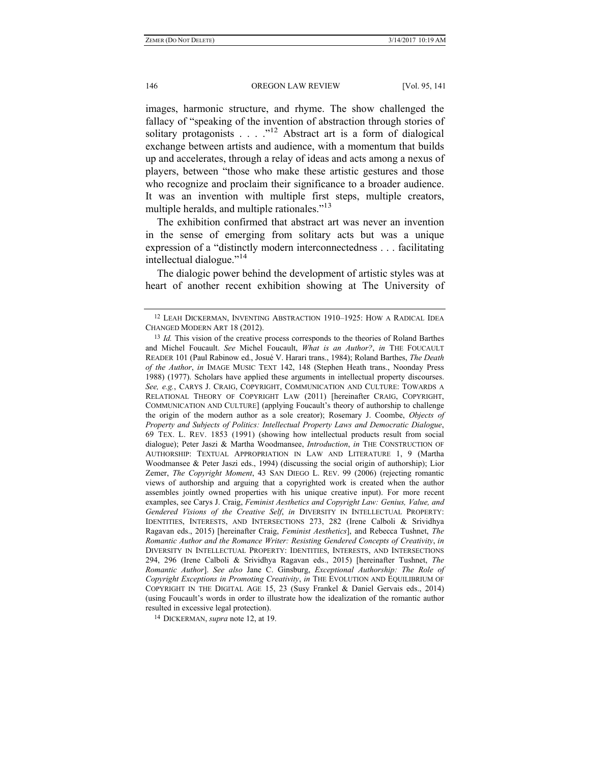images, harmonic structure, and rhyme. The show challenged the fallacy of "speaking of the invention of abstraction through stories of solitary protagonists . . . . "<sup>12</sup> Abstract art is a form of dialogical exchange between artists and audience, with a momentum that builds up and accelerates, through a relay of ideas and acts among a nexus of players, between "those who make these artistic gestures and those who recognize and proclaim their significance to a broader audience. It was an invention with multiple first steps, multiple creators, multiple heralds, and multiple rationales."<sup>13</sup>

The exhibition confirmed that abstract art was never an invention in the sense of emerging from solitary acts but was a unique expression of a "distinctly modern interconnectedness . . . facilitating intellectual dialogue."14

The dialogic power behind the development of artistic styles was at heart of another recent exhibition showing at The University of

14 DICKERMAN, *supra* note 12, at 19.

<sup>12</sup> LEAH DICKERMAN, INVENTING ABSTRACTION 1910–1925: HOW A RADICAL IDEA CHANGED MODERN ART 18 (2012).

<sup>13</sup> *Id.* This vision of the creative process corresponds to the theories of Roland Barthes and Michel Foucault. *See* Michel Foucault, *What is an Author?*, *in* THE FOUCAULT READER 101 (Paul Rabinow ed., Josué V. Harari trans., 1984); Roland Barthes, *The Death of the Author*, *in* IMAGE MUSIC TEXT 142, 148 (Stephen Heath trans., Noonday Press 1988) (1977). Scholars have applied these arguments in intellectual property discourses. *See, e.g.*, CARYS J. CRAIG, COPYRIGHT, COMMUNICATION AND CULTURE: TOWARDS A RELATIONAL THEORY OF COPYRIGHT LAW (2011) [hereinafter CRAIG, COPYRIGHT, COMMUNICATION AND CULTURE] (applying Foucault's theory of authorship to challenge the origin of the modern author as a sole creator); Rosemary J. Coombe, *Objects of Property and Subjects of Politics: Intellectual Property Laws and Democratic Dialogue*, 69 TEX. L. REV. 1853 (1991) (showing how intellectual products result from social dialogue); Peter Jaszi & Martha Woodmansee, *Introduction*, *in* THE CONSTRUCTION OF AUTHORSHIP: TEXTUAL APPROPRIATION IN LAW AND LITERATURE 1, 9 (Martha Woodmansee & Peter Jaszi eds., 1994) (discussing the social origin of authorship); Lior Zemer, *The Copyright Moment*, 43 SAN DIEGO L. REV. 99 (2006) (rejecting romantic views of authorship and arguing that a copyrighted work is created when the author assembles jointly owned properties with his unique creative input). For more recent examples, see Carys J. Craig, *Feminist Aesthetics and Copyright Law: Genius, Value, and Gendered Visions of the Creative Self*, *in* DIVERSITY IN INTELLECTUAL PROPERTY: IDENTITIES, INTERESTS, AND INTERSECTIONS 273, 282 (Irene Calboli & Srividhya Ragavan eds., 2015) [hereinafter Craig, *Feminist Aesthetics*], and Rebecca Tushnet, *The Romantic Author and the Romance Writer: Resisting Gendered Concepts of Creativity*, *in* DIVERSITY IN INTELLECTUAL PROPERTY: IDENTITIES, INTERESTS, AND INTERSECTIONS 294, 296 (Irene Calboli & Srividhya Ragavan eds., 2015) [hereinafter Tushnet, *The Romantic Author*]. *See also* Jane C. Ginsburg, *Exceptional Authorship: The Role of Copyright Exceptions in Promoting Creativity*, *in* THE EVOLUTION AND EQUILIBRIUM OF COPYRIGHT IN THE DIGITAL AGE 15, 23 (Susy Frankel & Daniel Gervais eds., 2014) (using Foucault's words in order to illustrate how the idealization of the romantic author resulted in excessive legal protection).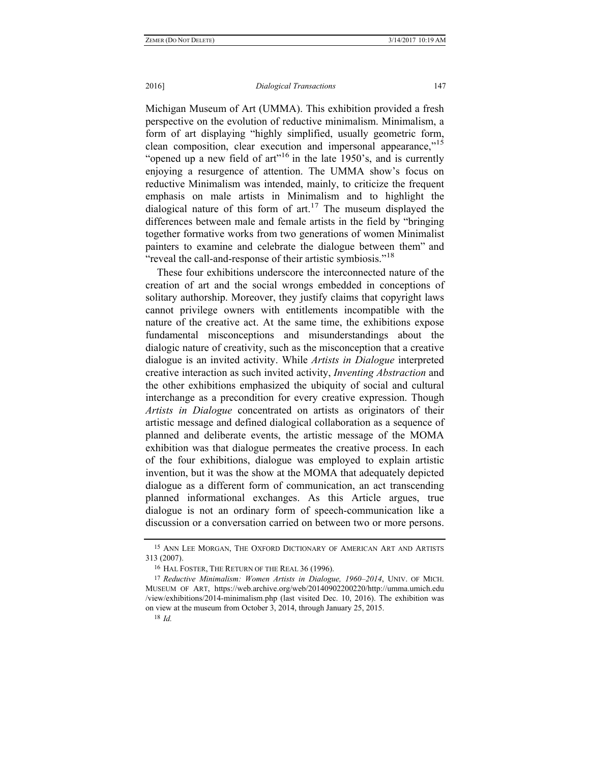### 2016] *Dialogical Transactions* 147

Michigan Museum of Art (UMMA). This exhibition provided a fresh perspective on the evolution of reductive minimalism. Minimalism, a form of art displaying "highly simplified, usually geometric form, clean composition, clear execution and impersonal appearance,"15 "opened up a new field of  $art$ <sup> $16$ </sup> in the late 1950's, and is currently enjoying a resurgence of attention. The UMMA show's focus on reductive Minimalism was intended, mainly, to criticize the frequent emphasis on male artists in Minimalism and to highlight the dialogical nature of this form of  $art<sup>17</sup>$ . The museum displayed the differences between male and female artists in the field by "bringing together formative works from two generations of women Minimalist painters to examine and celebrate the dialogue between them" and "reveal the call-and-response of their artistic symbiosis."<sup>18</sup>

These four exhibitions underscore the interconnected nature of the creation of art and the social wrongs embedded in conceptions of solitary authorship. Moreover, they justify claims that copyright laws cannot privilege owners with entitlements incompatible with the nature of the creative act. At the same time, the exhibitions expose fundamental misconceptions and misunderstandings about the dialogic nature of creativity, such as the misconception that a creative dialogue is an invited activity. While *Artists in Dialogue* interpreted creative interaction as such invited activity, *Inventing Abstraction* and the other exhibitions emphasized the ubiquity of social and cultural interchange as a precondition for every creative expression. Though *Artists in Dialogue* concentrated on artists as originators of their artistic message and defined dialogical collaboration as a sequence of planned and deliberate events, the artistic message of the MOMA exhibition was that dialogue permeates the creative process. In each of the four exhibitions, dialogue was employed to explain artistic invention, but it was the show at the MOMA that adequately depicted dialogue as a different form of communication, an act transcending planned informational exchanges. As this Article argues, true dialogue is not an ordinary form of speech-communication like a discussion or a conversation carried on between two or more persons.

<sup>15</sup> ANN LEE MORGAN, THE OXFORD DICTIONARY OF AMERICAN ART AND ARTISTS 313 (2007).

<sup>16</sup> HAL FOSTER, THE RETURN OF THE REAL 36 (1996).

<sup>17</sup> *Reductive Minimalism: Women Artists in Dialogue, 1960–2014*, UNIV. OF MICH. MUSEUM OF ART, https://web.archive.org/web/20140902200220/http://umma.umich.edu /view/exhibitions/2014-minimalism.php (last visited Dec. 10, 2016). The exhibition was on view at the museum from October 3, 2014, through January 25, 2015.

<sup>18</sup> *Id.*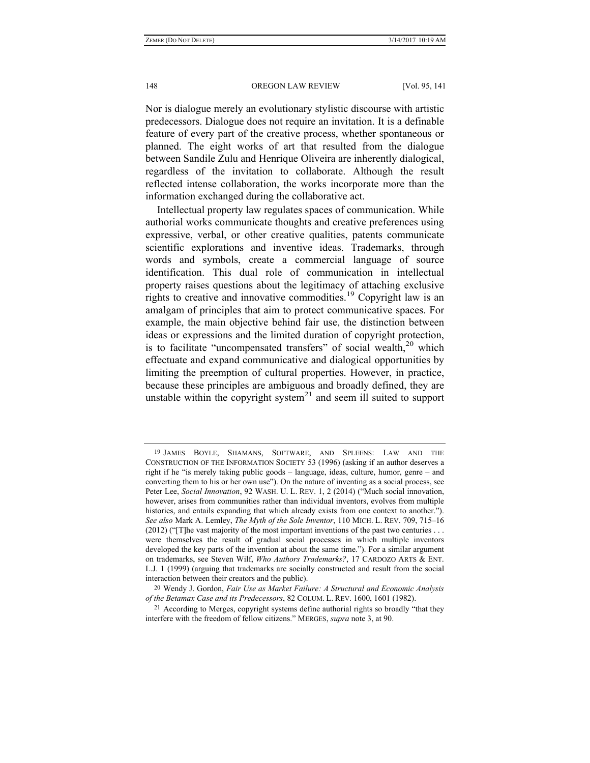Nor is dialogue merely an evolutionary stylistic discourse with artistic predecessors. Dialogue does not require an invitation. It is a definable feature of every part of the creative process, whether spontaneous or planned. The eight works of art that resulted from the dialogue between Sandile Zulu and Henrique Oliveira are inherently dialogical, regardless of the invitation to collaborate. Although the result reflected intense collaboration, the works incorporate more than the information exchanged during the collaborative act.

Intellectual property law regulates spaces of communication. While authorial works communicate thoughts and creative preferences using expressive, verbal, or other creative qualities, patents communicate scientific explorations and inventive ideas. Trademarks, through words and symbols, create a commercial language of source identification. This dual role of communication in intellectual property raises questions about the legitimacy of attaching exclusive rights to creative and innovative commodities.<sup>19</sup> Copyright law is an amalgam of principles that aim to protect communicative spaces. For example, the main objective behind fair use, the distinction between ideas or expressions and the limited duration of copyright protection, is to facilitate "uncompensated transfers" of social wealth, $2^{\circ}$  which effectuate and expand communicative and dialogical opportunities by limiting the preemption of cultural properties. However, in practice, because these principles are ambiguous and broadly defined, they are unstable within the copyright system $^{21}$  and seem ill suited to support

<sup>19</sup> JAMES BOYLE, SHAMANS, SOFTWARE, AND SPLEENS: LAW AND THE CONSTRUCTION OF THE INFORMATION SOCIETY 53 (1996) (asking if an author deserves a right if he "is merely taking public goods – language, ideas, culture, humor, genre – and converting them to his or her own use"). On the nature of inventing as a social process, see Peter Lee, *Social Innovation*, 92 WASH. U. L. REV. 1, 2 (2014) ("Much social innovation, however, arises from communities rather than individual inventors, evolves from multiple histories, and entails expanding that which already exists from one context to another."). *See also* Mark A. Lemley, *The Myth of the Sole Inventor*, 110 MICH. L. REV. 709, 715–16  $(2012)$  ("[T]he vast majority of the most important inventions of the past two centuries ... were themselves the result of gradual social processes in which multiple inventors developed the key parts of the invention at about the same time."). For a similar argument on trademarks, see Steven Wilf, *Who Authors Trademarks?*, 17 CARDOZO ARTS & ENT. L.J. 1 (1999) (arguing that trademarks are socially constructed and result from the social interaction between their creators and the public).

<sup>20</sup> Wendy J. Gordon, *Fair Use as Market Failure: A Structural and Economic Analysis of the Betamax Case and its Predecessors*, 82 COLUM. L. REV. 1600, 1601 (1982).

<sup>21</sup> According to Merges, copyright systems define authorial rights so broadly "that they interfere with the freedom of fellow citizens." MERGES, *supra* note 3, at 90.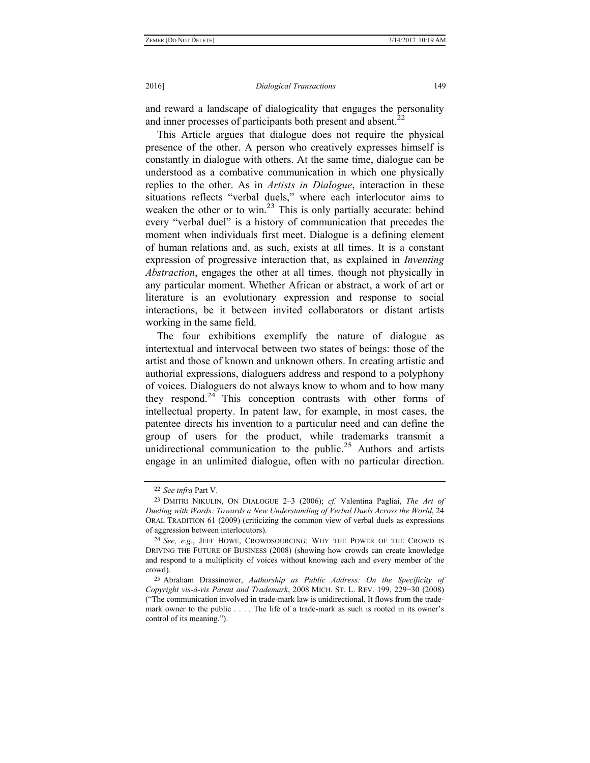and reward a landscape of dialogicality that engages the personality and inner processes of participants both present and absent.<sup>22</sup>

This Article argues that dialogue does not require the physical presence of the other. A person who creatively expresses himself is constantly in dialogue with others. At the same time, dialogue can be understood as a combative communication in which one physically replies to the other. As in *Artists in Dialogue*, interaction in these situations reflects "verbal duels," where each interlocutor aims to weaken the other or to win.<sup>23</sup> This is only partially accurate: behind every "verbal duel" is a history of communication that precedes the moment when individuals first meet. Dialogue is a defining element of human relations and, as such, exists at all times. It is a constant expression of progressive interaction that, as explained in *Inventing Abstraction*, engages the other at all times, though not physically in any particular moment. Whether African or abstract, a work of art or literature is an evolutionary expression and response to social interactions, be it between invited collaborators or distant artists working in the same field.

The four exhibitions exemplify the nature of dialogue as intertextual and intervocal between two states of beings: those of the artist and those of known and unknown others. In creating artistic and authorial expressions, dialoguers address and respond to a polyphony of voices. Dialoguers do not always know to whom and to how many they respond. $24$  This conception contrasts with other forms of intellectual property. In patent law, for example, in most cases, the patentee directs his invention to a particular need and can define the group of users for the product, while trademarks transmit a unidirectional communication to the public.<sup>25</sup> Authors and artists engage in an unlimited dialogue, often with no particular direction.

<sup>22</sup> *See infra* Part V.

<sup>23</sup> DMITRI NIKULIN, ON DIALOGUE 2–3 (2006); *cf.* Valentina Pagliai, *The Art of Dueling with Words: Towards a New Understanding of Verbal Duels Across the World*, 24 ORAL TRADITION 61 (2009) (criticizing the common view of verbal duels as expressions of aggression between interlocutors).

<sup>24</sup> *See, e.g.*, JEFF HOWE, CROWDSOURCING: WHY THE POWER OF THE CROWD IS DRIVING THE FUTURE OF BUSINESS (2008) (showing how crowds can create knowledge and respond to a multiplicity of voices without knowing each and every member of the crowd).

<sup>25</sup> Abraham Drassinower, *Authorship as Public Address: On the Specificity of Copyright vis-à-vis Patent and Trademark*, 2008 MICH. ST. L. REV. 199, 229−30 (2008) ("The communication involved in trade-mark law is unidirectional. It flows from the trademark owner to the public . . . . The life of a trade-mark as such is rooted in its owner's control of its meaning.").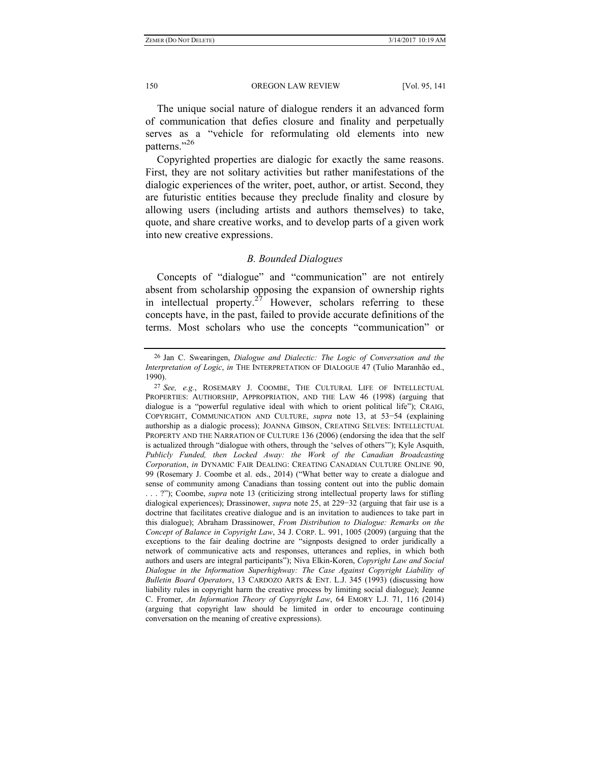The unique social nature of dialogue renders it an advanced form of communication that defies closure and finality and perpetually serves as a "vehicle for reformulating old elements into new patterns."26

Copyrighted properties are dialogic for exactly the same reasons. First, they are not solitary activities but rather manifestations of the dialogic experiences of the writer, poet, author, or artist. Second, they are futuristic entities because they preclude finality and closure by allowing users (including artists and authors themselves) to take, quote, and share creative works, and to develop parts of a given work into new creative expressions.

# *B. Bounded Dialogues*

Concepts of "dialogue" and "communication" are not entirely absent from scholarship opposing the expansion of ownership rights in intellectual property.<sup>27</sup> However, scholars referring to these concepts have, in the past, failed to provide accurate definitions of the terms. Most scholars who use the concepts "communication" or

<sup>26</sup> Jan C. Swearingen, *Dialogue and Dialectic: The Logic of Conversation and the Interpretation of Logic*, *in* THE INTERPRETATION OF DIALOGUE 47 (Tulio Maranhão ed., 1990).

<sup>27</sup> *See, e.g.*, ROSEMARY J. COOMBE, THE CULTURAL LIFE OF INTELLECTUAL PROPERTIES: AUTHORSHIP, APPROPRIATION, AND THE LAW 46 (1998) (arguing that dialogue is a "powerful regulative ideal with which to orient political life"); CRAIG, COPYRIGHT, COMMUNICATION AND CULTURE, *supra* note 13, at 53−54 (explaining authorship as a dialogic process); JOANNA GIBSON, CREATING SELVES: INTELLECTUAL PROPERTY AND THE NARRATION OF CULTURE 136 (2006) (endorsing the idea that the self is actualized through "dialogue with others, through the 'selves of others'"); Kyle Asquith, *Publicly Funded, then Locked Away: the Work of the Canadian Broadcasting Corporation*, *in* DYNAMIC FAIR DEALING: CREATING CANADIAN CULTURE ONLINE 90, 99 (Rosemary J. Coombe et al. eds., 2014) ("What better way to create a dialogue and sense of community among Canadians than tossing content out into the public domain . . . ?"); Coombe, *supra* note 13 (criticizing strong intellectual property laws for stifling dialogical experiences); Drassinower, *supra* note 25, at 229−32 (arguing that fair use is a doctrine that facilitates creative dialogue and is an invitation to audiences to take part in this dialogue); Abraham Drassinower, *From Distribution to Dialogue: Remarks on the Concept of Balance in Copyright Law*, 34 J. CORP. L. 991, 1005 (2009) (arguing that the exceptions to the fair dealing doctrine are "signposts designed to order juridically a network of communicative acts and responses, utterances and replies, in which both authors and users are integral participants"); Niva Elkin-Koren, *Copyright Law and Social Dialogue in the Information Superhighway: The Case Against Copyright Liability of Bulletin Board Operators*, 13 CARDOZO ARTS & ENT. L.J. 345 (1993) (discussing how liability rules in copyright harm the creative process by limiting social dialogue); Jeanne C. Fromer, *An Information Theory of Copyright Law*, 64 EMORY L.J. 71, 116 (2014) (arguing that copyright law should be limited in order to encourage continuing conversation on the meaning of creative expressions).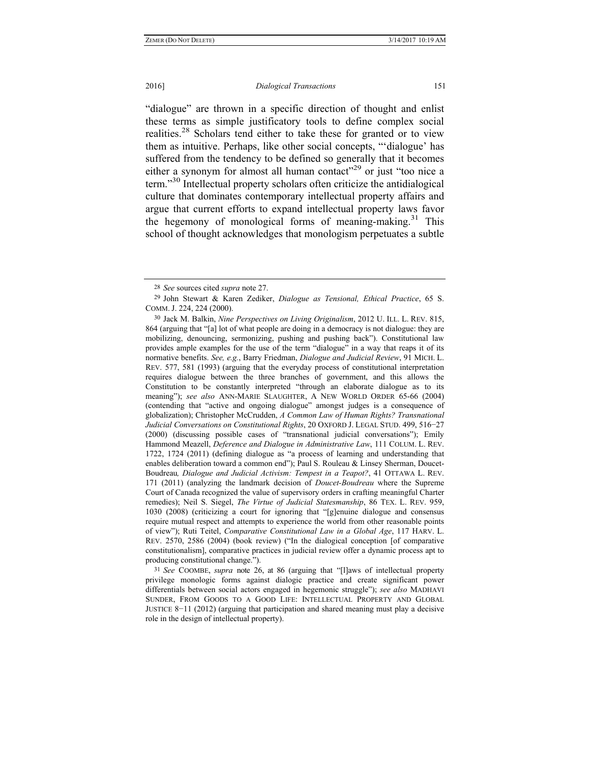"dialogue" are thrown in a specific direction of thought and enlist these terms as simple justificatory tools to define complex social realities.<sup>28</sup> Scholars tend either to take these for granted or to view them as intuitive. Perhaps, like other social concepts, "'dialogue' has suffered from the tendency to be defined so generally that it becomes either a synonym for almost all human contact<sup> $29$ </sup> or just "too nice a term."30 Intellectual property scholars often criticize the antidialogical culture that dominates contemporary intellectual property affairs and argue that current efforts to expand intellectual property laws favor the hegemony of monological forms of meaning-making.<sup>31</sup> This school of thought acknowledges that monologism perpetuates a subtle

31 *See* COOMBE, *supra* note 26, at 86 (arguing that "[l]aws of intellectual property privilege monologic forms against dialogic practice and create significant power differentials between social actors engaged in hegemonic struggle"); *see also* MADHAVI SUNDER, FROM GOODS TO A GOOD LIFE: INTELLECTUAL PROPERTY AND GLOBAL JUSTICE 8−11 (2012) (arguing that participation and shared meaning must play a decisive role in the design of intellectual property).

<sup>28</sup> *See* sources cited *supra* note 27.

<sup>29</sup> John Stewart & Karen Zediker, *Dialogue as Tensional, Ethical Practice*, 65 S. COMM. J. 224, 224 (2000).

<sup>30</sup> Jack M. Balkin, *Nine Perspectives on Living Originalism*, 2012 U. ILL. L. REV. 815, 864 (arguing that "[a] lot of what people are doing in a democracy is not dialogue: they are mobilizing, denouncing, sermonizing, pushing and pushing back"). Constitutional law provides ample examples for the use of the term "dialogue" in a way that reaps it of its normative benefits. *See, e.g.*, Barry Friedman, *Dialogue and Judicial Review*, 91 MICH. L. REV. 577, 581 (1993) (arguing that the everyday process of constitutional interpretation requires dialogue between the three branches of government, and this allows the Constitution to be constantly interpreted "through an elaborate dialogue as to its meaning"); *see also* ANN-MARIE SLAUGHTER, A NEW WORLD ORDER 65-66 (2004) (contending that "active and ongoing dialogue" amongst judges is a consequence of globalization); Christopher McCrudden, *A Common Law of Human Rights? Transnational Judicial Conversations on Constitutional Rights*, 20 OXFORD J. LEGAL STUD. 499, 516−27 (2000) (discussing possible cases of "transnational judicial conversations"); Emily Hammond Meazell, *Deference and Dialogue in Administrative Law*, 111 COLUM. L. REV. 1722, 1724 (2011) (defining dialogue as "a process of learning and understanding that enables deliberation toward a common end"); Paul S. Rouleau & Linsey Sherman, Doucet-Boudreau*, Dialogue and Judicial Activism: Tempest in a Teapot?*, 41 OTTAWA L. REV. 171 (2011) (analyzing the landmark decision of *Doucet-Boudreau* where the Supreme Court of Canada recognized the value of supervisory orders in crafting meaningful Charter remedies); Neil S. Siegel, *The Virtue of Judicial Statesmanship*, 86 TEX. L. REV. 959, 1030 (2008) (criticizing a court for ignoring that "[g]enuine dialogue and consensus require mutual respect and attempts to experience the world from other reasonable points of view"); Ruti Teitel, *Comparative Constitutional Law in a Global Age*, 117 HARV. L. REV. 2570, 2586 (2004) (book review) ("In the dialogical conception [of comparative constitutionalism], comparative practices in judicial review offer a dynamic process apt to producing constitutional change.").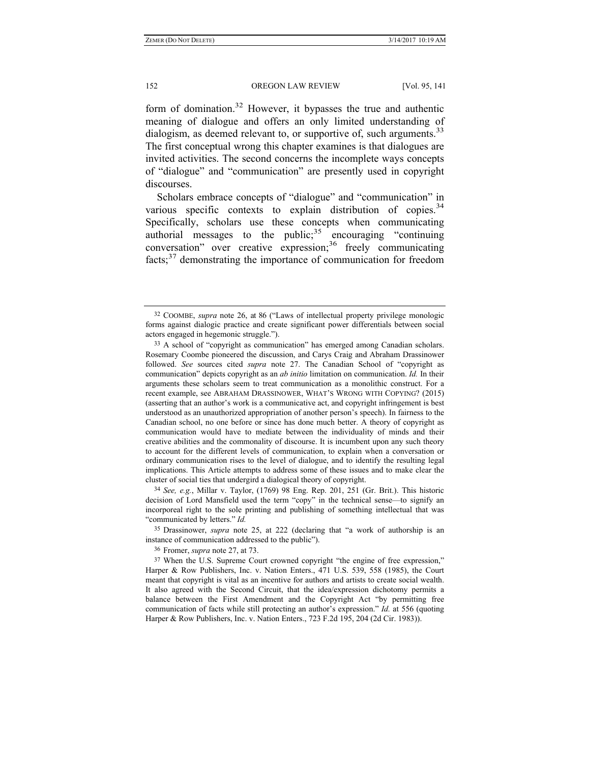form of domination.32 However, it bypasses the true and authentic meaning of dialogue and offers an only limited understanding of dialogism, as deemed relevant to, or supportive of, such arguments.<sup>33</sup> The first conceptual wrong this chapter examines is that dialogues are invited activities. The second concerns the incomplete ways concepts of "dialogue" and "communication" are presently used in copyright discourses.

Scholars embrace concepts of "dialogue" and "communication" in various specific contexts to explain distribution of copies. $34$ Specifically, scholars use these concepts when communicating authorial messages to the public; $35$  encouraging "continuing conversation" over creative expression;<sup>36</sup> freely communicating facts;37 demonstrating the importance of communication for freedom

34 *See, e.g.*, Millar v. Taylor, (1769) 98 Eng. Rep. 201, 251 (Gr. Brit.). This historic decision of Lord Mansfield used the term "copy" in the technical sense—to signify an incorporeal right to the sole printing and publishing of something intellectual that was "communicated by letters." *Id.*

35 Drassinower, *supra* note 25, at 222 (declaring that "a work of authorship is an instance of communication addressed to the public").

36 Fromer, *supra* note 27, at 73.

<sup>32</sup> COOMBE, *supra* note 26, at 86 ("Laws of intellectual property privilege monologic forms against dialogic practice and create significant power differentials between social actors engaged in hegemonic struggle.").

<sup>33</sup> A school of "copyright as communication" has emerged among Canadian scholars. Rosemary Coombe pioneered the discussion, and Carys Craig and Abraham Drassinower followed. *See* sources cited *supra* note 27. The Canadian School of "copyright as communication" depicts copyright as an *ab initio* limitation on communication. *Id.* In their arguments these scholars seem to treat communication as a monolithic construct. For a recent example, see ABRAHAM DRASSINOWER, WHAT'S WRONG WITH COPYING? (2015) (asserting that an author's work is a communicative act, and copyright infringement is best understood as an unauthorized appropriation of another person's speech). In fairness to the Canadian school, no one before or since has done much better. A theory of copyright as communication would have to mediate between the individuality of minds and their creative abilities and the commonality of discourse. It is incumbent upon any such theory to account for the different levels of communication, to explain when a conversation or ordinary communication rises to the level of dialogue, and to identify the resulting legal implications. This Article attempts to address some of these issues and to make clear the cluster of social ties that undergird a dialogical theory of copyright.

<sup>37</sup> When the U.S. Supreme Court crowned copyright "the engine of free expression," Harper & Row Publishers, Inc. v. Nation Enters., 471 U.S. 539, 558 (1985), the Court meant that copyright is vital as an incentive for authors and artists to create social wealth. It also agreed with the Second Circuit, that the idea/expression dichotomy permits a balance between the First Amendment and the Copyright Act "by permitting free communication of facts while still protecting an author's expression." *Id.* at 556 (quoting Harper & Row Publishers, Inc. v. Nation Enters., 723 F.2d 195, 204 (2d Cir. 1983)).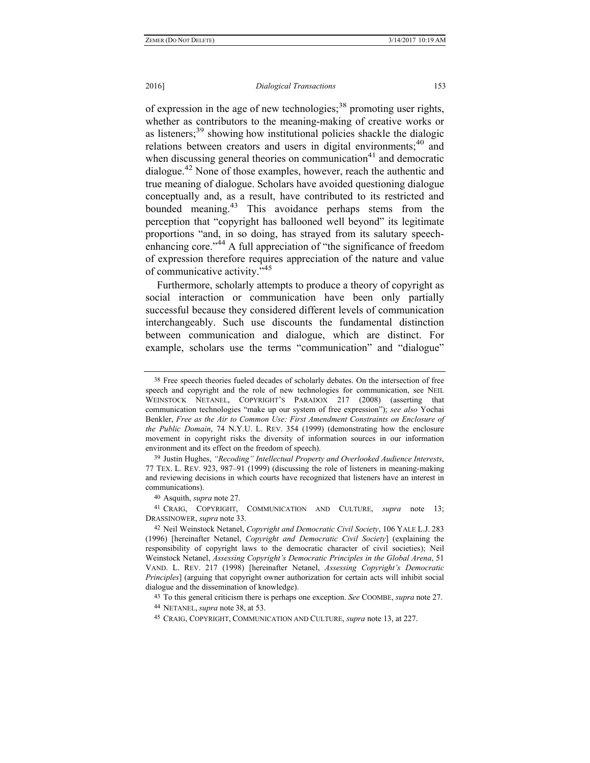of expression in the age of new technologies;<sup>38</sup> promoting user rights, whether as contributors to the meaning-making of creative works or as listeners;<sup>39</sup> showing how institutional policies shackle the dialogic relations between creators and users in digital environments:<sup>40</sup> and when discussing general theories on communication $41$  and democratic dialogue.<sup>42</sup> None of those examples, however, reach the authentic and true meaning of dialogue. Scholars have avoided questioning dialogue conceptually and, as a result, have contributed to its restricted and bounded meaning.43 This avoidance perhaps stems from the perception that "copyright has ballooned well beyond" its legitimate proportions "and, in so doing, has strayed from its salutary speechenhancing core."<sup>44</sup> A full appreciation of "the significance of freedom" of expression therefore requires appreciation of the nature and value of communicative activity."<sup>45</sup>

Furthermore, scholarly attempts to produce a theory of copyright as social interaction or communication have been only partially successful because they considered different levels of communication interchangeably. Such use discounts the fundamental distinction between communication and dialogue, which are distinct. For example, scholars use the terms "communication" and "dialogue"

<sup>38</sup> Free speech theories fueled decades of scholarly debates. On the intersection of free speech and copyright and the role of new technologies for communication, see NEIL WEINSTOCK NETANEL, COPYRIGHT'S PARADOX 217 (2008) (asserting that communication technologies "make up our system of free expression"); *see also* Yochai Benkler, *Free as the Air to Common Use: First Amendment Constraints on Enclosure of the Public Domain*, 74 N.Y.U. L. REV. 354 (1999) (demonstrating how the enclosure movement in copyright risks the diversity of information sources in our information environment and its effect on the freedom of speech).

<sup>39</sup> Justin Hughes, *"Recoding" Intellectual Property and Overlooked Audience Interests*, 77 TEX. L. REV. 923, 987–91 (1999) (discussing the role of listeners in meaning-making and reviewing decisions in which courts have recognized that listeners have an interest in communications).

<sup>40</sup> Asquith, *supra* note 27.

<sup>41</sup> CRAIG, COPYRIGHT, COMMUNICATION AND CULTURE, *supra* note 13; DRASSINOWER, *supra* note 33.

<sup>42</sup> Neil Weinstock Netanel, *Copyright and Democratic Civil Society*, 106 YALE L.J. 283 (1996) [hereinafter Netanel, *Copyright and Democratic Civil Society*] (explaining the responsibility of copyright laws to the democratic character of civil societies); Neil Weinstock Netanel, *Assessing Copyright's Democratic Principles in the Global Arena*, 51 VAND. L. REV. 217 (1998) [hereinafter Netanel, *Assessing Copyright's Democratic Principles*] (arguing that copyright owner authorization for certain acts will inhibit social dialogue and the dissemination of knowledge).

<sup>43</sup> To this general criticism there is perhaps one exception. *See* COOMBE, *supra* note 27.

<sup>44</sup> NETANEL, *supra* note 38, at 53.

<sup>45</sup> CRAIG, COPYRIGHT, COMMUNICATION AND CULTURE, *supra* note 13, at 227.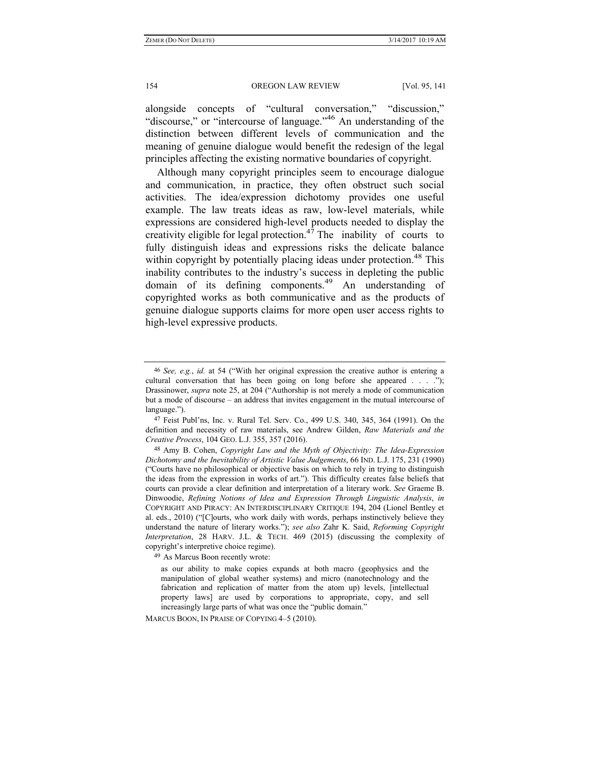alongside concepts of "cultural conversation," "discussion," "discourse," or "intercourse of language."<sup>46</sup> An understanding of the distinction between different levels of communication and the meaning of genuine dialogue would benefit the redesign of the legal principles affecting the existing normative boundaries of copyright.

Although many copyright principles seem to encourage dialogue and communication, in practice, they often obstruct such social activities. The idea/expression dichotomy provides one useful example. The law treats ideas as raw, low-level materials, while expressions are considered high-level products needed to display the creativity eligible for legal protection.<sup>47</sup> The inability of courts to fully distinguish ideas and expressions risks the delicate balance within copyright by potentially placing ideas under protection.<sup>48</sup> This inability contributes to the industry's success in depleting the public domain of its defining components.49 An understanding of copyrighted works as both communicative and as the products of genuine dialogue supports claims for more open user access rights to high-level expressive products.

49 As Marcus Boon recently wrote:

MARCUS BOON, IN PRAISE OF COPYING 4–5 (2010).

<sup>46</sup> *See, e.g.*, *id.* at 54 ("With her original expression the creative author is entering a cultural conversation that has been going on long before she appeared . . . ."); Drassinower, *supra* note 25, at 204 ("Authorship is not merely a mode of communication but a mode of discourse – an address that invites engagement in the mutual intercourse of language.").

<sup>47</sup> Feist Publ'ns, Inc. v. Rural Tel. Serv. Co., 499 U.S. 340, 345, 364 (1991). On the definition and necessity of raw materials, see Andrew Gilden, *Raw Materials and the Creative Process*, 104 GEO. L.J. 355, 357 (2016).

<sup>48</sup> Amy B. Cohen, *Copyright Law and the Myth of Objectivity: The Idea-Expression Dichotomy and the Inevitability of Artistic Value Judgements*, 66 IND. L.J. 175, 231 (1990) ("Courts have no philosophical or objective basis on which to rely in trying to distinguish the ideas from the expression in works of art."). This difficulty creates false beliefs that courts can provide a clear definition and interpretation of a literary work. *See* Graeme B. Dinwoodie, *Refining Notions of Idea and Expression Through Linguistic Analysis*, *in* COPYRIGHT AND PIRACY: AN INTERDISCIPLINARY CRITIQUE 194, 204 (Lionel Bentley et al. eds., 2010) ("[C]ourts, who work daily with words, perhaps instinctively believe they understand the nature of literary works."); *see also* Zahr K. Said, *Reforming Copyright Interpretation*, 28 HARV. J.L. & TECH. 469 (2015) (discussing the complexity of copyright's interpretive choice regime).

as our ability to make copies expands at both macro (geophysics and the manipulation of global weather systems) and micro (nanotechnology and the fabrication and replication of matter from the atom up) levels, [intellectual property laws] are used by corporations to appropriate, copy, and sell increasingly large parts of what was once the "public domain."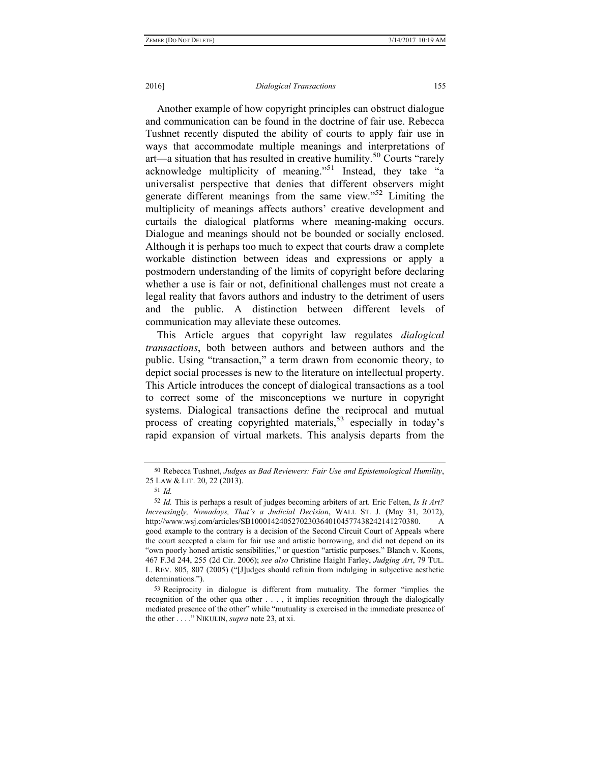### 2016] *Dialogical Transactions* 155

Another example of how copyright principles can obstruct dialogue and communication can be found in the doctrine of fair use. Rebecca Tushnet recently disputed the ability of courts to apply fair use in ways that accommodate multiple meanings and interpretations of art—a situation that has resulted in creative humility.<sup>50</sup> Courts "rarely" acknowledge multiplicity of meaning."<sup>51</sup> Instead, they take "a universalist perspective that denies that different observers might generate different meanings from the same view."52 Limiting the multiplicity of meanings affects authors' creative development and curtails the dialogical platforms where meaning-making occurs. Dialogue and meanings should not be bounded or socially enclosed. Although it is perhaps too much to expect that courts draw a complete workable distinction between ideas and expressions or apply a postmodern understanding of the limits of copyright before declaring whether a use is fair or not, definitional challenges must not create a legal reality that favors authors and industry to the detriment of users and the public. A distinction between different levels of communication may alleviate these outcomes.

This Article argues that copyright law regulates *dialogical transactions*, both between authors and between authors and the public. Using "transaction," a term drawn from economic theory, to depict social processes is new to the literature on intellectual property. This Article introduces the concept of dialogical transactions as a tool to correct some of the misconceptions we nurture in copyright systems. Dialogical transactions define the reciprocal and mutual process of creating copyrighted materials,<sup>53</sup> especially in today's rapid expansion of virtual markets. This analysis departs from the

<sup>50</sup> Rebecca Tushnet, *Judges as Bad Reviewers: Fair Use and Epistemological Humility*, 25 LAW & LIT. 20, 22 (2013).

<sup>51</sup> *Id.*

<sup>52</sup> *Id.* This is perhaps a result of judges becoming arbiters of art. Eric Felten, *Is It Art? Increasingly, Nowadays, That's a Judicial Decision*, WALL ST. J. (May 31, 2012), http://www.wsj.com/articles/SB10001424052702303640104577438242141270380. A good example to the contrary is a decision of the Second Circuit Court of Appeals where the court accepted a claim for fair use and artistic borrowing, and did not depend on its "own poorly honed artistic sensibilities," or question "artistic purposes." Blanch v. Koons, 467 F.3d 244, 255 (2d Cir. 2006); *see also* Christine Haight Farley, *Judging Art*, 79 TUL. L. REV. 805, 807 (2005) ("[J]udges should refrain from indulging in subjective aesthetic determinations.").

<sup>53</sup> Reciprocity in dialogue is different from mutuality. The former "implies the recognition of the other qua other . . . , it implies recognition through the dialogically mediated presence of the other" while "mutuality is exercised in the immediate presence of the other . . . ." NIKULIN, *supra* note 23, at xi.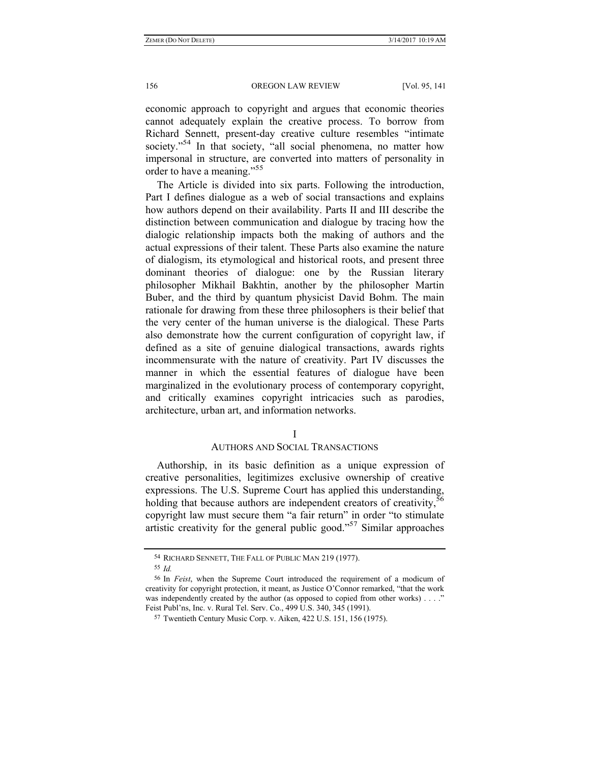economic approach to copyright and argues that economic theories cannot adequately explain the creative process. To borrow from Richard Sennett, present-day creative culture resembles "intimate society."<sup>54</sup> In that society, "all social phenomena, no matter how impersonal in structure, are converted into matters of personality in order to have a meaning."<sup>55</sup>

The Article is divided into six parts. Following the introduction, Part I defines dialogue as a web of social transactions and explains how authors depend on their availability. Parts II and III describe the distinction between communication and dialogue by tracing how the dialogic relationship impacts both the making of authors and the actual expressions of their talent. These Parts also examine the nature of dialogism, its etymological and historical roots, and present three dominant theories of dialogue: one by the Russian literary philosopher Mikhail Bakhtin, another by the philosopher Martin Buber, and the third by quantum physicist David Bohm. The main rationale for drawing from these three philosophers is their belief that the very center of the human universe is the dialogical. These Parts also demonstrate how the current configuration of copyright law, if defined as a site of genuine dialogical transactions, awards rights incommensurate with the nature of creativity. Part IV discusses the manner in which the essential features of dialogue have been marginalized in the evolutionary process of contemporary copyright, and critically examines copyright intricacies such as parodies, architecture, urban art, and information networks.

### I

# AUTHORS AND SOCIAL TRANSACTIONS

Authorship, in its basic definition as a unique expression of creative personalities, legitimizes exclusive ownership of creative expressions. The U.S. Supreme Court has applied this understanding, holding that because authors are independent creators of creativity,<sup>56</sup> copyright law must secure them "a fair return" in order "to stimulate artistic creativity for the general public good."57 Similar approaches

<sup>54</sup> RICHARD SENNETT, THE FALL OF PUBLIC MAN 219 (1977).

<sup>55</sup> *Id.*

<sup>56</sup> In *Feist*, when the Supreme Court introduced the requirement of a modicum of creativity for copyright protection, it meant, as Justice O'Connor remarked, "that the work was independently created by the author (as opposed to copied from other works)  $\dots$ ." Feist Publ'ns, Inc. v. Rural Tel. Serv. Co., 499 U.S. 340, 345 (1991).

<sup>57</sup> Twentieth Century Music Corp. v. Aiken, 422 U.S. 151, 156 (1975).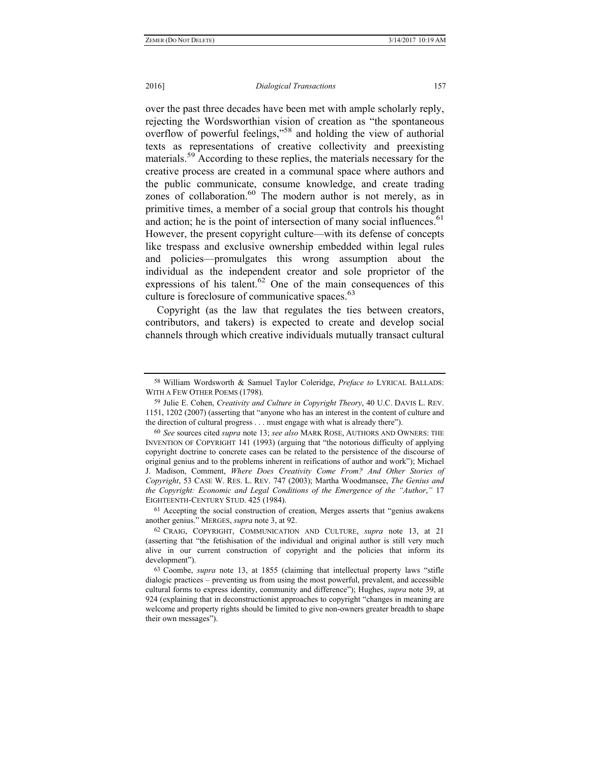over the past three decades have been met with ample scholarly reply, rejecting the Wordsworthian vision of creation as "the spontaneous overflow of powerful feelings,"58 and holding the view of authorial texts as representations of creative collectivity and preexisting materials.<sup>59</sup> According to these replies, the materials necessary for the creative process are created in a communal space where authors and the public communicate, consume knowledge, and create trading zones of collaboration.<sup>60</sup> The modern author is not merely, as in primitive times, a member of a social group that controls his thought and action; he is the point of intersection of many social influences.  $61$ However, the present copyright culture—with its defense of concepts like trespass and exclusive ownership embedded within legal rules and policies—promulgates this wrong assumption about the individual as the independent creator and sole proprietor of the expressions of his talent.<sup>62</sup> One of the main consequences of this culture is foreclosure of communicative spaces.<sup>63</sup>

Copyright (as the law that regulates the ties between creators, contributors, and takers) is expected to create and develop social channels through which creative individuals mutually transact cultural

61 Accepting the social construction of creation, Merges asserts that "genius awakens another genius." MERGES, *supra* note 3, at 92.

<sup>58</sup> William Wordsworth & Samuel Taylor Coleridge, *Preface to* LYRICAL BALLADS: WITH A FEW OTHER POEMS (1798).

<sup>59</sup> Julie E. Cohen, *Creativity and Culture in Copyright Theory*, 40 U.C. DAVIS L. REV. 1151, 1202 (2007) (asserting that "anyone who has an interest in the content of culture and the direction of cultural progress . . . must engage with what is already there").

<sup>60</sup> *See* sources cited *supra* note 13; *see also* MARK ROSE, AUTHORS AND OWNERS: THE INVENTION OF COPYRIGHT 141 (1993) (arguing that "the notorious difficulty of applying copyright doctrine to concrete cases can be related to the persistence of the discourse of original genius and to the problems inherent in reifications of author and work"); Michael J. Madison, Comment, *Where Does Creativity Come From? And Other Stories of Copyright*, 53 CASE W. RES. L. REV. 747 (2003); Martha Woodmansee, *The Genius and the Copyright: Economic and Legal Conditions of the Emergence of the "Author*,*"* 17 EIGHTEENTH-CENTURY STUD. 425 (1984).

<sup>62</sup> CRAIG, COPYRIGHT, COMMUNICATION AND CULTURE, *supra* note 13, at 21 (asserting that "the fetishisation of the individual and original author is still very much alive in our current construction of copyright and the policies that inform its development").

<sup>63</sup> Coombe, *supra* note 13, at 1855 (claiming that intellectual property laws "stifle dialogic practices – preventing us from using the most powerful, prevalent, and accessible cultural forms to express identity, community and difference"); Hughes, *supra* note 39, at 924 (explaining that in deconstructionist approaches to copyright "changes in meaning are welcome and property rights should be limited to give non-owners greater breadth to shape their own messages").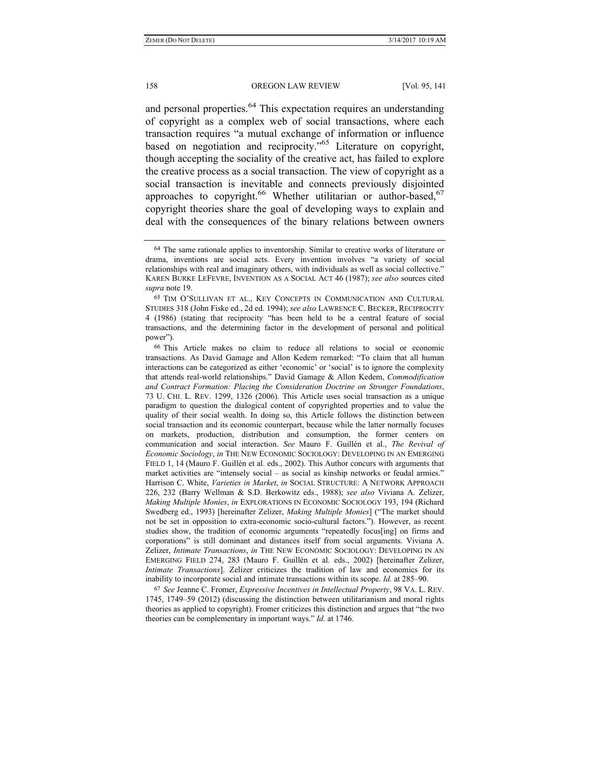and personal properties.<sup>64</sup> This expectation requires an understanding of copyright as a complex web of social transactions, where each transaction requires "a mutual exchange of information or influence based on negotiation and reciprocity.<sup>565</sup> Literature on copyright, though accepting the sociality of the creative act, has failed to explore the creative process as a social transaction. The view of copyright as a social transaction is inevitable and connects previously disjointed approaches to copyright.<sup>66</sup> Whether utilitarian or author-based,<sup>67</sup> copyright theories share the goal of developing ways to explain and deal with the consequences of the binary relations between owners

67 *See* Jeanne C. Fromer, *Expressive Incentives in Intellectual Property*, 98 VA. L. REV. 1745, 1749–59 (2012) (discussing the distinction between utilitarianism and moral rights theories as applied to copyright). Fromer criticizes this distinction and argues that "the two theories can be complementary in important ways." *Id.* at 1746.

<sup>64</sup> The same rationale applies to inventorship. Similar to creative works of literature or drama, inventions are social acts. Every invention involves "a variety of social relationships with real and imaginary others, with individuals as well as social collective." KAREN BURKE LEFEVRE, INVENTION AS A SOCIAL ACT 46 (1987); *see also* sources cited *supra* note 19.

<sup>65</sup> TIM O'SULLIVAN ET AL., KEY CONCEPTS IN COMMUNICATION AND CULTURAL STUDIES 318 (John Fiske ed., 2d ed. 1994); *see also* LAWRENCE C. BECKER, RECIPROCITY 4 (1986) (stating that reciprocity "has been held to be a central feature of social transactions, and the determining factor in the development of personal and political power").

<sup>66</sup> This Article makes no claim to reduce all relations to social or economic transactions. As David Gamage and Allon Kedem remarked: "To claim that all human interactions can be categorized as either 'economic' or 'social' is to ignore the complexity that attends real-world relationships." David Gamage & Allon Kedem, *Commodification and Contract Formation: Placing the Consideration Doctrine on Stronger Foundations*, 73 U. CHI. L. REV. 1299, 1326 (2006). This Article uses social transaction as a unique paradigm to question the dialogical content of copyrighted properties and to value the quality of their social wealth. In doing so, this Article follows the distinction between social transaction and its economic counterpart, because while the latter normally focuses on markets, production, distribution and consumption, the former centers on communication and social interaction. *See* Mauro F. Guillén et al., *The Revival of Economic Sociology*, *in* THE NEW ECONOMIC SOCIOLOGY: DEVELOPING IN AN EMERGING FIELD 1, 14 (Mauro F. Guillén et al. eds., 2002). This Author concurs with arguments that market activities are "intensely social – as social as kinship networks or feudal armies." Harrison C. White, *Varieties in Market*, *in* SOCIAL STRUCTURE: A NETWORK APPROACH 226, 232 (Barry Wellman & S.D. Berkowitz eds., 1988); *see also* Viviana A. Zelizer, *Making Multiple Monies*, *in* EXPLORATIONS IN ECONOMIC SOCIOLOGY 193, 194 (Richard Swedberg ed., 1993) [hereinafter Zelizer, *Making Multiple Monies*] ("The market should not be set in opposition to extra-economic socio-cultural factors."). However, as recent studies show, the tradition of economic arguments "repeatedly focus[ing] on firms and corporations" is still dominant and distances itself from social arguments. Viviana A. Zelizer, *Intimate Transactions*, *in* THE NEW ECONOMIC SOCIOLOGY: DEVELOPING IN AN EMERGING FIELD 274, 283 (Mauro F. Guillén et al. eds., 2002) [hereinafter Zelizer, *Intimate Transactions*]. Zelizer criticizes the tradition of law and economics for its inability to incorporate social and intimate transactions within its scope. *Id.* at 285–90.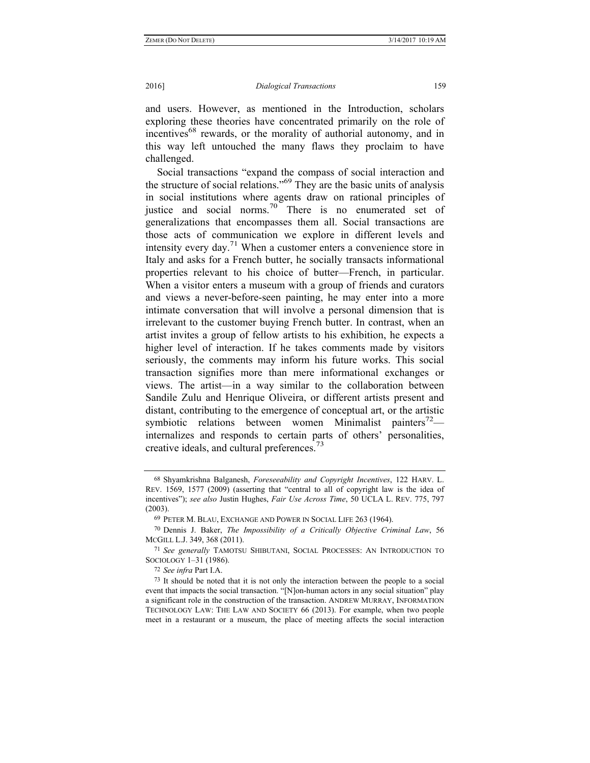and users. However, as mentioned in the Introduction, scholars exploring these theories have concentrated primarily on the role of incentives<sup>68</sup> rewards, or the morality of authorial autonomy, and in this way left untouched the many flaws they proclaim to have challenged.

Social transactions "expand the compass of social interaction and the structure of social relations."<sup>69</sup> They are the basic units of analysis in social institutions where agents draw on rational principles of justice and social norms.70 There is no enumerated set of generalizations that encompasses them all. Social transactions are those acts of communication we explore in different levels and intensity every day.<sup>71</sup> When a customer enters a convenience store in Italy and asks for a French butter, he socially transacts informational properties relevant to his choice of butter—French, in particular. When a visitor enters a museum with a group of friends and curators and views a never-before-seen painting, he may enter into a more intimate conversation that will involve a personal dimension that is irrelevant to the customer buying French butter. In contrast, when an artist invites a group of fellow artists to his exhibition, he expects a higher level of interaction. If he takes comments made by visitors seriously, the comments may inform his future works. This social transaction signifies more than mere informational exchanges or views. The artist—in a way similar to the collaboration between Sandile Zulu and Henrique Oliveira, or different artists present and distant, contributing to the emergence of conceptual art, or the artistic symbiotic relations between women Minimalist painters<sup>72</sup> internalizes and responds to certain parts of others' personalities, creative ideals, and cultural preferences.<sup>73</sup>

<sup>68</sup> Shyamkrishna Balganesh, *Foreseeability and Copyright Incentives*, 122 HARV. L. REV. 1569, 1577 (2009) (asserting that "central to all of copyright law is the idea of incentives"); *see also* Justin Hughes, *Fair Use Across Time*, 50 UCLA L. REV. 775, 797 (2003).

<sup>69</sup> PETER M. BLAU, EXCHANGE AND POWER IN SOCIAL LIFE 263 (1964).

<sup>70</sup> Dennis J. Baker, *The Impossibility of a Critically Objective Criminal Law*, 56 MCGILL L.J. 349, 368 (2011).

<sup>71</sup> *See generally* TAMOTSU SHIBUTANI, SOCIAL PROCESSES: AN INTRODUCTION TO SOCIOLOGY 1–31 (1986).

<sup>72</sup> *See infra* Part I.A.

<sup>73</sup> It should be noted that it is not only the interaction between the people to a social event that impacts the social transaction. "[N]on-human actors in any social situation" play a significant role in the construction of the transaction. ANDREW MURRAY, INFORMATION TECHNOLOGY LAW: THE LAW AND SOCIETY 66 (2013). For example, when two people meet in a restaurant or a museum, the place of meeting affects the social interaction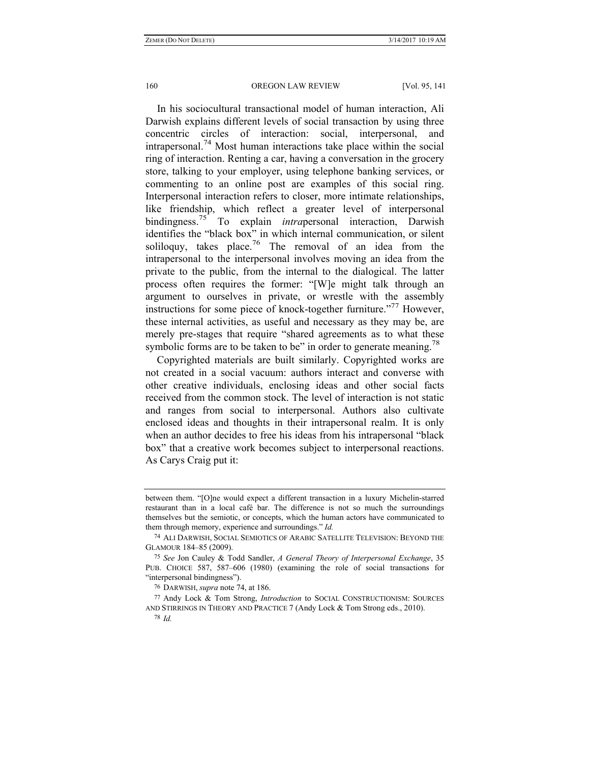In his sociocultural transactional model of human interaction, Ali Darwish explains different levels of social transaction by using three concentric circles of interaction: social, interpersonal, and intrapersonal.<sup>74</sup> Most human interactions take place within the social ring of interaction. Renting a car, having a conversation in the grocery store, talking to your employer, using telephone banking services, or commenting to an online post are examples of this social ring. Interpersonal interaction refers to closer, more intimate relationships, like friendship, which reflect a greater level of interpersonal bindingness.75 To explain *intra*personal interaction, Darwish identifies the "black box" in which internal communication, or silent soliloquy, takes place.<sup>76</sup> The removal of an idea from the intrapersonal to the interpersonal involves moving an idea from the private to the public, from the internal to the dialogical. The latter process often requires the former: "[W]e might talk through an argument to ourselves in private, or wrestle with the assembly instructions for some piece of knock-together furniture."<sup>77</sup> However, these internal activities, as useful and necessary as they may be, are merely pre-stages that require "shared agreements as to what these symbolic forms are to be taken to be" in order to generate meaning.<sup>78</sup>

Copyrighted materials are built similarly. Copyrighted works are not created in a social vacuum: authors interact and converse with other creative individuals, enclosing ideas and other social facts received from the common stock. The level of interaction is not static and ranges from social to interpersonal. Authors also cultivate enclosed ideas and thoughts in their intrapersonal realm. It is only when an author decides to free his ideas from his intrapersonal "black box" that a creative work becomes subject to interpersonal reactions. As Carys Craig put it:

between them. "[O]ne would expect a different transaction in a luxury Michelin-starred restaurant than in a local café bar. The difference is not so much the surroundings themselves but the semiotic, or concepts, which the human actors have communicated to them through memory, experience and surroundings." *Id.*

<sup>74</sup> ALI DARWISH, SOCIAL SEMIOTICS OF ARABIC SATELLITE TELEVISION: BEYOND THE GLAMOUR 184–85 (2009).

<sup>75</sup> *See* Jon Cauley & Todd Sandler, *A General Theory of Interpersonal Exchange*, 35 PUB. CHOICE 587, 587–606 (1980) (examining the role of social transactions for "interpersonal bindingness").

<sup>76</sup> DARWISH, *supra* note 74, at 186.

<sup>77</sup> Andy Lock & Tom Strong, *Introduction* to SOCIAL CONSTRUCTIONISM: SOURCES AND STIRRINGS IN THEORY AND PRACTICE 7 (Andy Lock & Tom Strong eds., 2010).

<sup>78</sup> *Id.*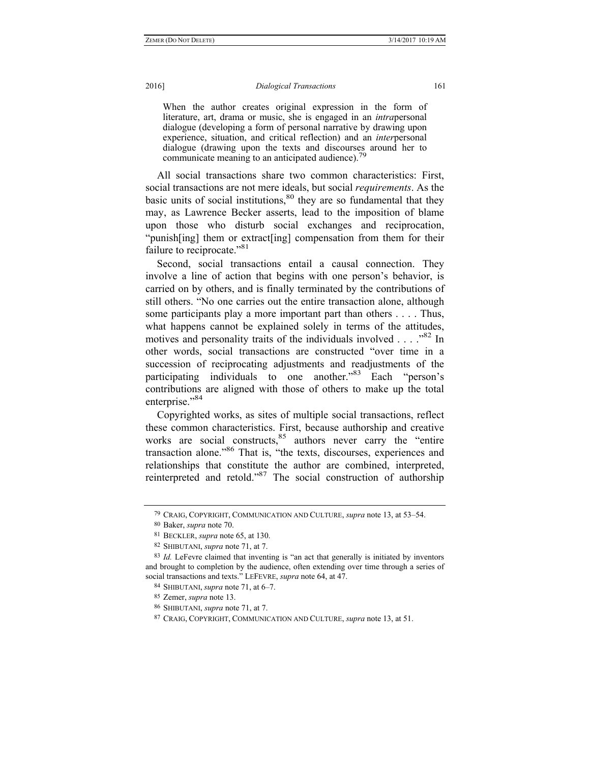#### 2016] *Dialogical Transactions* 161

When the author creates original expression in the form of literature, art, drama or music, she is engaged in an *intra*personal dialogue (developing a form of personal narrative by drawing upon experience, situation, and critical reflection) and an *inter*personal dialogue (drawing upon the texts and discourses around her to communicate meaning to an anticipated audience).79

All social transactions share two common characteristics: First, social transactions are not mere ideals, but social *requirements*. As the basic units of social institutions, $80$  they are so fundamental that they may, as Lawrence Becker asserts, lead to the imposition of blame upon those who disturb social exchanges and reciprocation, "punish[ing] them or extract[ing] compensation from them for their failure to reciprocate."<sup>81</sup>

Second, social transactions entail a causal connection. They involve a line of action that begins with one person's behavior, is carried on by others, and is finally terminated by the contributions of still others. "No one carries out the entire transaction alone, although some participants play a more important part than others . . . . Thus, what happens cannot be explained solely in terms of the attitudes, motives and personality traits of the individuals involved  $\ldots$  ...  $^{82}$  In other words, social transactions are constructed "over time in a succession of reciprocating adjustments and readjustments of the participating individuals to one another."83 Each "person's contributions are aligned with those of others to make up the total enterprise."<sup>84</sup>

Copyrighted works, as sites of multiple social transactions, reflect these common characteristics. First, because authorship and creative works are social constructs, $85$  authors never carry the "entire" transaction alone."86 That is, "the texts, discourses, experiences and relationships that constitute the author are combined, interpreted, reinterpreted and retold."87 The social construction of authorship

<sup>79</sup> CRAIG, COPYRIGHT, COMMUNICATION AND CULTURE, *supra* note 13, at 53–54.

<sup>80</sup> Baker, *supra* note 70.

<sup>81</sup> BECKLER, *supra* note 65, at 130.

<sup>82</sup> SHIBUTANI, *supra* note 71, at 7.

<sup>83</sup> *Id.* LeFevre claimed that inventing is "an act that generally is initiated by inventors and brought to completion by the audience, often extending over time through a series of social transactions and texts." LEFEVRE, *supra* note 64, at 47.

<sup>84</sup> SHIBUTANI, *supra* note 71, at 6–7.

<sup>85</sup> Zemer, *supra* note 13.

<sup>86</sup> SHIBUTANI, *supra* note 71, at 7.

<sup>87</sup> CRAIG, COPYRIGHT, COMMUNICATION AND CULTURE, *supra* note 13, at 51.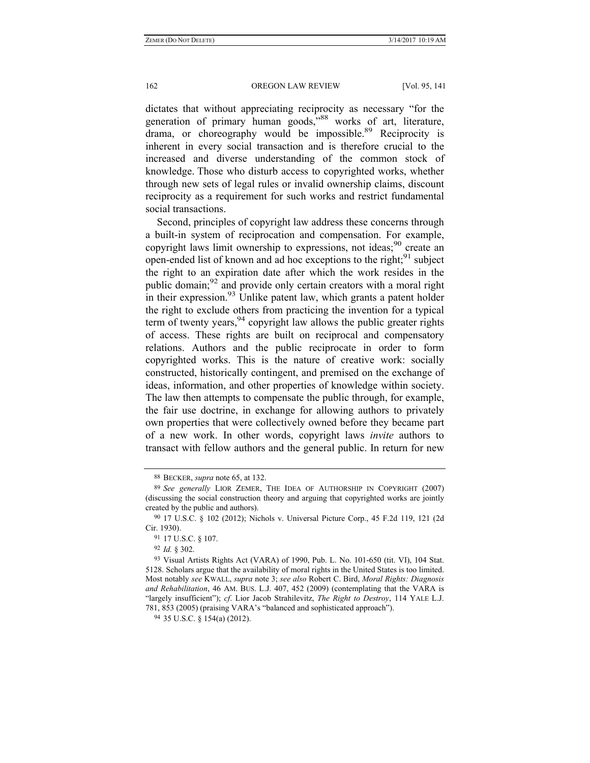dictates that without appreciating reciprocity as necessary "for the generation of primary human goods,<sup>38</sup> works of art, literature, drama, or choreography would be impossible.<sup>89</sup> Reciprocity is inherent in every social transaction and is therefore crucial to the increased and diverse understanding of the common stock of knowledge. Those who disturb access to copyrighted works, whether through new sets of legal rules or invalid ownership claims, discount reciprocity as a requirement for such works and restrict fundamental social transactions.

Second, principles of copyright law address these concerns through a built-in system of reciprocation and compensation. For example, copyright laws limit ownership to expressions, not ideas; $90$  create an open-ended list of known and ad hoc exceptions to the right; $91$  subject the right to an expiration date after which the work resides in the public domain;92 and provide only certain creators with a moral right in their expression. $^{93}$  Unlike patent law, which grants a patent holder the right to exclude others from practicing the invention for a typical term of twenty years,  $94$  copyright law allows the public greater rights of access. These rights are built on reciprocal and compensatory relations. Authors and the public reciprocate in order to form copyrighted works. This is the nature of creative work: socially constructed, historically contingent, and premised on the exchange of ideas, information, and other properties of knowledge within society. The law then attempts to compensate the public through, for example, the fair use doctrine, in exchange for allowing authors to privately own properties that were collectively owned before they became part of a new work. In other words, copyright laws *invite* authors to transact with fellow authors and the general public. In return for new

<sup>88</sup> BECKER, *supra* note 65, at 132.

<sup>89</sup> *See generally* LIOR ZEMER, THE IDEA OF AUTHORSHIP IN COPYRIGHT (2007) (discussing the social construction theory and arguing that copyrighted works are jointly created by the public and authors).

<sup>90</sup> 17 U.S.C. § 102 (2012); Nichols v. Universal Picture Corp., 45 F.2d 119, 121 (2d Cir. 1930).

<sup>91</sup> 17 U.S.C. § 107.

<sup>92</sup> *Id.* § 302.

<sup>93</sup> Visual Artists Rights Act (VARA) of 1990, Pub. L. No. 101-650 (tit. VI), 104 Stat. 5128. Scholars argue that the availability of moral rights in the United States is too limited. Most notably *see* KWALL, *supra* note 3; *see also* Robert C. Bird, *Moral Rights: Diagnosis and Rehabilitation*, 46 AM. BUS. L.J. 407, 452 (2009) (contemplating that the VARA is "largely insufficient"); *cf*. Lior Jacob Strahilevitz, *The Right to Destroy*, 114 YALE L.J. 781, 853 (2005) (praising VARA's "balanced and sophisticated approach").

<sup>94</sup> 35 U.S.C. § 154(a) (2012).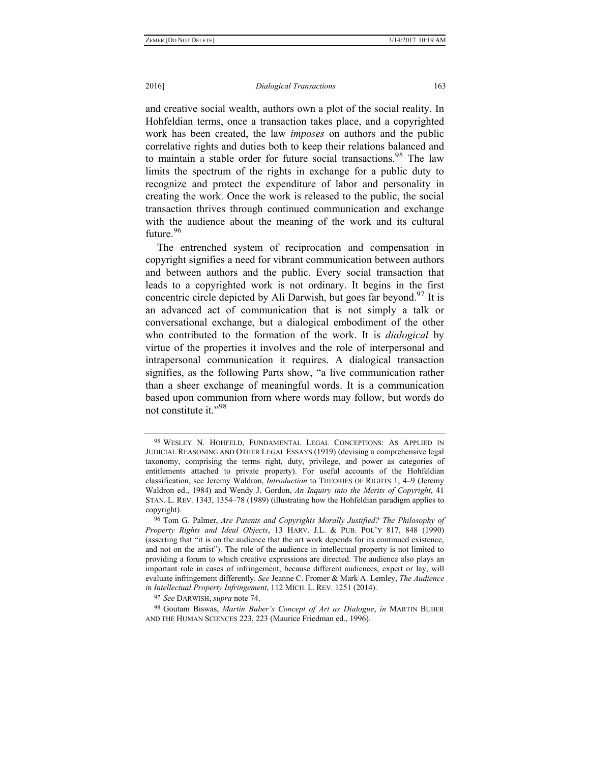### 2016] *Dialogical Transactions* 163

and creative social wealth, authors own a plot of the social reality. In Hohfeldian terms, once a transaction takes place, and a copyrighted work has been created, the law *imposes* on authors and the public correlative rights and duties both to keep their relations balanced and to maintain a stable order for future social transactions.<sup>95</sup> The law limits the spectrum of the rights in exchange for a public duty to recognize and protect the expenditure of labor and personality in creating the work. Once the work is released to the public, the social transaction thrives through continued communication and exchange with the audience about the meaning of the work and its cultural future.<sup>96</sup>

The entrenched system of reciprocation and compensation in copyright signifies a need for vibrant communication between authors and between authors and the public. Every social transaction that leads to a copyrighted work is not ordinary. It begins in the first concentric circle depicted by Ali Darwish, but goes far beyond.<sup>97</sup> It is an advanced act of communication that is not simply a talk or conversational exchange, but a dialogical embodiment of the other who contributed to the formation of the work. It is *dialogical* by virtue of the properties it involves and the role of interpersonal and intrapersonal communication it requires. A dialogical transaction signifies, as the following Parts show, "a live communication rather than a sheer exchange of meaningful words. It is a communication based upon communion from where words may follow, but words do not constitute it."<sup>98</sup>

97 *See* DARWISH, *supra* note 74.

98 Goutam Biswas, *Martin Buber's Concept of Art as Dialogue*, *in* MARTIN BUBER AND THE HUMAN SCIENCES 223, 223 (Maurice Friedman ed., 1996).

<sup>95</sup> WESLEY N. HOHFELD, FUNDAMENTAL LEGAL CONCEPTIONS: AS APPLIED IN JUDICIAL REASONING AND OTHER LEGAL ESSAYS (1919) (devising a comprehensive legal taxonomy, comprising the terms right, duty, privilege, and power as categories of entitlements attached to private property). For useful accounts of the Hohfeldian classification, see Jeremy Waldron, *Introduction* to THEORIES OF RIGHTS 1, 4–9 (Jeremy Waldron ed., 1984) and Wendy J. Gordon, *An Inquiry into the Merits of Copyright*, 41 STAN. L. REV. 1343, 1354–78 (1989) (illustrating how the Hohfeldian paradigm applies to copyright).

<sup>96</sup> Tom G. Palmer, *Are Patents and Copyrights Morally Justified? The Philosophy of Property Rights and Ideal Objects*, 13 HARV. J.L. & PUB. POL'Y 817, 848 (1990) (asserting that "it is on the audience that the art work depends for its continued existence, and not on the artist"). The role of the audience in intellectual property is not limited to providing a forum to which creative expressions are directed. The audience also plays an important role in cases of infringement, because different audiences, expert or lay, will evaluate infringement differently. *See* Jeanne C. Fromer & Mark A. Lemley, *The Audience in Intellectual Property Infringement*, 112 MICH. L. REV. 1251 (2014).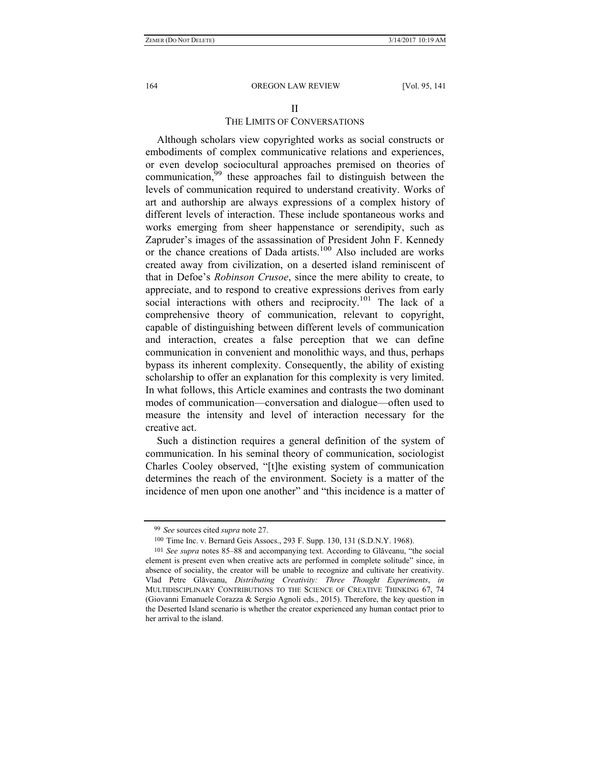# II

# THE LIMITS OF CONVERSATIONS

Although scholars view copyrighted works as social constructs or embodiments of complex communicative relations and experiences, or even develop sociocultural approaches premised on theories of communication,<sup>99</sup> these approaches fail to distinguish between the levels of communication required to understand creativity. Works of art and authorship are always expressions of a complex history of different levels of interaction. These include spontaneous works and works emerging from sheer happenstance or serendipity, such as Zapruder's images of the assassination of President John F. Kennedy or the chance creations of Dada artists.100 Also included are works created away from civilization, on a deserted island reminiscent of that in Defoe's *Robinson Crusoe*, since the mere ability to create, to appreciate, and to respond to creative expressions derives from early social interactions with others and reciprocity.<sup>101</sup> The lack of a comprehensive theory of communication, relevant to copyright, capable of distinguishing between different levels of communication and interaction, creates a false perception that we can define communication in convenient and monolithic ways, and thus, perhaps bypass its inherent complexity. Consequently, the ability of existing scholarship to offer an explanation for this complexity is very limited. In what follows, this Article examines and contrasts the two dominant modes of communication—conversation and dialogue—often used to measure the intensity and level of interaction necessary for the creative act.

Such a distinction requires a general definition of the system of communication. In his seminal theory of communication, sociologist Charles Cooley observed, "[t]he existing system of communication determines the reach of the environment. Society is a matter of the incidence of men upon one another" and "this incidence is a matter of

<sup>99</sup> *See* sources cited *supra* note 27.

<sup>100</sup> Time Inc. v. Bernard Geis Assocs., 293 F. Supp. 130, 131 (S.D.N.Y. 1968).

<sup>101</sup> *See supra* notes 85–88 and accompanying text. According to Glăveanu, "the social element is present even when creative acts are performed in complete solitude" since, in absence of sociality, the creator will be unable to recognize and cultivate her creativity. Vlad Petre Glăveanu, *Distributing Creativity: Three Thought Experiments*, *in* MULTIDISCIPLINARY CONTRIBUTIONS TO THE SCIENCE OF CREATIVE THINKING 67, 74 (Giovanni Emanuele Corazza & Sergio Agnoli eds., 2015). Therefore, the key question in the Deserted Island scenario is whether the creator experienced any human contact prior to her arrival to the island.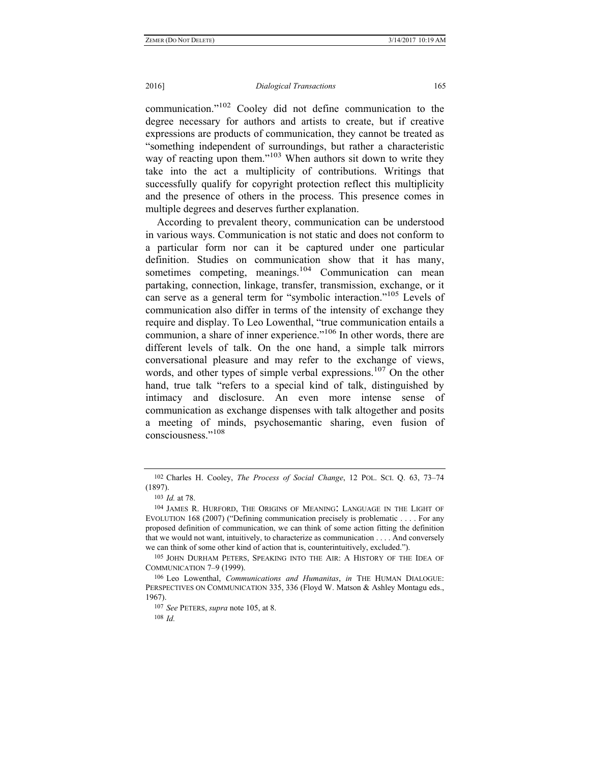### 2016] *Dialogical Transactions* 165

communication."102 Cooley did not define communication to the degree necessary for authors and artists to create, but if creative expressions are products of communication, they cannot be treated as "something independent of surroundings, but rather a characteristic way of reacting upon them."<sup>103</sup> When authors sit down to write they take into the act a multiplicity of contributions. Writings that successfully qualify for copyright protection reflect this multiplicity and the presence of others in the process. This presence comes in multiple degrees and deserves further explanation.

According to prevalent theory, communication can be understood in various ways. Communication is not static and does not conform to a particular form nor can it be captured under one particular definition. Studies on communication show that it has many, sometimes competing, meanings.<sup>104</sup> Communication can mean partaking, connection, linkage, transfer, transmission, exchange, or it can serve as a general term for "symbolic interaction."105 Levels of communication also differ in terms of the intensity of exchange they require and display. To Leo Lowenthal, "true communication entails a communion, a share of inner experience."<sup>106</sup> In other words, there are different levels of talk. On the one hand, a simple talk mirrors conversational pleasure and may refer to the exchange of views, words, and other types of simple verbal expressions.<sup>107</sup> On the other hand, true talk "refers to a special kind of talk, distinguished by intimacy and disclosure. An even more intense sense of communication as exchange dispenses with talk altogether and posits a meeting of minds, psychosemantic sharing, even fusion of consciousness."<sup>108</sup>

<sup>102</sup> Charles H. Cooley, *The Process of Social Change*, 12 POL. SCI. Q. 63, 73–74 (1897).

<sup>103</sup> *Id.* at 78.

<sup>104</sup> JAMES R. HURFORD, THE ORIGINS OF MEANING: LANGUAGE IN THE LIGHT OF EVOLUTION 168 (2007) ("Defining communication precisely is problematic . . . . For any proposed definition of communication, we can think of some action fitting the definition that we would not want, intuitively, to characterize as communication . . . . And conversely we can think of some other kind of action that is, counterintuitively, excluded.").

<sup>105</sup> JOHN DURHAM PETERS, SPEAKING INTO THE AIR: A HISTORY OF THE IDEA OF COMMUNICATION 7–9 (1999).

<sup>106</sup> Leo Lowenthal, *Communications and Humanitas*, *in* THE HUMAN DIALOGUE: PERSPECTIVES ON COMMUNICATION 335, 336 (Floyd W. Matson & Ashley Montagu eds., 1967).

<sup>107</sup> *See* PETERS, *supra* note 105, at 8.

<sup>108</sup> *Id.*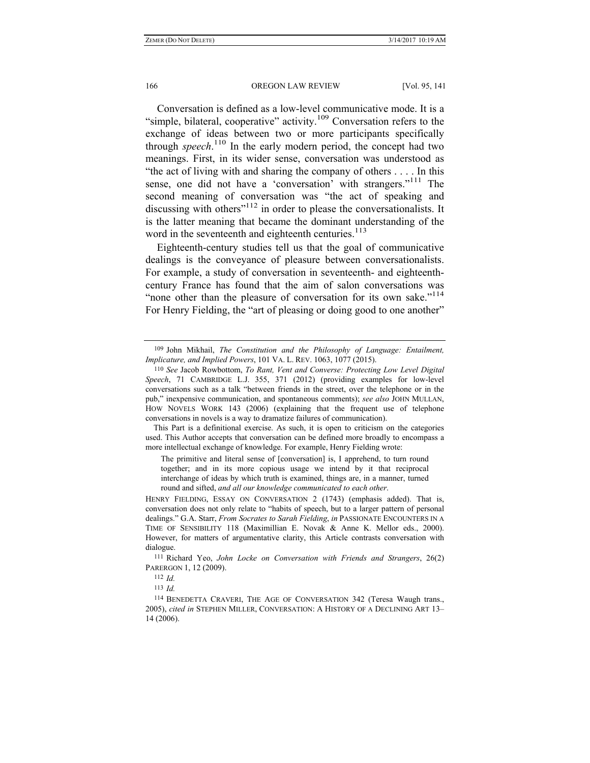Conversation is defined as a low-level communicative mode. It is a "simple, bilateral, cooperative" activity.<sup>109</sup> Conversation refers to the exchange of ideas between two or more participants specifically through *speech*. 110 In the early modern period, the concept had two meanings. First, in its wider sense, conversation was understood as "the act of living with and sharing the company of others . . . . In this sense, one did not have a 'conversation' with strangers."<sup>111</sup> The second meaning of conversation was "the act of speaking and discussing with others<sup>"112</sup> in order to please the conversationalists. It is the latter meaning that became the dominant understanding of the word in the seventeenth and eighteenth centuries. $113$ 

Eighteenth-century studies tell us that the goal of communicative dealings is the conveyance of pleasure between conversationalists. For example, a study of conversation in seventeenth- and eighteenthcentury France has found that the aim of salon conversations was "none other than the pleasure of conversation for its own sake."<sup>114</sup> For Henry Fielding, the "art of pleasing or doing good to one another"

 This Part is a definitional exercise. As such, it is open to criticism on the categories used. This Author accepts that conversation can be defined more broadly to encompass a more intellectual exchange of knowledge. For example, Henry Fielding wrote:

The primitive and literal sense of [conversation] is, I apprehend, to turn round together; and in its more copious usage we intend by it that reciprocal interchange of ideas by which truth is examined, things are, in a manner, turned round and sifted, *and all our knowledge communicated to each other*.

HENRY FIELDING, ESSAY ON CONVERSATION 2 (1743) (emphasis added). That is, conversation does not only relate to "habits of speech, but to a larger pattern of personal dealings." G.A. Starr, *From Socrates to Sarah Fielding*, *in* PASSIONATE ENCOUNTERS IN A TIME OF SENSIBILITY 118 (Maximillian E. Novak & Anne K. Mellor eds., 2000). However, for matters of argumentative clarity, this Article contrasts conversation with dialogue.

111 Richard Yeo, *John Locke on Conversation with Friends and Strangers*, 26(2) PARERGON 1, 12 (2009).

112 *Id.* 

113 *Id.*

114 BENEDETTA CRAVERI, THE AGE OF CONVERSATION 342 (Teresa Waugh trans., 2005), *cited in* STEPHEN MILLER, CONVERSATION: A HISTORY OF A DECLINING ART 13– 14 (2006).

<sup>109</sup> John Mikhail, *The Constitution and the Philosophy of Language: Entailment, Implicature, and Implied Powers*, 101 VA. L. REV. 1063, 1077 (2015).

<sup>110</sup> *See* Jacob Rowbottom, *To Rant, Vent and Converse: Protecting Low Level Digital Speech*, 71 CAMBRIDGE L.J. 355, 371 (2012) (providing examples for low-level conversations such as a talk "between friends in the street, over the telephone or in the pub," inexpensive communication, and spontaneous comments); *see also* JOHN MULLAN, HOW NOVELS WORK 143 (2006) (explaining that the frequent use of telephone conversations in novels is a way to dramatize failures of communication).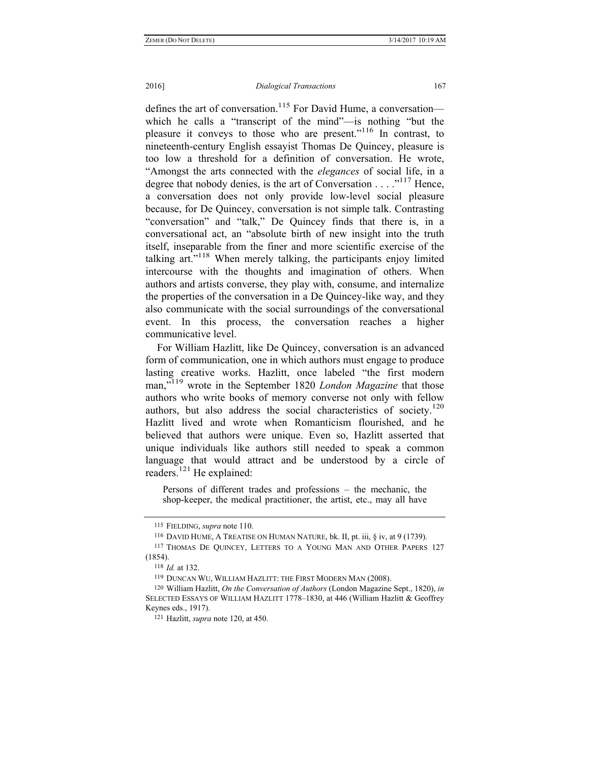defines the art of conversation.<sup>115</sup> For David Hume, a conversation which he calls a "transcript of the mind"—is nothing "but the pleasure it conveys to those who are present."116 In contrast, to nineteenth-century English essayist Thomas De Quincey, pleasure is too low a threshold for a definition of conversation. He wrote, "Amongst the arts connected with the *elegances* of social life, in a degree that nobody denies, is the art of Conversation . . . . .<sup>117</sup> Hence, a conversation does not only provide low-level social pleasure because, for De Quincey, conversation is not simple talk. Contrasting "conversation" and "talk," De Quincey finds that there is, in a conversational act, an "absolute birth of new insight into the truth itself, inseparable from the finer and more scientific exercise of the talking art."118 When merely talking, the participants enjoy limited intercourse with the thoughts and imagination of others. When authors and artists converse, they play with, consume, and internalize the properties of the conversation in a De Quincey-like way, and they also communicate with the social surroundings of the conversational event. In this process, the conversation reaches a higher communicative level.

For William Hazlitt, like De Quincey, conversation is an advanced form of communication, one in which authors must engage to produce lasting creative works. Hazlitt, once labeled "the first modern man,"119 wrote in the September 1820 *London Magazine* that those authors who write books of memory converse not only with fellow authors, but also address the social characteristics of society.<sup>120</sup> Hazlitt lived and wrote when Romanticism flourished, and he believed that authors were unique. Even so, Hazlitt asserted that unique individuals like authors still needed to speak a common language that would attract and be understood by a circle of readers.<sup>121</sup> He explained:

Persons of different trades and professions – the mechanic, the shop-keeper, the medical practitioner, the artist, etc., may all have

<sup>115</sup> FIELDING, *supra* note 110.

<sup>116</sup> DAVID HUME, A TREATISE ON HUMAN NATURE, bk. II, pt. iii, § iv, at 9 (1739). 117 THOMAS DE QUINCEY, LETTERS TO A YOUNG MAN AND OTHER PAPERS 127 (1854).

<sup>118</sup> *Id.* at 132.

<sup>119</sup> DUNCAN WU, WILLIAM HAZLITT: THE FIRST MODERN MAN (2008).

<sup>120</sup> William Hazlitt, *On the Conversation of Authors* (London Magazine Sept., 1820), *in* SELECTED ESSAYS OF WILLIAM HAZLITT 1778–1830, at 446 (William Hazlitt & Geoffrey Keynes eds., 1917).

<sup>121</sup> Hazlitt, *supra* note 120, at 450.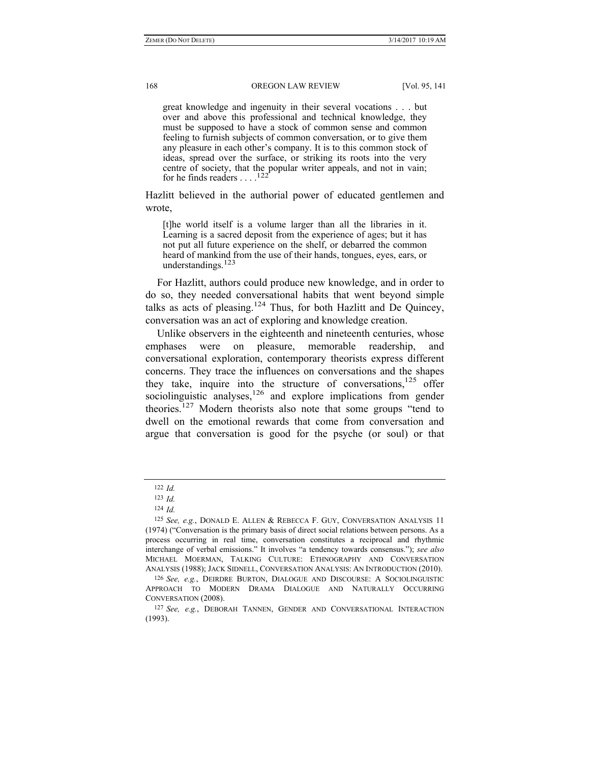great knowledge and ingenuity in their several vocations . . . but over and above this professional and technical knowledge, they must be supposed to have a stock of common sense and common feeling to furnish subjects of common conversation, or to give them any pleasure in each other's company. It is to this common stock of ideas, spread over the surface, or striking its roots into the very centre of society, that the popular writer appeals, and not in vain; for he finds readers  $\ldots$  <sup>122</sup>

Hazlitt believed in the authorial power of educated gentlemen and wrote,

[t]he world itself is a volume larger than all the libraries in it. Learning is a sacred deposit from the experience of ages; but it has not put all future experience on the shelf, or debarred the common heard of mankind from the use of their hands, tongues, eyes, ears, or understandings. $123$ 

For Hazlitt, authors could produce new knowledge, and in order to do so, they needed conversational habits that went beyond simple talks as acts of pleasing.<sup>124</sup> Thus, for both Hazlitt and De Ouincey, conversation was an act of exploring and knowledge creation.

Unlike observers in the eighteenth and nineteenth centuries, whose emphases were on pleasure, memorable readership, and conversational exploration, contemporary theorists express different concerns. They trace the influences on conversations and the shapes they take, inquire into the structure of conversations,  $125$  offer sociolinguistic analyses,<sup>126</sup> and explore implications from gender theories.127 Modern theorists also note that some groups "tend to dwell on the emotional rewards that come from conversation and argue that conversation is good for the psyche (or soul) or that

<sup>122</sup> *Id.*

<sup>123</sup> *Id.*

<sup>124</sup> *Id.*

<sup>125</sup> *See, e.g.*, DONALD E. ALLEN & REBECCA F. GUY, CONVERSATION ANALYSIS 11 (1974) ("Conversation is the primary basis of direct social relations between persons. As a process occurring in real time, conversation constitutes a reciprocal and rhythmic interchange of verbal emissions." It involves "a tendency towards consensus."); *see also* MICHAEL MOERMAN, TALKING CULTURE: ETHNOGRAPHY AND CONVERSATION ANALYSIS (1988); JACK SIDNELL, CONVERSATION ANALYSIS: AN INTRODUCTION (2010).

<sup>126</sup> *See, e.g.*, DEIRDRE BURTON, DIALOGUE AND DISCOURSE: A SOCIOLINGUISTIC APPROACH TO MODERN DRAMA DIALOGUE AND NATURALLY OCCURRING CONVERSATION (2008).

<sup>127</sup> *See, e.g.*, DEBORAH TANNEN, GENDER AND CONVERSATIONAL INTERACTION (1993).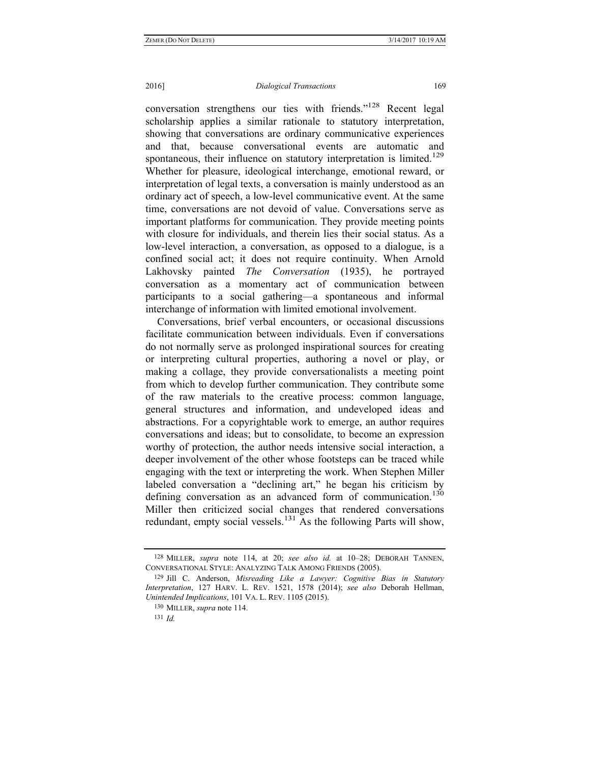### 2016] *Dialogical Transactions* 169

conversation strengthens our ties with friends."128 Recent legal scholarship applies a similar rationale to statutory interpretation, showing that conversations are ordinary communicative experiences and that, because conversational events are automatic and spontaneous, their influence on statutory interpretation is limited.<sup>129</sup> Whether for pleasure, ideological interchange, emotional reward, or interpretation of legal texts, a conversation is mainly understood as an ordinary act of speech, a low-level communicative event. At the same time, conversations are not devoid of value. Conversations serve as important platforms for communication. They provide meeting points with closure for individuals, and therein lies their social status. As a low-level interaction, a conversation, as opposed to a dialogue, is a confined social act; it does not require continuity. When Arnold Lakhovsky painted *The Conversation* (1935), he portrayed conversation as a momentary act of communication between participants to a social gathering—a spontaneous and informal interchange of information with limited emotional involvement.

Conversations, brief verbal encounters, or occasional discussions facilitate communication between individuals. Even if conversations do not normally serve as prolonged inspirational sources for creating or interpreting cultural properties, authoring a novel or play, or making a collage, they provide conversationalists a meeting point from which to develop further communication. They contribute some of the raw materials to the creative process: common language, general structures and information, and undeveloped ideas and abstractions. For a copyrightable work to emerge, an author requires conversations and ideas; but to consolidate, to become an expression worthy of protection, the author needs intensive social interaction, a deeper involvement of the other whose footsteps can be traced while engaging with the text or interpreting the work. When Stephen Miller labeled conversation a "declining art," he began his criticism by defining conversation as an advanced form of communication.<sup>130</sup> Miller then criticized social changes that rendered conversations redundant, empty social vessels.<sup>131</sup> As the following Parts will show,

<sup>128</sup> MILLER, *supra* note 114, at 20; *see also id.* at 10–28; DEBORAH TANNEN, CONVERSATIONAL STYLE: ANALYZING TALK AMONG FRIENDS (2005).

<sup>129</sup> Jill C. Anderson, *Misreading Like a Lawyer: Cognitive Bias in Statutory Interpretation*, 127 HARV. L. REV. 1521, 1578 (2014); *see also* Deborah Hellman, *Unintended Implications*, 101 VA. L. REV. 1105 (2015).

<sup>130</sup> MILLER, *supra* note 114.

<sup>131</sup> *Id.*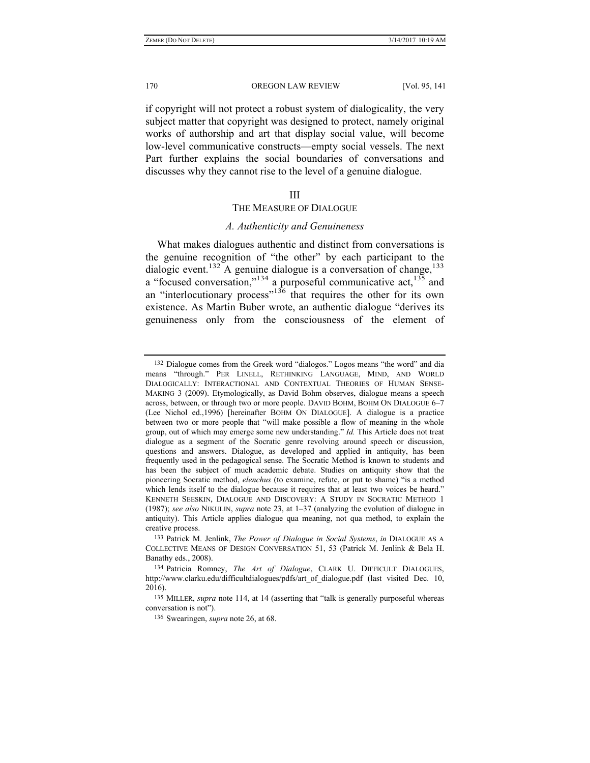if copyright will not protect a robust system of dialogicality, the very subject matter that copyright was designed to protect, namely original works of authorship and art that display social value, will become low-level communicative constructs—empty social vessels. The next Part further explains the social boundaries of conversations and discusses why they cannot rise to the level of a genuine dialogue.

# III

# THE MEASURE OF DIALOGUE

# *A. Authenticity and Genuineness*

What makes dialogues authentic and distinct from conversations is the genuine recognition of "the other" by each participant to the dialogic event.<sup>132</sup> A genuine dialogue is a conversation of change,<sup>133</sup> a "focused conversation,"<sup>134</sup> a purposeful communicative act,  $135$  and an "interlocutionary process"<sup>136</sup> that requires the other for its own existence. As Martin Buber wrote, an authentic dialogue "derives its genuineness only from the consciousness of the element of

<sup>132</sup> Dialogue comes from the Greek word "dialogos." Logos means "the word" and dia means "through." PER LINELL, RETHINKING LANGUAGE, MIND, AND WORLD DIALOGICALLY: INTERACTIONAL AND CONTEXTUAL THEORIES OF HUMAN SENSE-MAKING 3 (2009). Etymologically, as David Bohm observes, dialogue means a speech across, between, or through two or more people. DAVID BOHM, BOHM ON DIALOGUE 6–7 (Lee Nichol ed.,1996) [hereinafter BOHM ON DIALOGUE]. A dialogue is a practice between two or more people that "will make possible a flow of meaning in the whole group, out of which may emerge some new understanding." *Id.* This Article does not treat dialogue as a segment of the Socratic genre revolving around speech or discussion, questions and answers. Dialogue, as developed and applied in antiquity, has been frequently used in the pedagogical sense. The Socratic Method is known to students and has been the subject of much academic debate. Studies on antiquity show that the pioneering Socratic method, *elenchus* (to examine, refute, or put to shame) "is a method which lends itself to the dialogue because it requires that at least two voices be heard." KENNETH SEESKIN, DIALOGUE AND DISCOVERY: A STUDY IN SOCRATIC METHOD 1 (1987); *see also* NIKULIN, *supra* note 23, at 1–37 (analyzing the evolution of dialogue in antiquity). This Article applies dialogue qua meaning, not qua method, to explain the creative process.

<sup>133</sup> Patrick M. Jenlink, *The Power of Dialogue in Social Systems*, *in* DIALOGUE AS A COLLECTIVE MEANS OF DESIGN CONVERSATION 51, 53 (Patrick M. Jenlink & Bela H. Banathy eds., 2008).

<sup>134</sup> Patricia Romney, *The Art of Dialogue*, CLARK U. DIFFICULT DIALOGUES, http://www.clarku.edu/difficultdialogues/pdfs/art\_of\_dialogue.pdf (last visited Dec. 10, 2016).

<sup>135</sup> MILLER, *supra* note 114, at 14 (asserting that "talk is generally purposeful whereas conversation is not").

<sup>136</sup> Swearingen, *supra* note 26, at 68.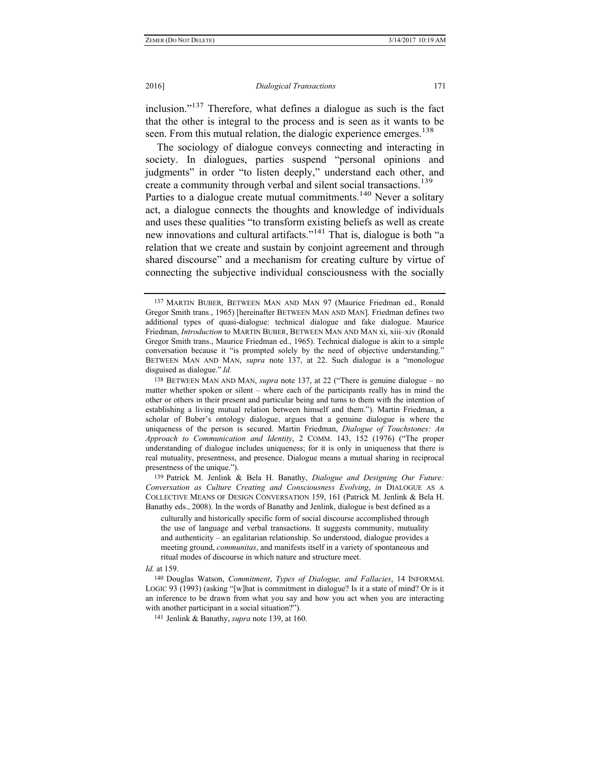inclusion."137 Therefore, what defines a dialogue as such is the fact that the other is integral to the process and is seen as it wants to be seen. From this mutual relation, the dialogic experience emerges.<sup>138</sup>

The sociology of dialogue conveys connecting and interacting in society. In dialogues, parties suspend "personal opinions and judgments" in order "to listen deeply," understand each other, and create a community through verbal and silent social transactions.<sup>139</sup> Parties to a dialogue create mutual commitments.<sup>140</sup> Never a solitary act, a dialogue connects the thoughts and knowledge of individuals and uses these qualities "to transform existing beliefs as well as create new innovations and cultural artifacts."141 That is, dialogue is both "a relation that we create and sustain by conjoint agreement and through shared discourse" and a mechanism for creating culture by virtue of connecting the subjective individual consciousness with the socially

139 Patrick M. Jenlink & Bela H. Banathy, *Dialogue and Designing Our Future: Conversation as Culture Creating and Consciousness Evolving*, *in* DIALOGUE AS A COLLECTIVE MEANS OF DESIGN CONVERSATION 159, 161 (Patrick M. Jenlink & Bela H. Banathy eds., 2008). In the words of Banathy and Jenlink, dialogue is best defined as a

culturally and historically specific form of social discourse accomplished through the use of language and verbal transactions. It suggests community, mutuality and authenticity – an egalitarian relationship. So understood, dialogue provides a meeting ground, *communitas*, and manifests itself in a variety of spontaneous and ritual modes of discourse in which nature and structure meet.

#### *Id.* at 159.

140 Douglas Watson, *Commitment*, *Types of Dialogue, and Fallacies*, 14 INFORMAL LOGIC 93 (1993) (asking "[w]hat is commitment in dialogue? Is it a state of mind? Or is it an inference to be drawn from what you say and how you act when you are interacting with another participant in a social situation?").

141 Jenlink & Banathy, *supra* note 139, at 160.

<sup>137</sup> MARTIN BUBER, BETWEEN MAN AND MAN 97 (Maurice Friedman ed., Ronald Gregor Smith trans., 1965) [hereinafter BETWEEN MAN AND MAN]. Friedman defines two additional types of quasi-dialogue: technical dialogue and fake dialogue. Maurice Friedman, *Introduction* to MARTIN BUBER, BETWEEN MAN AND MAN xi, xiii–xiv (Ronald Gregor Smith trans., Maurice Friedman ed., 1965). Technical dialogue is akin to a simple conversation because it "is prompted solely by the need of objective understanding." BETWEEN MAN AND MAN, *supra* note 137, at 22. Such dialogue is a "monologue disguised as dialogue." *Id.*

<sup>138</sup> BETWEEN MAN AND MAN, *supra* note 137, at 22 ("There is genuine dialogue – no matter whether spoken or silent – where each of the participants really has in mind the other or others in their present and particular being and turns to them with the intention of establishing a living mutual relation between himself and them."). Martin Friedman, a scholar of Buber's ontology dialogue, argues that a genuine dialogue is where the uniqueness of the person is secured. Martin Friedman, *Dialogue of Touchstones: An Approach to Communication and Identity*, 2 COMM. 143, 152 (1976) ("The proper understanding of dialogue includes uniqueness; for it is only in uniqueness that there is real mutuality, presentness, and presence. Dialogue means a mutual sharing in reciprocal presentness of the unique.").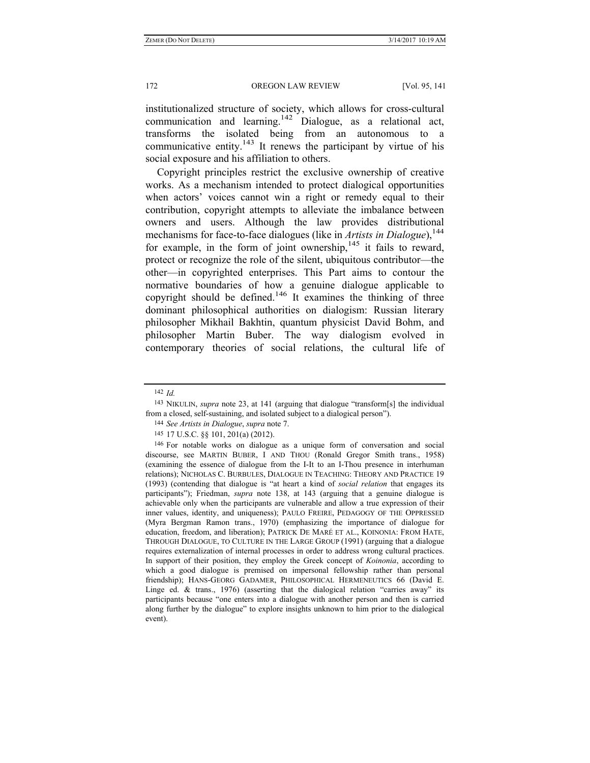institutionalized structure of society, which allows for cross-cultural communication and learning.<sup>142</sup> Dialogue, as a relational act, transforms the isolated being from an autonomous to a communicative entity.<sup>143</sup> It renews the participant by virtue of his social exposure and his affiliation to others.

Copyright principles restrict the exclusive ownership of creative works. As a mechanism intended to protect dialogical opportunities when actors' voices cannot win a right or remedy equal to their contribution, copyright attempts to alleviate the imbalance between owners and users. Although the law provides distributional mechanisms for face-to-face dialogues (like in *Artists in Dialogue*),<sup>144</sup> for example, in the form of joint ownership,  $145$  it fails to reward, protect or recognize the role of the silent, ubiquitous contributor—the other—in copyrighted enterprises. This Part aims to contour the normative boundaries of how a genuine dialogue applicable to copyright should be defined.<sup>146</sup> It examines the thinking of three dominant philosophical authorities on dialogism: Russian literary philosopher Mikhail Bakhtin, quantum physicist David Bohm, and philosopher Martin Buber. The way dialogism evolved in contemporary theories of social relations, the cultural life of

144 *See Artists in Dialogue*, *supra* note 7.

<sup>142</sup> *Id.*

<sup>143</sup> NIKULIN, *supra* note 23, at 141 (arguing that dialogue "transform[s] the individual from a closed, self-sustaining, and isolated subject to a dialogical person").

<sup>145</sup> 17 U.S.C. §§ 101, 201(a) (2012).

<sup>146</sup> For notable works on dialogue as a unique form of conversation and social discourse, see MARTIN BUBER, I AND THOU (Ronald Gregor Smith trans., 1958) (examining the essence of dialogue from the I-It to an I-Thou presence in interhuman relations); NICHOLAS C. BURBULES, DIALOGUE IN TEACHING: THEORY AND PRACTICE 19 (1993) (contending that dialogue is "at heart a kind of *social relation* that engages its participants"); Friedman, *supra* note 138, at 143 (arguing that a genuine dialogue is achievable only when the participants are vulnerable and allow a true expression of their inner values, identity, and uniqueness); PAULO FREIRE, PEDAGOGY OF THE OPPRESSED (Myra Bergman Ramon trans., 1970) (emphasizing the importance of dialogue for education, freedom, and liberation); PATRICK DE MARÉ ET AL., KOINONIA: FROM HATE, THROUGH DIALOGUE, TO CULTURE IN THE LARGE GROUP (1991) (arguing that a dialogue requires externalization of internal processes in order to address wrong cultural practices. In support of their position, they employ the Greek concept of *Koinonia*, according to which a good dialogue is premised on impersonal fellowship rather than personal friendship); HANS-GEORG GADAMER, PHILOSOPHICAL HERMENEUTICS 66 (David E. Linge ed.  $\&$  trans., 1976) (asserting that the dialogical relation "carries away" its participants because "one enters into a dialogue with another person and then is carried along further by the dialogue" to explore insights unknown to him prior to the dialogical event).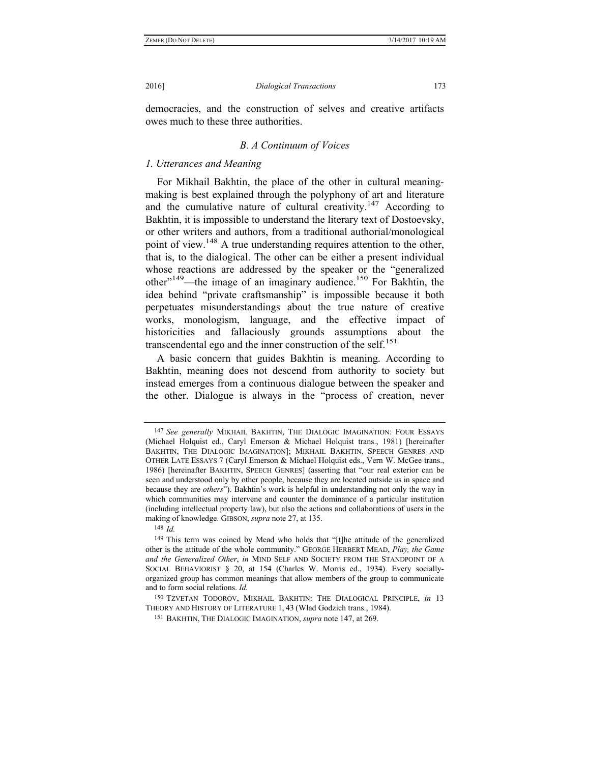democracies, and the construction of selves and creative artifacts owes much to these three authorities.

# *B. A Continuum of Voices*

# *1. Utterances and Meaning*

For Mikhail Bakhtin, the place of the other in cultural meaningmaking is best explained through the polyphony of art and literature and the cumulative nature of cultural creativity.<sup>147</sup> According to Bakhtin, it is impossible to understand the literary text of Dostoevsky, or other writers and authors, from a traditional authorial/monological point of view.<sup>148</sup> A true understanding requires attention to the other, that is, to the dialogical. The other can be either a present individual whose reactions are addressed by the speaker or the "generalized other"149—the image of an imaginary audience.150 For Bakhtin, the idea behind "private craftsmanship" is impossible because it both perpetuates misunderstandings about the true nature of creative works, monologism, language, and the effective impact of historicities and fallaciously grounds assumptions about the transcendental ego and the inner construction of the self.<sup>151</sup>

A basic concern that guides Bakhtin is meaning. According to Bakhtin, meaning does not descend from authority to society but instead emerges from a continuous dialogue between the speaker and the other. Dialogue is always in the "process of creation, never

148 *Id.*

<sup>147</sup> *See generally* MIKHAIL BAKHTIN, THE DIALOGIC IMAGINATION: FOUR ESSAYS (Michael Holquist ed., Caryl Emerson & Michael Holquist trans., 1981) [hereinafter BAKHTIN, THE DIALOGIC IMAGINATION]; MIKHAIL BAKHTIN, SPEECH GENRES AND OTHER LATE ESSAYS 7 (Caryl Emerson & Michael Holquist eds., Vern W. McGee trans., 1986) [hereinafter BAKHTIN, SPEECH GENRES] (asserting that "our real exterior can be seen and understood only by other people, because they are located outside us in space and because they are *others*"). Bakhtin's work is helpful in understanding not only the way in which communities may intervene and counter the dominance of a particular institution (including intellectual property law), but also the actions and collaborations of users in the making of knowledge. GIBSON, *supra* note 27, at 135.

<sup>149</sup> This term was coined by Mead who holds that "[t]he attitude of the generalized other is the attitude of the whole community." GEORGE HERBERT MEAD, *Play, the Game and the Generalized Other*, *in* MIND SELF AND SOCIETY FROM THE STANDPOINT OF A SOCIAL BEHAVIORIST § 20, at 154 (Charles W. Morris ed., 1934). Every sociallyorganized group has common meanings that allow members of the group to communicate and to form social relations. *Id.*

<sup>150</sup> TZVETAN TODOROV, MIKHAIL BAKHTIN: THE DIALOGICAL PRINCIPLE, *in* 13 THEORY AND HISTORY OF LITERATURE 1, 43 (Wlad Godzich trans., 1984).

<sup>151</sup> BAKHTIN, THE DIALOGIC IMAGINATION, *supra* note 147, at 269.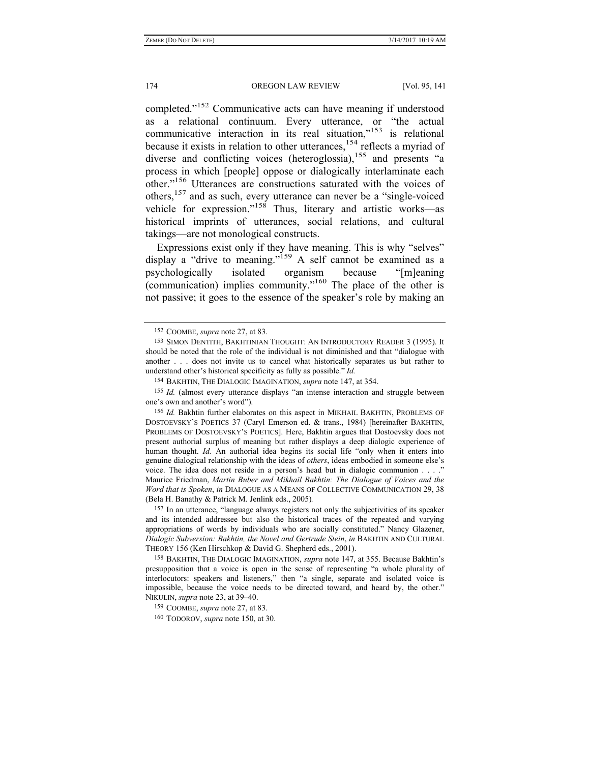completed."152 Communicative acts can have meaning if understood as a relational continuum. Every utterance, or "the actual communicative interaction in its real situation,"<sup>153</sup> is relational because it exists in relation to other utterances,<sup>154</sup> reflects a myriad of diverse and conflicting voices (heteroglossia),<sup>155</sup> and presents "a process in which [people] oppose or dialogically interlaminate each other."156 Utterances are constructions saturated with the voices of others,157 and as such, every utterance can never be a "single-voiced vehicle for expression."158 Thus, literary and artistic works—as historical imprints of utterances, social relations, and cultural takings—are not monological constructs.

Expressions exist only if they have meaning. This is why "selves" display a "drive to meaning."<sup>159</sup> A self cannot be examined as a psychologically isolated organism because "[m]eaning (communication) implies community."160 The place of the other is not passive; it goes to the essence of the speaker's role by making an

157 In an utterance, "language always registers not only the subjectivities of its speaker and its intended addressee but also the historical traces of the repeated and varying appropriations of words by individuals who are socially constituted." Nancy Glazener, *Dialogic Subversion: Bakhtin, the Novel and Gertrude Stein*, *in* BAKHTIN AND CULTURAL THEORY 156 (Ken Hirschkop & David G. Shepherd eds., 2001).

158 BAKHTIN, THE DIALOGIC IMAGINATION, *supra* note 147, at 355. Because Bakhtin's presupposition that a voice is open in the sense of representing "a whole plurality of interlocutors: speakers and listeners," then "a single, separate and isolated voice is impossible, because the voice needs to be directed toward, and heard by, the other." NIKULIN, *supra* note 23, at 39–40.

159 COOMBE, *supra* note 27, at 83.

160 TODOROV, *supra* note 150, at 30.

<sup>152</sup> COOMBE, *supra* note 27, at 83.

<sup>153</sup> SIMON DENTITH, BAKHTINIAN THOUGHT: AN INTRODUCTORY READER 3 (1995). It should be noted that the role of the individual is not diminished and that "dialogue with another . . . does not invite us to cancel what historically separates us but rather to understand other's historical specificity as fully as possible." *Id.*

<sup>154</sup> BAKHTIN, THE DIALOGIC IMAGINATION, *supra* note 147, at 354.

<sup>155</sup> *Id.* (almost every utterance displays "an intense interaction and struggle between one's own and another's word").

<sup>156</sup> *Id.* Bakhtin further elaborates on this aspect in MIKHAIL BAKHTIN, PROBLEMS OF DOSTOEVSKY'S POETICS 37 (Caryl Emerson ed. & trans., 1984) [hereinafter BAKHTIN, PROBLEMS OF DOSTOEVSKY'S POETICS]. Here, Bakhtin argues that Dostoevsky does not present authorial surplus of meaning but rather displays a deep dialogic experience of human thought. *Id.* An authorial idea begins its social life "only when it enters into genuine dialogical relationship with the ideas of *others*, ideas embodied in someone else's voice. The idea does not reside in a person's head but in dialogic communion . . . ." Maurice Friedman, *Martin Buber and Mikhail Bakhtin: The Dialogue of Voices and the Word that is Spoken*, *in* DIALOGUE AS A MEANS OF COLLECTIVE COMMUNICATION 29, 38 (Bela H. Banathy & Patrick M. Jenlink eds., 2005)*.*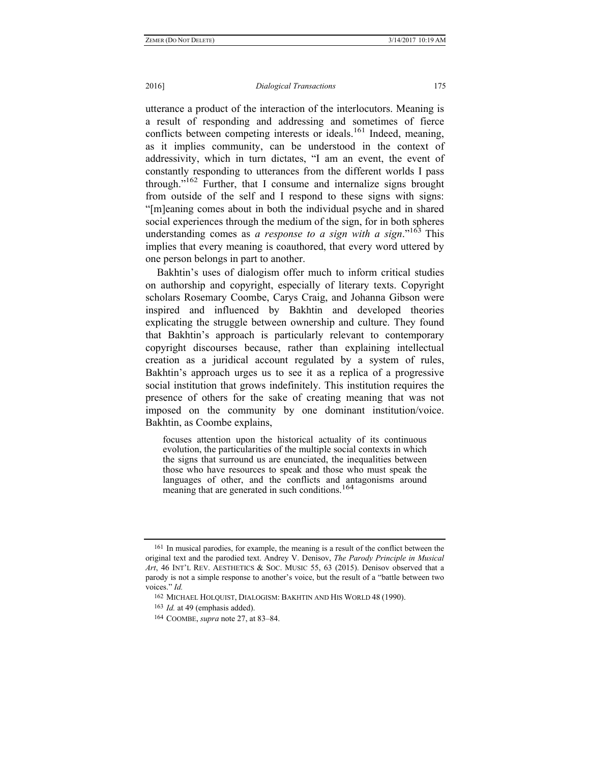utterance a product of the interaction of the interlocutors. Meaning is a result of responding and addressing and sometimes of fierce conflicts between competing interests or ideals.<sup>161</sup> Indeed, meaning, as it implies community, can be understood in the context of addressivity, which in turn dictates, "I am an event, the event of constantly responding to utterances from the different worlds I pass through."<sup>162</sup> Further, that I consume and internalize signs brought from outside of the self and I respond to these signs with signs: "[m]eaning comes about in both the individual psyche and in shared social experiences through the medium of the sign, for in both spheres understanding comes as *a response to a sign with a sign*."163 This implies that every meaning is coauthored, that every word uttered by one person belongs in part to another.

Bakhtin's uses of dialogism offer much to inform critical studies on authorship and copyright, especially of literary texts. Copyright scholars Rosemary Coombe, Carys Craig, and Johanna Gibson were inspired and influenced by Bakhtin and developed theories explicating the struggle between ownership and culture. They found that Bakhtin's approach is particularly relevant to contemporary copyright discourses because, rather than explaining intellectual creation as a juridical account regulated by a system of rules, Bakhtin's approach urges us to see it as a replica of a progressive social institution that grows indefinitely. This institution requires the presence of others for the sake of creating meaning that was not imposed on the community by one dominant institution/voice. Bakhtin, as Coombe explains,

focuses attention upon the historical actuality of its continuous evolution, the particularities of the multiple social contexts in which the signs that surround us are enunciated, the inequalities between those who have resources to speak and those who must speak the languages of other, and the conflicts and antagonisms around meaning that are generated in such conditions.<sup>164</sup>

<sup>161</sup> In musical parodies, for example, the meaning is a result of the conflict between the original text and the parodied text. Andrey V. Denisov, *The Parody Principle in Musical Art*, 46 INT'L REV. AESTHETICS & SOC. MUSIC 55, 63 (2015). Denisov observed that a parody is not a simple response to another's voice, but the result of a "battle between two voices." *Id.*

<sup>162</sup> MICHAEL HOLQUIST, DIALOGISM: BAKHTIN AND HIS WORLD 48 (1990).

<sup>163</sup> *Id.* at 49 (emphasis added).

<sup>164</sup> COOMBE, *supra* note 27, at 83–84.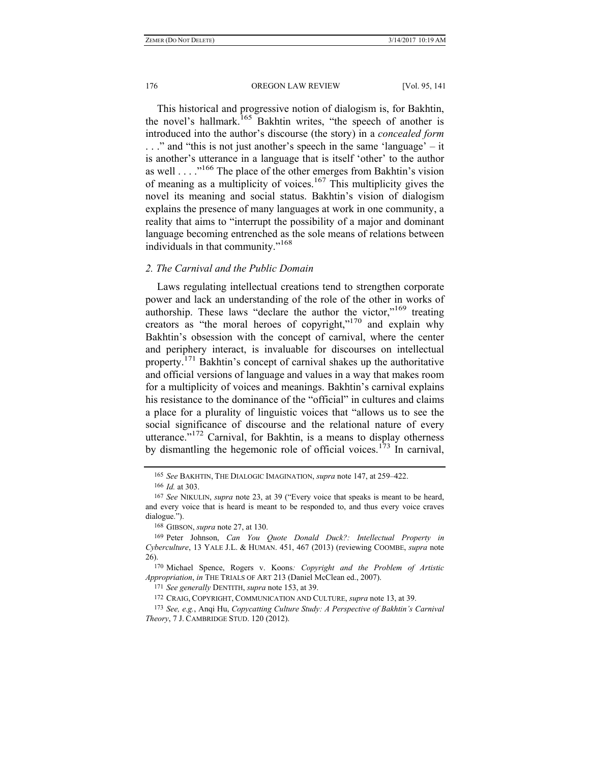This historical and progressive notion of dialogism is, for Bakhtin, the novel's hallmark.<sup>165</sup> Bakhtin writes, "the speech of another is introduced into the author's discourse (the story) in a *concealed form*  . . ." and "this is not just another's speech in the same 'language' – it is another's utterance in a language that is itself 'other' to the author as well  $\ldots$  . . .<sup>166</sup> The place of the other emerges from Bakhtin's vision of meaning as a multiplicity of voices.<sup>167</sup> This multiplicity gives the novel its meaning and social status. Bakhtin's vision of dialogism explains the presence of many languages at work in one community, a reality that aims to "interrupt the possibility of a major and dominant language becoming entrenched as the sole means of relations between individuals in that community."168

### *2. The Carnival and the Public Domain*

Laws regulating intellectual creations tend to strengthen corporate power and lack an understanding of the role of the other in works of authorship. These laws "declare the author the victor,"<sup>169</sup> treating creators as "the moral heroes of copyright,"170 and explain why Bakhtin's obsession with the concept of carnival, where the center and periphery interact, is invaluable for discourses on intellectual property.<sup>171</sup> Bakhtin's concept of carnival shakes up the authoritative and official versions of language and values in a way that makes room for a multiplicity of voices and meanings. Bakhtin's carnival explains his resistance to the dominance of the "official" in cultures and claims a place for a plurality of linguistic voices that "allows us to see the social significance of discourse and the relational nature of every utterance."<sup>172</sup> Carnival, for Bakhtin, is a means to display otherness by dismantling the hegemonic role of official voices.<sup>173</sup> In carnival,

<sup>165</sup> *See* BAKHTIN, THE DIALOGIC IMAGINATION, *supra* note 147, at 259–422. 166 *Id.* at 303.

<sup>167</sup> *See* NIKULIN, *supra* note 23, at 39 ("Every voice that speaks is meant to be heard, and every voice that is heard is meant to be responded to, and thus every voice craves dialogue.").

<sup>168</sup> GIBSON, *supra* note 27, at 130.

<sup>169</sup> Peter Johnson, *Can You Quote Donald Duck?: Intellectual Property in Cyberculture*, 13 YALE J.L. & HUMAN. 451, 467 (2013) (reviewing COOMBE, *supra* note 26).

<sup>170</sup> Michael Spence, Rogers v. Koons*: Copyright and the Problem of Artistic Appropriation*, *in* THE TRIALS OF ART 213 (Daniel McClean ed., 2007).

<sup>171</sup> *See generally* DENTITH, *supra* note 153, at 39.

<sup>172</sup> CRAIG, COPYRIGHT, COMMUNICATION AND CULTURE, *supra* note 13, at 39.

<sup>173</sup> *See, e.g.*, Anqi Hu, *Copycatting Culture Study: A Perspective of Bakhtin's Carnival Theory*, 7 J. CAMBRIDGE STUD. 120 (2012).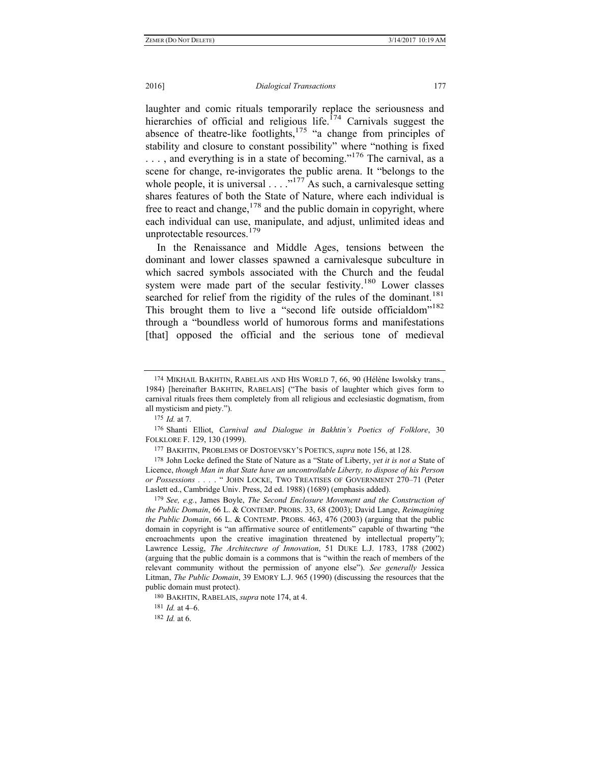laughter and comic rituals temporarily replace the seriousness and hierarchies of official and religious life.<sup>174</sup> Carnivals suggest the absence of theatre-like footlights, $175$  "a change from principles of stability and closure to constant possibility" where "nothing is fixed  $\dots$ , and everything is in a state of becoming."<sup>176</sup> The carnival, as a scene for change, re-invigorates the public arena. It "belongs to the whole people, it is universal  $\ldots$ <sup>177</sup> As such, a carnivalesque setting shares features of both the State of Nature, where each individual is free to react and change,  $178$  and the public domain in copyright, where each individual can use, manipulate, and adjust, unlimited ideas and unprotectable resources. $179$ 

In the Renaissance and Middle Ages, tensions between the dominant and lower classes spawned a carnivalesque subculture in which sacred symbols associated with the Church and the feudal system were made part of the secular festivity.<sup>180</sup> Lower classes searched for relief from the rigidity of the rules of the dominant.<sup>181</sup> This brought them to live a "second life outside officialdom"<sup>182</sup> through a "boundless world of humorous forms and manifestations [that] opposed the official and the serious tone of medieval

182 *Id.* at 6.

<sup>174</sup> MIKHAIL BAKHTIN, RABELAIS AND HIS WORLD 7, 66, 90 (Hélène Iswolsky trans., 1984) [hereinafter BAKHTIN, RABELAIS] ("The basis of laughter which gives form to carnival rituals frees them completely from all religious and ecclesiastic dogmatism, from all mysticism and piety.").

<sup>175</sup> *Id.* at 7.

<sup>176</sup> Shanti Elliot, *Carnival and Dialogue in Bakhtin's Poetics of Folklore*, 30 FOLKLORE F. 129, 130 (1999).

<sup>177</sup> BAKHTIN, PROBLEMS OF DOSTOEVSKY'S POETICS, *supra* note 156, at 128.

<sup>178</sup> John Locke defined the State of Nature as a "State of Liberty, *yet it is not a* State of Licence, *though Man in that State have an uncontrollable Liberty, to dispose of his Person or Possessions . . .* . " JOHN LOCKE, TWO TREATISES OF GOVERNMENT 270–71 (Peter Laslett ed., Cambridge Univ. Press, 2d ed. 1988) (1689) (emphasis added).

<sup>179</sup> *See, e.g.*, James Boyle, *The Second Enclosure Movement and the Construction of the Public Domain*, 66 L. & CONTEMP. PROBS. 33, 68 (2003); David Lange, *Reimagining the Public Domain*, 66 L. & CONTEMP. PROBS. 463, 476 (2003) (arguing that the public domain in copyright is "an affirmative source of entitlements" capable of thwarting "the encroachments upon the creative imagination threatened by intellectual property"); Lawrence Lessig, *The Architecture of Innovation*, 51 DUKE L.J. 1783, 1788 (2002) (arguing that the public domain is a commons that is "within the reach of members of the relevant community without the permission of anyone else"). *See generally* Jessica Litman, *The Public Domain*, 39 EMORY L.J. 965 (1990) (discussing the resources that the public domain must protect).

<sup>180</sup> BAKHTIN, RABELAIS, *supra* note 174, at 4.

<sup>181</sup> *Id.* at 4–6.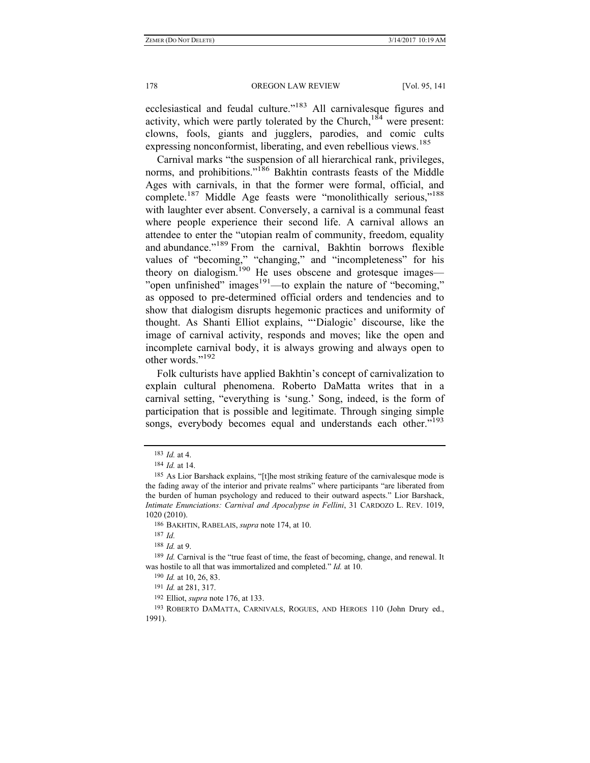ecclesiastical and feudal culture."183 All carnivalesque figures and activity, which were partly tolerated by the Church,<sup>184</sup> were present: clowns, fools, giants and jugglers, parodies, and comic cults expressing nonconformist, liberating, and even rebellious views.<sup>185</sup>

Carnival marks "the suspension of all hierarchical rank, privileges, norms, and prohibitions."<sup>186</sup> Bakhtin contrasts feasts of the Middle Ages with carnivals, in that the former were formal, official, and complete.<sup>187</sup> Middle Age feasts were "monolithically serious,"<sup>188</sup> with laughter ever absent. Conversely, a carnival is a communal feast where people experience their second life. A carnival allows an attendee to enter the "utopian realm of community, freedom, equality and abundance."<sup>189</sup> From the carnival, Bakhtin borrows flexible values of "becoming," "changing," and "incompleteness" for his theory on dialogism.<sup>190</sup> He uses obscene and grotesque images— "open unfinished" images $191$ —to explain the nature of "becoming," as opposed to pre-determined official orders and tendencies and to show that dialogism disrupts hegemonic practices and uniformity of thought. As Shanti Elliot explains, "'Dialogic' discourse, like the image of carnival activity, responds and moves; like the open and incomplete carnival body, it is always growing and always open to other words."192

Folk culturists have applied Bakhtin's concept of carnivalization to explain cultural phenomena. Roberto DaMatta writes that in a carnival setting, "everything is 'sung.' Song, indeed, is the form of participation that is possible and legitimate. Through singing simple songs, everybody becomes equal and understands each other."<sup>193</sup>

<sup>183</sup> *Id.* at 4.

<sup>184</sup> *Id.* at 14.

<sup>185</sup> As Lior Barshack explains, "[t]he most striking feature of the carnivalesque mode is the fading away of the interior and private realms" where participants "are liberated from the burden of human psychology and reduced to their outward aspects." Lior Barshack, *Intimate Enunciations: Carnival and Apocalypse in Fellini*, 31 CARDOZO L. REV. 1019, 1020 (2010).

<sup>186</sup> BAKHTIN, RABELAIS, *supra* note 174, at 10.

<sup>187</sup> *Id.* 

<sup>188</sup> *Id.* at 9.

<sup>189</sup> *Id.* Carnival is the "true feast of time, the feast of becoming, change, and renewal. It was hostile to all that was immortalized and completed." *Id.* at 10.

<sup>190</sup> *Id.* at 10, 26, 83.

<sup>191</sup> *Id.* at 281, 317.

<sup>192</sup> Elliot, *supra* note 176, at 133.

<sup>193</sup> ROBERTO DAMATTA, CARNIVALS, ROGUES, AND HEROES 110 (John Drury ed., 1991).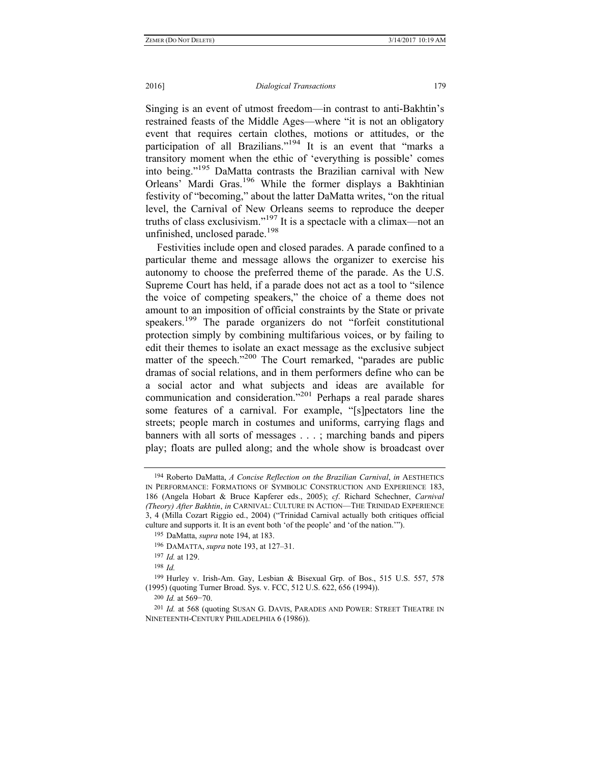Singing is an event of utmost freedom—in contrast to anti-Bakhtin's restrained feasts of the Middle Ages—where "it is not an obligatory event that requires certain clothes, motions or attitudes, or the participation of all Brazilians."<sup>194</sup> It is an event that "marks a transitory moment when the ethic of 'everything is possible' comes into being."195 DaMatta contrasts the Brazilian carnival with New Orleans' Mardi Gras.196 While the former displays a Bakhtinian festivity of "becoming," about the latter DaMatta writes, "on the ritual level, the Carnival of New Orleans seems to reproduce the deeper truths of class exclusivism."197 It is a spectacle with a climax—not an unfinished, unclosed parade.<sup>198</sup>

Festivities include open and closed parades. A parade confined to a particular theme and message allows the organizer to exercise his autonomy to choose the preferred theme of the parade. As the U.S. Supreme Court has held, if a parade does not act as a tool to "silence the voice of competing speakers," the choice of a theme does not amount to an imposition of official constraints by the State or private speakers.<sup>199</sup> The parade organizers do not "forfeit constitutional" protection simply by combining multifarious voices, or by failing to edit their themes to isolate an exact message as the exclusive subject matter of the speech."<sup>200</sup> The Court remarked, "parades are public dramas of social relations, and in them performers define who can be a social actor and what subjects and ideas are available for communication and consideration."201 Perhaps a real parade shares some features of a carnival. For example, "[s]pectators line the streets; people march in costumes and uniforms, carrying flags and banners with all sorts of messages . . . ; marching bands and pipers play; floats are pulled along; and the whole show is broadcast over

<sup>194</sup> Roberto DaMatta, *A Concise Reflection on the Brazilian Carnival*, *in* AESTHETICS IN PERFORMANCE: FORMATIONS OF SYMBOLIC CONSTRUCTION AND EXPERIENCE 183, 186 (Angela Hobart & Bruce Kapferer eds., 2005); *cf*. Richard Schechner, *Carnival (Theory) After Bakhtin*, *in* CARNIVAL: CULTURE IN ACTION—THE TRINIDAD EXPERIENCE 3, 4 (Milla Cozart Riggio ed., 2004) ("Trinidad Carnival actually both critiques official culture and supports it. It is an event both 'of the people' and 'of the nation.'").

<sup>195</sup> DaMatta, *supra* note 194, at 183.

<sup>196</sup> DAMATTA, *supra* note 193, at 127–31.

<sup>197</sup> *Id.* at 129.

<sup>198</sup> *Id.*

<sup>199</sup> Hurley v. Irish-Am. Gay, Lesbian & Bisexual Grp. of Bos., 515 U.S. 557, 578 (1995) (quoting Turner Broad. Sys. v. FCC, 512 U.S. 622, 656 (1994)).

<sup>200</sup> *Id.* at 569−70.

<sup>201</sup> *Id.* at 568 (quoting SUSAN G. DAVIS, PARADES AND POWER: STREET THEATRE IN NINETEENTH-CENTURY PHILADELPHIA 6 (1986)).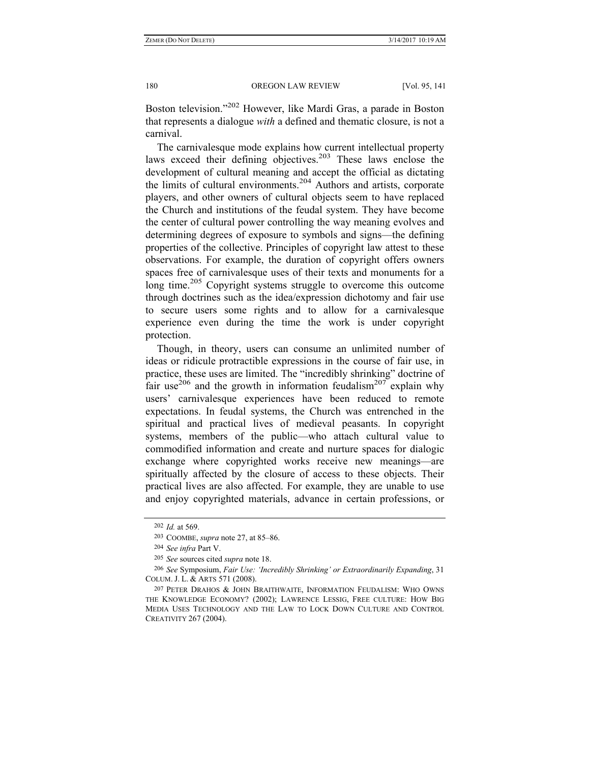Boston television."202 However, like Mardi Gras, a parade in Boston that represents a dialogue *with* a defined and thematic closure, is not a carnival.

The carnivalesque mode explains how current intellectual property laws exceed their defining objectives.<sup>203</sup> These laws enclose the development of cultural meaning and accept the official as dictating the limits of cultural environments.<sup>204</sup> Authors and artists, corporate players, and other owners of cultural objects seem to have replaced the Church and institutions of the feudal system. They have become the center of cultural power controlling the way meaning evolves and determining degrees of exposure to symbols and signs—the defining properties of the collective. Principles of copyright law attest to these observations. For example, the duration of copyright offers owners spaces free of carnivalesque uses of their texts and monuments for a long time.<sup>205</sup> Copyright systems struggle to overcome this outcome through doctrines such as the idea/expression dichotomy and fair use to secure users some rights and to allow for a carnivalesque experience even during the time the work is under copyright protection.

Though, in theory, users can consume an unlimited number of ideas or ridicule protractible expressions in the course of fair use, in practice, these uses are limited. The "incredibly shrinking" doctrine of fair use<sup>206</sup> and the growth in information feudalism<sup>207</sup> explain why users' carnivalesque experiences have been reduced to remote expectations. In feudal systems, the Church was entrenched in the spiritual and practical lives of medieval peasants. In copyright systems, members of the public—who attach cultural value to commodified information and create and nurture spaces for dialogic exchange where copyrighted works receive new meanings—are spiritually affected by the closure of access to these objects. Their practical lives are also affected. For example, they are unable to use and enjoy copyrighted materials, advance in certain professions, or

<sup>202</sup> *Id.* at 569.

<sup>203</sup> COOMBE, *supra* note 27, at 85–86.

<sup>204</sup> *See infra* Part V.

<sup>205</sup> *See* sources cited *supra* note 18.

<sup>206</sup> *See* Symposium, *Fair Use: 'Incredibly Shrinking' or Extraordinarily Expanding*, 31 COLUM. J. L. & ARTS 571 (2008).

<sup>207</sup> PETER DRAHOS & JOHN BRAITHWAITE, INFORMATION FEUDALISM: WHO OWNS THE KNOWLEDGE ECONOMY? (2002); LAWRENCE LESSIG, FREE CULTURE: HOW BIG MEDIA USES TECHNOLOGY AND THE LAW TO LOCK DOWN CULTURE AND CONTROL CREATIVITY 267 (2004).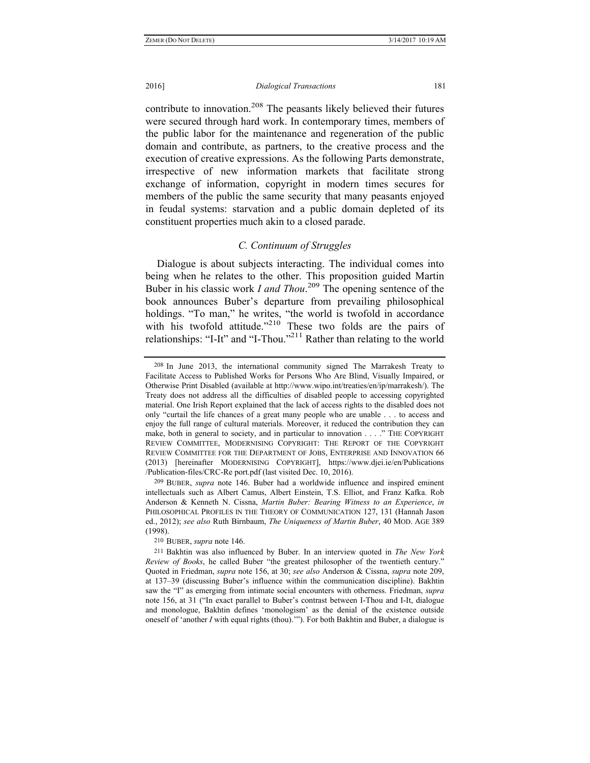contribute to innovation.<sup>208</sup> The peasants likely believed their futures were secured through hard work. In contemporary times, members of the public labor for the maintenance and regeneration of the public domain and contribute, as partners, to the creative process and the execution of creative expressions. As the following Parts demonstrate, irrespective of new information markets that facilitate strong exchange of information, copyright in modern times secures for members of the public the same security that many peasants enjoyed in feudal systems: starvation and a public domain depleted of its constituent properties much akin to a closed parade.

# *C. Continuum of Struggles*

Dialogue is about subjects interacting. The individual comes into being when he relates to the other. This proposition guided Martin Buber in his classic work *I and Thou*. 209 The opening sentence of the book announces Buber's departure from prevailing philosophical holdings. "To man," he writes, "the world is twofold in accordance with his twofold attitude."<sup>210</sup> These two folds are the pairs of relationships: "I-It" and "I-Thou."<sup>211</sup> Rather than relating to the world

210 BUBER, *supra* note 146.

<sup>208</sup> In June 2013, the international community signed The Marrakesh Treaty to Facilitate Access to Published Works for Persons Who Are Blind, Visually Impaired, or Otherwise Print Disabled (available at http://www.wipo.int/treaties/en/ip/marrakesh/). The Treaty does not address all the difficulties of disabled people to accessing copyrighted material. One Irish Report explained that the lack of access rights to the disabled does not only "curtail the life chances of a great many people who are unable . . . to access and enjoy the full range of cultural materials. Moreover, it reduced the contribution they can make, both in general to society, and in particular to innovation . . . ." THE COPYRIGHT REVIEW COMMITTEE, MODERNISING COPYRIGHT: THE REPORT OF THE COPYRIGHT REVIEW COMMITTEE FOR THE DEPARTMENT OF JOBS, ENTERPRISE AND INNOVATION 66 (2013) [hereinafter MODERNISING COPYRIGHT], https://www.djei.ie/en/Publications /Publication-files/CRC-Re port.pdf (last visited Dec. 10, 2016).

<sup>209</sup> BUBER, *supra* note 146. Buber had a worldwide influence and inspired eminent intellectuals such as Albert Camus, Albert Einstein, T.S. Elliot, and Franz Kafka. Rob Anderson & Kenneth N. Cissna, *Martin Buber: Bearing Witness to an Experience*, *in* PHILOSOPHICAL PROFILES IN THE THEORY OF COMMUNICATION 127, 131 (Hannah Jason ed., 2012); *see also* Ruth Birnbaum, *The Uniqueness of Martin Buber*, 40 MOD. AGE 389 (1998).

<sup>211</sup> Bakhtin was also influenced by Buber. In an interview quoted in *The New York Review of Books*, he called Buber "the greatest philosopher of the twentieth century." Quoted in Friedman, *supra* note 156, at 30; *see also* Anderson & Cissna, *supra* note 209, at 137–39 (discussing Buber's influence within the communication discipline). Bakhtin saw the "I" as emerging from intimate social encounters with otherness. Friedman, *supra* note 156, at 31 ("In exact parallel to Buber's contrast between I-Thou and I-It, dialogue and monologue, Bakhtin defines 'monologism' as the denial of the existence outside oneself of 'another *I* with equal rights (thou).'"). For both Bakhtin and Buber, a dialogue is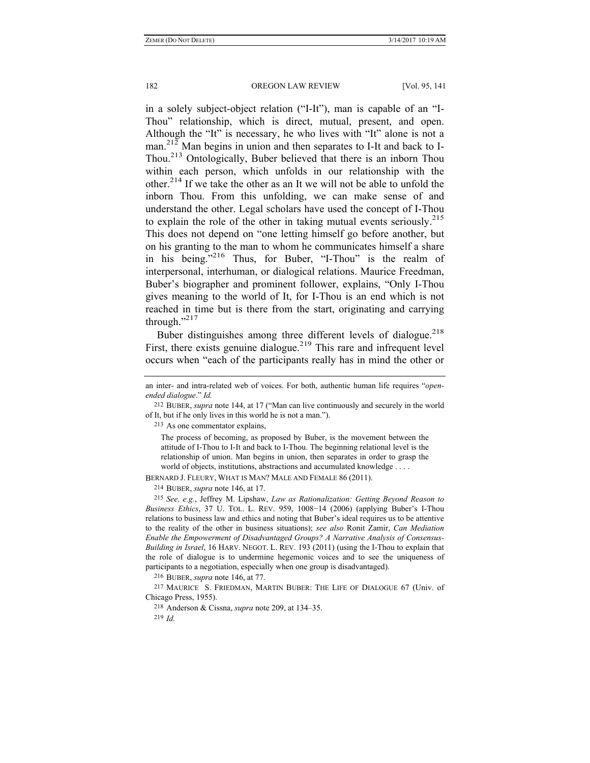in a solely subject-object relation ("I-It"), man is capable of an "I-Thou" relationship, which is direct, mutual, present, and open. Although the "It" is necessary, he who lives with "It" alone is not a man.<sup>212</sup> Man begins in union and then separates to I-It and back to I-Thou.213 Ontologically, Buber believed that there is an inborn Thou within each person, which unfolds in our relationship with the other.<sup>214</sup> If we take the other as an It we will not be able to unfold the inborn Thou. From this unfolding, we can make sense of and understand the other. Legal scholars have used the concept of I-Thou to explain the role of the other in taking mutual events seriously.<sup>215</sup> This does not depend on "one letting himself go before another, but on his granting to the man to whom he communicates himself a share in his being."216 Thus, for Buber, "I-Thou" is the realm of interpersonal, interhuman, or dialogical relations. Maurice Freedman, Buber's biographer and prominent follower, explains, "Only I-Thou gives meaning to the world of It, for I-Thou is an end which is not reached in time but is there from the start, originating and carrying through." $^{217}$ 

Buber distinguishes among three different levels of dialogue.<sup>218</sup> First, there exists genuine dialogue.<sup>219</sup> This rare and infrequent level occurs when "each of the participants really has in mind the other or

213 As one commentator explains,

The process of becoming, as proposed by Buber, is the movement between the attitude of I-Thou to I-It and back to I-Thou. The beginning relational level is the relationship of union. Man begins in union, then separates in order to grasp the world of objects, institutions, abstractions and accumulated knowledge . . . .

BERNARD J. FLEURY, WHAT IS MAN? MALE AND FEMALE 86 (2011).

214 BUBER, *supra* note 146, at 17.

215 *See, e.g.*, Jeffrey M. Lipshaw, *Law as Rationalization: Getting Beyond Reason to Business Ethics*, 37 U. TOL. L. REV. 959, 1008−14 (2006) (applying Buber's I-Thou relations to business law and ethics and noting that Buber's ideal requires us to be attentive to the reality of the other in business situations); *see also* Ronit Zamir, *Can Mediation Enable the Empowerment of Disadvantaged Groups? A Narrative Analysis of Consensus-Building in Israel*, 16 HARV. NEGOT. L. REV. 193 (2011) (using the I-Thou to explain that the role of dialogue is to undermine hegemonic voices and to see the uniqueness of participants to a negotiation, especially when one group is disadvantaged).

216 BUBER, *supra* note 146, at 77.

217 MAURICE S. FRIEDMAN, MARTIN BUBER: THE LIFE OF DIALOGUE 67 (Univ. of Chicago Press, 1955).

218 Anderson & Cissna, *supra* note 209, at 134–35.

219 *Id.* 

an inter- and intra-related web of voices. For both, authentic human life requires "*openended dialogue*." *Id.*

<sup>212</sup> BUBER, *supra* note 144, at 17 ("Man can live continuously and securely in the world of It, but if he only lives in this world he is not a man.").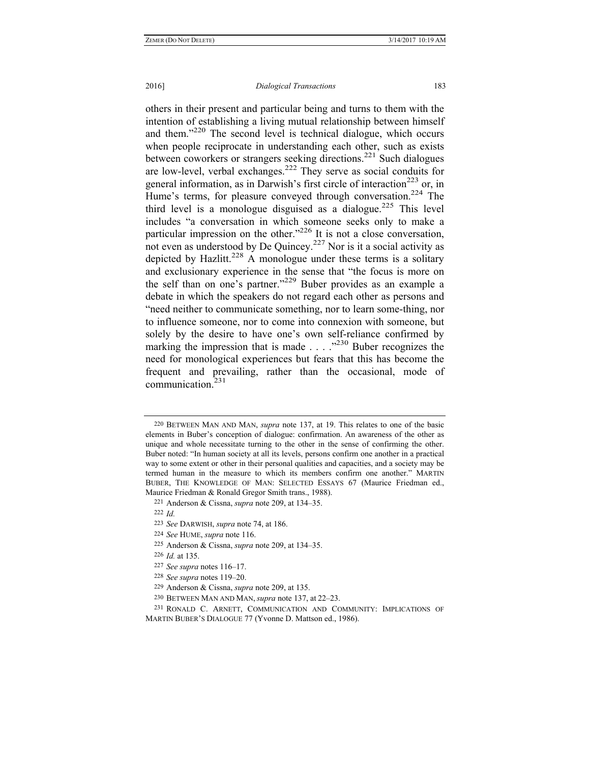others in their present and particular being and turns to them with the intention of establishing a living mutual relationship between himself and them."<sup>220</sup> The second level is technical dialogue, which occurs when people reciprocate in understanding each other, such as exists between coworkers or strangers seeking directions.<sup>221</sup> Such dialogues are low-level, verbal exchanges.222 They serve as social conduits for general information, as in Darwish's first circle of interaction<sup>223</sup> or, in Hume's terms, for pleasure conveyed through conversation.<sup>224</sup> The third level is a monologue disguised as a dialogue.<sup>225</sup> This level includes "a conversation in which someone seeks only to make a particular impression on the other."226 It is not a close conversation, not even as understood by De Quincey.<sup>227</sup> Nor is it a social activity as depicted by Hazlitt.<sup>228</sup> A monologue under these terms is a solitary and exclusionary experience in the sense that "the focus is more on the self than on one's partner."229 Buber provides as an example a debate in which the speakers do not regard each other as persons and "need neither to communicate something, nor to learn some-thing, nor to influence someone, nor to come into connexion with someone, but solely by the desire to have one's own self-reliance confirmed by marking the impression that is made . . . . . <sup>2230</sup> Buber recognizes the need for monological experiences but fears that this has become the frequent and prevailing, rather than the occasional, mode of communication.231

<sup>220</sup> BETWEEN MAN AND MAN, *supra* note 137, at 19. This relates to one of the basic elements in Buber's conception of dialogue: confirmation. An awareness of the other as unique and whole necessitate turning to the other in the sense of confirming the other. Buber noted: "In human society at all its levels, persons confirm one another in a practical way to some extent or other in their personal qualities and capacities, and a society may be termed human in the measure to which its members confirm one another." MARTIN BUBER, THE KNOWLEDGE OF MAN: SELECTED ESSAYS 67 (Maurice Friedman ed., Maurice Friedman & Ronald Gregor Smith trans., 1988).

<sup>221</sup> Anderson & Cissna, *supra* note 209, at 134–35.

<sup>222</sup> *Id.* 

<sup>223</sup> *See* DARWISH, *supra* note 74, at 186.

<sup>224</sup> *See* HUME, *supra* note 116.

<sup>225</sup> Anderson & Cissna, *supra* note 209, at 134–35.

<sup>226</sup> *Id.* at 135.

<sup>227</sup> *See supra* notes 116–17.

<sup>228</sup> *See supra* notes 119–20.

<sup>229</sup> Anderson & Cissna, *supra* note 209, at 135.

<sup>230</sup> BETWEEN MAN AND MAN, *supra* note 137, at 22–23.

<sup>231</sup> RONALD C. ARNETT, COMMUNICATION AND COMMUNITY: IMPLICATIONS OF MARTIN BUBER'S DIALOGUE 77 (Yvonne D. Mattson ed., 1986).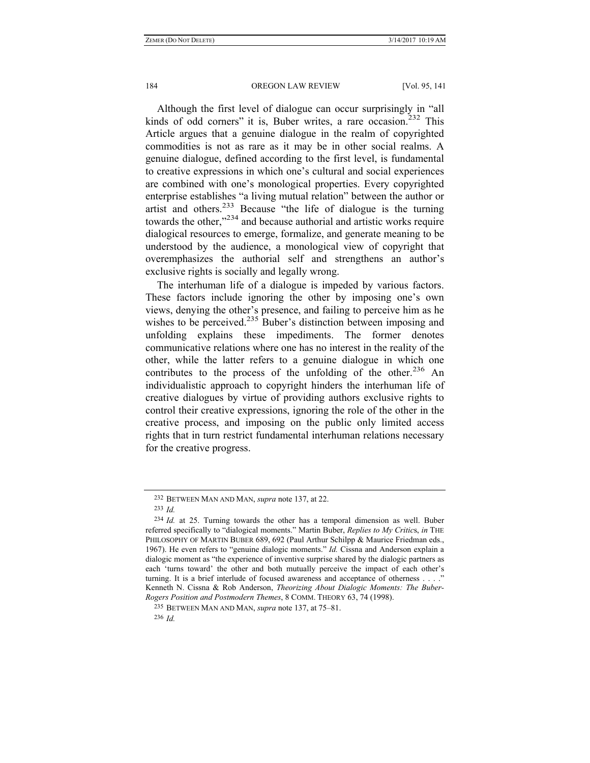Although the first level of dialogue can occur surprisingly in "all kinds of odd corners" it is, Buber writes, a rare occasion.<sup>232</sup> This Article argues that a genuine dialogue in the realm of copyrighted commodities is not as rare as it may be in other social realms. A genuine dialogue, defined according to the first level, is fundamental to creative expressions in which one's cultural and social experiences are combined with one's monological properties. Every copyrighted enterprise establishes "a living mutual relation" between the author or artist and others.<sup>233</sup> Because "the life of dialogue is the turning towards the other,"<sup>234</sup> and because authorial and artistic works require dialogical resources to emerge, formalize, and generate meaning to be understood by the audience, a monological view of copyright that overemphasizes the authorial self and strengthens an author's exclusive rights is socially and legally wrong.

The interhuman life of a dialogue is impeded by various factors. These factors include ignoring the other by imposing one's own views, denying the other's presence, and failing to perceive him as he wishes to be perceived.<sup>235</sup> Buber's distinction between imposing and unfolding explains these impediments. The former denotes communicative relations where one has no interest in the reality of the other, while the latter refers to a genuine dialogue in which one contributes to the process of the unfolding of the other.<sup>236</sup> An individualistic approach to copyright hinders the interhuman life of creative dialogues by virtue of providing authors exclusive rights to control their creative expressions, ignoring the role of the other in the creative process, and imposing on the public only limited access rights that in turn restrict fundamental interhuman relations necessary for the creative progress.

<sup>232</sup> BETWEEN MAN AND MAN, *supra* note 137, at 22.

<sup>233</sup> *Id.*

<sup>234</sup> *Id.* at 25. Turning towards the other has a temporal dimension as well. Buber referred specifically to "dialogical moments." Martin Buber, *Replies to My Critic*s, *in* THE PHILOSOPHY OF MARTIN BUBER 689, 692 (Paul Arthur Schilpp & Maurice Friedman eds., 1967). He even refers to "genuine dialogic moments." *Id.* Cissna and Anderson explain a dialogic moment as "the experience of inventive surprise shared by the dialogic partners as each 'turns toward' the other and both mutually perceive the impact of each other's turning. It is a brief interlude of focused awareness and acceptance of otherness . . . ." Kenneth N. Cissna & Rob Anderson, *Theorizing About Dialogic Moments: The Buber-Rogers Position and Postmodern Themes*, 8 COMM. THEORY 63, 74 (1998).

<sup>235</sup> BETWEEN MAN AND MAN, *supra* note 137, at 75–81.

<sup>236</sup> *Id.*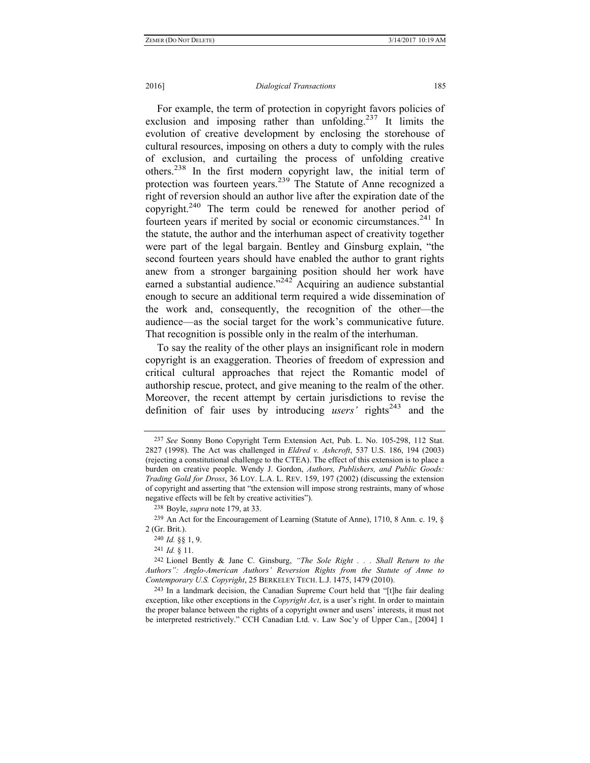#### 2016] *Dialogical Transactions* 185

For example, the term of protection in copyright favors policies of exclusion and imposing rather than unfolding.<sup>237</sup> It limits the evolution of creative development by enclosing the storehouse of cultural resources, imposing on others a duty to comply with the rules of exclusion, and curtailing the process of unfolding creative others.238 In the first modern copyright law, the initial term of protection was fourteen years.239 The Statute of Anne recognized a right of reversion should an author live after the expiration date of the copyright.<sup>240</sup> The term could be renewed for another period of fourteen years if merited by social or economic circumstances.<sup>241</sup> In the statute, the author and the interhuman aspect of creativity together were part of the legal bargain. Bentley and Ginsburg explain, "the second fourteen years should have enabled the author to grant rights anew from a stronger bargaining position should her work have earned a substantial audience."242 Acquiring an audience substantial enough to secure an additional term required a wide dissemination of the work and, consequently, the recognition of the other—the audience—as the social target for the work's communicative future. That recognition is possible only in the realm of the interhuman.

To say the reality of the other plays an insignificant role in modern copyright is an exaggeration. Theories of freedom of expression and critical cultural approaches that reject the Romantic model of authorship rescue, protect, and give meaning to the realm of the other. Moreover, the recent attempt by certain jurisdictions to revise the definition of fair uses by introducing *users'* rights<sup>243</sup> and the

238 Boyle, *supra* note 179, at 33.

239 An Act for the Encouragement of Learning (Statute of Anne), 1710, 8 Ann. c. 19, § 2 (Gr. Brit.).

240 *Id.* §§ 1, 9.

241 *Id.* § 11.

242 Lionel Bently & Jane C. Ginsburg, *"The Sole Right . . . Shall Return to the Authors": Anglo-American Authors' Reversion Rights from the Statute of Anne to Contemporary U.S. Copyright*, 25 BERKELEY TECH. L.J. 1475, 1479 (2010).

243 In a landmark decision, the Canadian Supreme Court held that "[t]he fair dealing exception, like other exceptions in the *Copyright Act*, is a user's right. In order to maintain the proper balance between the rights of a copyright owner and users' interests, it must not be interpreted restrictively." CCH Canadian Ltd. v. Law Soc'y of Upper Can., [2004] 1

<sup>237</sup> *See* Sonny Bono Copyright Term Extension Act, Pub. L. No. 105-298, 112 Stat. 2827 (1998). The Act was challenged in *Eldred v. Ashcroft*, 537 U.S. 186, 194 (2003) (rejecting a constitutional challenge to the CTEA). The effect of this extension is to place a burden on creative people. Wendy J. Gordon, *Authors, Publishers, and Public Goods: Trading Gold for Dross*, 36 LOY. L.A. L. REV. 159, 197 (2002) (discussing the extension of copyright and asserting that "the extension will impose strong restraints, many of whose negative effects will be felt by creative activities").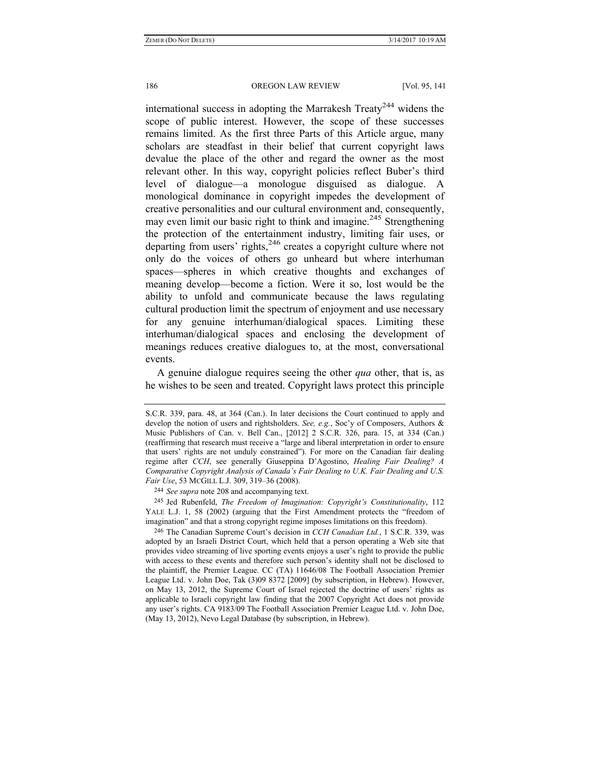international success in adopting the Marrakesh Treaty<sup>244</sup> widens the scope of public interest. However, the scope of these successes remains limited. As the first three Parts of this Article argue, many scholars are steadfast in their belief that current copyright laws devalue the place of the other and regard the owner as the most relevant other. In this way, copyright policies reflect Buber's third level of dialogue—a monologue disguised as dialogue. A monological dominance in copyright impedes the development of creative personalities and our cultural environment and, consequently, may even limit our basic right to think and imagine.<sup>245</sup> Strengthening the protection of the entertainment industry, limiting fair uses, or departing from users' rights,<sup>246</sup> creates a copyright culture where not only do the voices of others go unheard but where interhuman spaces—spheres in which creative thoughts and exchanges of meaning develop—become a fiction. Were it so, lost would be the ability to unfold and communicate because the laws regulating cultural production limit the spectrum of enjoyment and use necessary for any genuine interhuman/dialogical spaces. Limiting these interhuman/dialogical spaces and enclosing the development of meanings reduces creative dialogues to, at the most, conversational events.

A genuine dialogue requires seeing the other *qua* other, that is, as he wishes to be seen and treated. Copyright laws protect this principle

245 Jed Rubenfeld, *The Freedom of Imagination: Copyright's Constitutionality*, 112 YALE L.J. 1, 58 (2002) (arguing that the First Amendment protects the "freedom of imagination" and that a strong copyright regime imposes limitations on this freedom).

246 The Canadian Supreme Court's decision in *CCH Canadian Ltd.*, 1 S.C.R. 339, was adopted by an Israeli District Court, which held that a person operating a Web site that provides video streaming of live sporting events enjoys a user's right to provide the public with access to these events and therefore such person's identity shall not be disclosed to the plaintiff, the Premier League. CC (TA) 11646/08 The Football Association Premier League Ltd. v. John Doe, Tak (3)09 8372 [2009] (by subscription, in Hebrew). However, on May 13, 2012, the Supreme Court of Israel rejected the doctrine of users' rights as applicable to Israeli copyright law finding that the 2007 Copyright Act does not provide any user's rights. CA 9183/09 The Football Association Premier League Ltd. v. John Doe, (May 13, 2012), Nevo Legal Database (by subscription, in Hebrew).

S.C.R. 339, para. 48, at 364 (Can.). In later decisions the Court continued to apply and develop the notion of users and rightsholders. *See, e.g.*, Soc'y of Composers, Authors & Music Publishers of Can. v. Bell Can., [2012] 2 S.C.R. 326, para. 15, at 334 (Can.) (reaffirming that research must receive a "large and liberal interpretation in order to ensure that users' rights are not unduly constrained"). For more on the Canadian fair dealing regime after *CCH*, see generally Giuseppina D'Agostino, *Healing Fair Dealing? A Comparative Copyright Analysis of Canada's Fair Dealing to U.K. Fair Dealing and U.S. Fair Use*, 53 MCGILL L.J. 309, 319–36 (2008).

<sup>244</sup> *See supra* note 208 and accompanying text.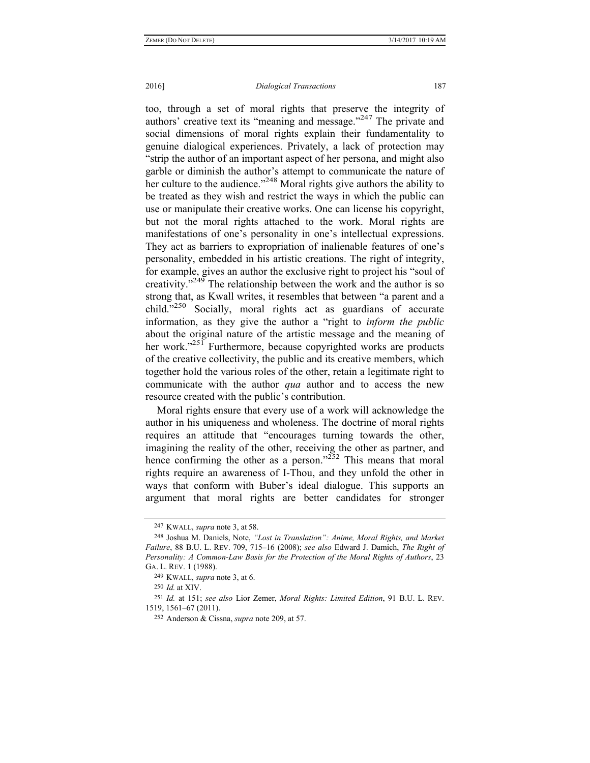### 2016] *Dialogical Transactions* 187

too, through a set of moral rights that preserve the integrity of authors' creative text its "meaning and message."<sup>247</sup> The private and social dimensions of moral rights explain their fundamentality to genuine dialogical experiences. Privately, a lack of protection may "strip the author of an important aspect of her persona, and might also garble or diminish the author's attempt to communicate the nature of her culture to the audience."<sup>248</sup> Moral rights give authors the ability to be treated as they wish and restrict the ways in which the public can use or manipulate their creative works. One can license his copyright, but not the moral rights attached to the work. Moral rights are manifestations of one's personality in one's intellectual expressions. They act as barriers to expropriation of inalienable features of one's personality, embedded in his artistic creations. The right of integrity, for example, gives an author the exclusive right to project his "soul of creativity."249 The relationship between the work and the author is so strong that, as Kwall writes, it resembles that between "a parent and a child."<sup>250</sup> Socially, moral rights act as guardians of accurate information, as they give the author a "right to *inform the public* about the original nature of the artistic message and the meaning of her work."<sup>251</sup> Furthermore, because copyrighted works are products of the creative collectivity, the public and its creative members, which together hold the various roles of the other, retain a legitimate right to communicate with the author *qua* author and to access the new resource created with the public's contribution.

Moral rights ensure that every use of a work will acknowledge the author in his uniqueness and wholeness. The doctrine of moral rights requires an attitude that "encourages turning towards the other, imagining the reality of the other, receiving the other as partner, and hence confirming the other as a person." $252$  This means that moral rights require an awareness of I-Thou, and they unfold the other in ways that conform with Buber's ideal dialogue. This supports an argument that moral rights are better candidates for stronger

<sup>247</sup> KWALL, *supra* note 3, at 58.

<sup>248</sup> Joshua M. Daniels, Note, *"Lost in Translation": Anime, Moral Rights, and Market Failure*, 88 B.U. L. REV. 709, 715–16 (2008); *see also* Edward J. Damich, *The Right of Personality: A Common-Law Basis for the Protection of the Moral Rights of Authors*, 23 GA. L. REV. 1 (1988).

<sup>249</sup> KWALL, *supra* note 3, at 6.

<sup>250</sup> *Id.* at XIV.

<sup>251</sup> *Id.* at 151; *see also* Lior Zemer, *Moral Rights: Limited Edition*, 91 B.U. L. REV. 1519, 1561–67 (2011).

<sup>252</sup> Anderson & Cissna, *supra* note 209, at 57.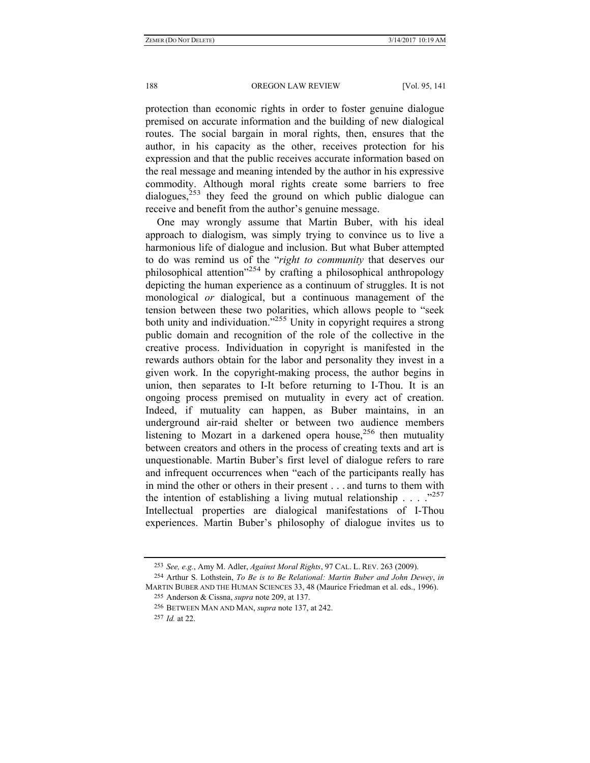protection than economic rights in order to foster genuine dialogue premised on accurate information and the building of new dialogical routes. The social bargain in moral rights, then, ensures that the author, in his capacity as the other, receives protection for his expression and that the public receives accurate information based on the real message and meaning intended by the author in his expressive commodity. Although moral rights create some barriers to free  $dialogues$ <sup>253</sup> they feed the ground on which public dialogue can receive and benefit from the author's genuine message.

One may wrongly assume that Martin Buber, with his ideal approach to dialogism, was simply trying to convince us to live a harmonious life of dialogue and inclusion. But what Buber attempted to do was remind us of the "*right to community* that deserves our philosophical attention"254 by crafting a philosophical anthropology depicting the human experience as a continuum of struggles. It is not monological *or* dialogical, but a continuous management of the tension between these two polarities, which allows people to "seek both unity and individuation.<sup>7255</sup> Unity in copyright requires a strong public domain and recognition of the role of the collective in the creative process. Individuation in copyright is manifested in the rewards authors obtain for the labor and personality they invest in a given work. In the copyright-making process, the author begins in union, then separates to I-It before returning to I-Thou. It is an ongoing process premised on mutuality in every act of creation. Indeed, if mutuality can happen, as Buber maintains, in an underground air-raid shelter or between two audience members listening to Mozart in a darkened opera house,<sup>256</sup> then mutuality between creators and others in the process of creating texts and art is unquestionable. Martin Buber's first level of dialogue refers to rare and infrequent occurrences when "each of the participants really has in mind the other or others in their present . . . and turns to them with the intention of establishing a living mutual relationship  $\ldots$  ...  $\frac{1}{257}$ Intellectual properties are dialogical manifestations of I-Thou experiences. Martin Buber's philosophy of dialogue invites us to

<sup>253</sup> *See, e.g.*, Amy M. Adler, *Against Moral Rights*, 97 CAL. L. REV. 263 (2009).

<sup>254</sup> Arthur S. Lothstein, *To Be is to Be Relational: Martin Buber and John Dewey*, *in* MARTIN BUBER AND THE HUMAN SCIENCES 33, 48 (Maurice Friedman et al. eds., 1996).

<sup>255</sup> Anderson & Cissna, *supra* note 209, at 137.

<sup>256</sup> BETWEEN MAN AND MAN, *supra* note 137, at 242.

<sup>257</sup> *Id.* at 22.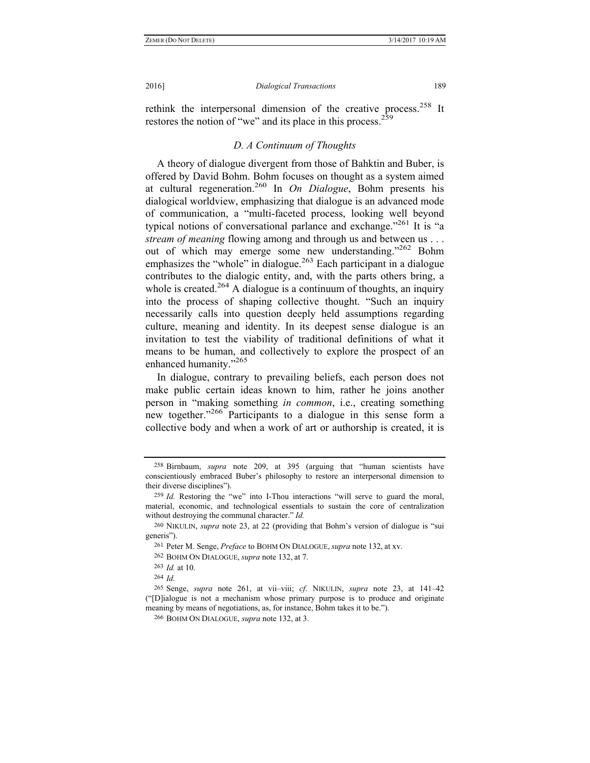rethink the interpersonal dimension of the creative process.<sup>258</sup> It restores the notion of "we" and its place in this process.<sup>259</sup>

# *D. A Continuum of Thoughts*

A theory of dialogue divergent from those of Bahktin and Buber, is offered by David Bohm. Bohm focuses on thought as a system aimed at cultural regeneration.260 In *On Dialogue*, Bohm presents his dialogical worldview, emphasizing that dialogue is an advanced mode of communication, a "multi-faceted process, looking well beyond typical notions of conversational parlance and exchange.<sup> $261$ </sup> It is "a *stream of meaning* flowing among and through us and between us . . . out of which may emerge some new understanding."<sup>262</sup> Bohm emphasizes the "whole" in dialogue.<sup>263</sup> Each participant in a dialogue. contributes to the dialogic entity, and, with the parts others bring, a whole is created.<sup>264</sup> A dialogue is a continuum of thoughts, an inquiry into the process of shaping collective thought. "Such an inquiry necessarily calls into question deeply held assumptions regarding culture, meaning and identity. In its deepest sense dialogue is an invitation to test the viability of traditional definitions of what it means to be human, and collectively to explore the prospect of an enhanced humanity."265

In dialogue, contrary to prevailing beliefs, each person does not make public certain ideas known to him, rather he joins another person in "making something *in common*, i.e., creating something new together."<sup>266</sup> Participants to a dialogue in this sense form a collective body and when a work of art or authorship is created, it is

<sup>258</sup> Birnbaum, *supra* note 209, at 395 (arguing that "human scientists have conscientiously embraced Buber's philosophy to restore an interpersonal dimension to their diverse disciplines").

<sup>259</sup> *Id.* Restoring the "we" into I-Thou interactions "will serve to guard the moral, material, economic, and technological essentials to sustain the core of centralization without destroying the communal character." *Id.*

<sup>260</sup> NIKULIN, *supra* note 23, at 22 (providing that Bohm's version of dialogue is "sui generis").

<sup>261</sup> Peter M. Senge, *Preface* to BOHM ON DIALOGUE, *supra* note 132, at xv.

<sup>262</sup> BOHM ON DIALOGUE, *supra* note 132, at 7.

<sup>263</sup> *Id.* at 10.

<sup>264</sup> *Id.* 

<sup>265</sup> Senge, *supra* note 261, at vii–viii; *cf*. NIKULIN, *supra* note 23, at 141–42 ("[D]ialogue is not a mechanism whose primary purpose is to produce and originate meaning by means of negotiations, as, for instance, Bohm takes it to be.").

<sup>266</sup> BOHM ON DIALOGUE, *supra* note 132, at 3.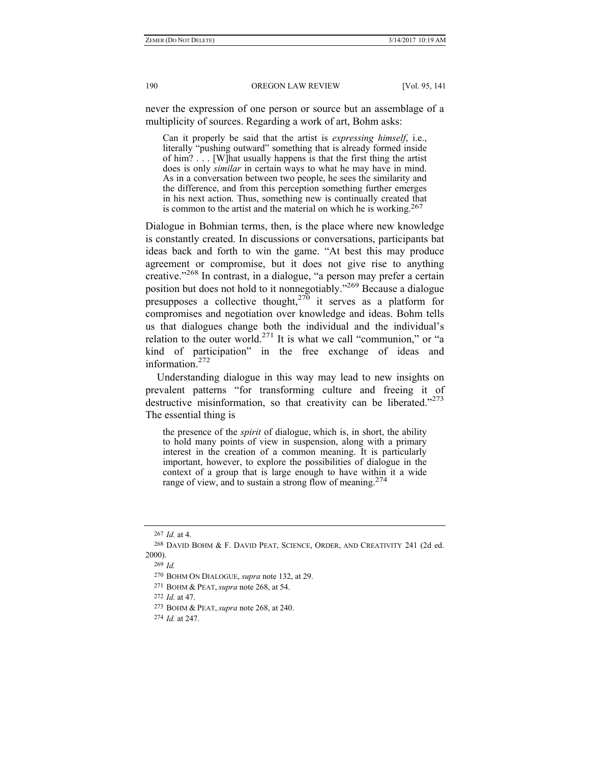never the expression of one person or source but an assemblage of a multiplicity of sources. Regarding a work of art, Bohm asks:

Can it properly be said that the artist is *expressing himself*, i.e., literally "pushing outward" something that is already formed inside of him? . . . [W]hat usually happens is that the first thing the artist does is only *similar* in certain ways to what he may have in mind. As in a conversation between two people, he sees the similarity and the difference, and from this perception something further emerges in his next action. Thus, something new is continually created that is common to the artist and the material on which he is working.<sup>267</sup>

Dialogue in Bohmian terms, then, is the place where new knowledge is constantly created. In discussions or conversations, participants bat ideas back and forth to win the game. "At best this may produce agreement or compromise, but it does not give rise to anything creative."<sup>268</sup> In contrast, in a dialogue, "a person may prefer a certain position but does not hold to it nonnegotiably."269 Because a dialogue presupposes a collective thought,<sup>270</sup> it serves as a platform for compromises and negotiation over knowledge and ideas. Bohm tells us that dialogues change both the individual and the individual's relation to the outer world.<sup>271</sup> It is what we call "communion," or "a kind of participation" in the free exchange of ideas and information $272$ 

Understanding dialogue in this way may lead to new insights on prevalent patterns "for transforming culture and freeing it of destructive misinformation, so that creativity can be liberated. $273$ The essential thing is

the presence of the *spirit* of dialogue, which is, in short, the ability to hold many points of view in suspension, along with a primary interest in the creation of a common meaning. It is particularly important, however, to explore the possibilities of dialogue in the context of a group that is large enough to have within it a wide range of view, and to sustain a strong flow of meaning.<sup>274</sup>

272 *Id.* at 47.

<sup>267</sup> *Id.* at 4.

<sup>268</sup> DAVID BOHM & F. DAVID PEAT, SCIENCE, ORDER, AND CREATIVITY 241 (2d ed. 2000).

<sup>269</sup> *Id.*

<sup>270</sup> BOHM ON DIALOGUE, *supra* note 132, at 29.

<sup>271</sup> BOHM & PEAT, *supra* note 268, at 54.

<sup>273</sup> BOHM & PEAT, *supra* note 268, at 240.

<sup>274</sup> *Id.* at 247.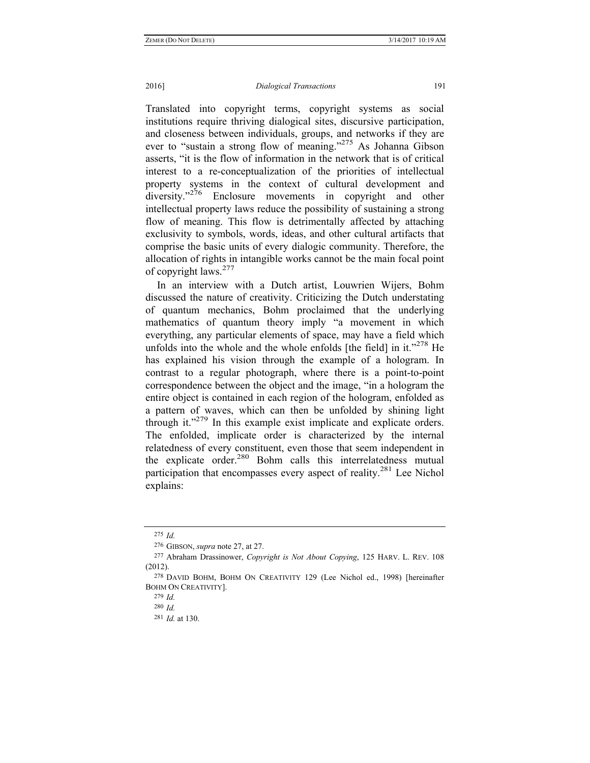Translated into copyright terms, copyright systems as social institutions require thriving dialogical sites, discursive participation, and closeness between individuals, groups, and networks if they are ever to "sustain a strong flow of meaning."275 As Johanna Gibson asserts, "it is the flow of information in the network that is of critical interest to a re-conceptualization of the priorities of intellectual property systems in the context of cultural development and diversity."<sup>276</sup> Enclosure movements in copyright and other intellectual property laws reduce the possibility of sustaining a strong flow of meaning. This flow is detrimentally affected by attaching exclusivity to symbols, words, ideas, and other cultural artifacts that comprise the basic units of every dialogic community. Therefore, the allocation of rights in intangible works cannot be the main focal point of copyright laws.<sup>277</sup>

In an interview with a Dutch artist, Louwrien Wijers, Bohm discussed the nature of creativity. Criticizing the Dutch understating of quantum mechanics, Bohm proclaimed that the underlying mathematics of quantum theory imply "a movement in which everything, any particular elements of space, may have a field which unfolds into the whole and the whole enfolds [the field] in it." $278$  He has explained his vision through the example of a hologram. In contrast to a regular photograph, where there is a point-to-point correspondence between the object and the image, "in a hologram the entire object is contained in each region of the hologram, enfolded as a pattern of waves, which can then be unfolded by shining light through it. $1279$  In this example exist implicate and explicate orders. The enfolded, implicate order is characterized by the internal relatedness of every constituent, even those that seem independent in the explicate order. $^{280}$  Bohm calls this interrelatedness mutual participation that encompasses every aspect of reality.<sup>281</sup> Lee Nichol explains:

<sup>275</sup> *Id.*

<sup>276</sup> GIBSON, *supra* note 27, at 27.

<sup>277</sup> Abraham Drassinower, *Copyright is Not About Copying*, 125 HARV. L. REV. 108 (2012).

<sup>278</sup> DAVID BOHM, BOHM ON CREATIVITY 129 (Lee Nichol ed., 1998) [hereinafter BOHM ON CREATIVITY].

<sup>279</sup> *Id.* 

<sup>280</sup> *Id.*

<sup>281</sup> *Id.* at 130.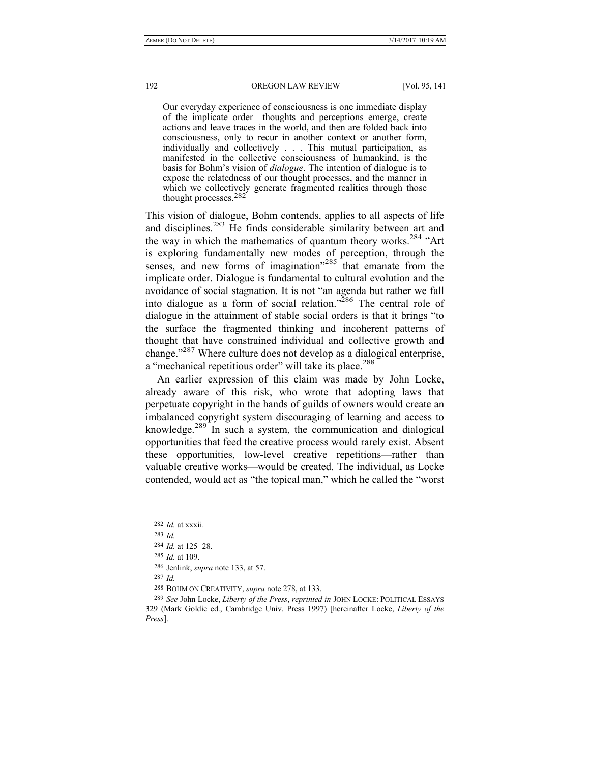Our everyday experience of consciousness is one immediate display of the implicate order—thoughts and perceptions emerge, create actions and leave traces in the world, and then are folded back into consciousness, only to recur in another context or another form, individually and collectively . . . This mutual participation, as manifested in the collective consciousness of humankind, is the basis for Bohm's vision of *dialogue*. The intention of dialogue is to expose the relatedness of our thought processes, and the manner in which we collectively generate fragmented realities through those thought processes.282

This vision of dialogue, Bohm contends, applies to all aspects of life and disciplines.<sup>283</sup> He finds considerable similarity between art and the way in which the mathematics of quantum theory works.<sup>284</sup> "Art" is exploring fundamentally new modes of perception, through the senses, and new forms of imagination<sup> $285$ </sup> that emanate from the implicate order. Dialogue is fundamental to cultural evolution and the avoidance of social stagnation. It is not "an agenda but rather we fall into dialogue as a form of social relation."<sup>286</sup> The central role of dialogue in the attainment of stable social orders is that it brings "to the surface the fragmented thinking and incoherent patterns of thought that have constrained individual and collective growth and change."<sup>287</sup> Where culture does not develop as a dialogical enterprise, a "mechanical repetitious order" will take its place.<sup>288</sup>

An earlier expression of this claim was made by John Locke, already aware of this risk, who wrote that adopting laws that perpetuate copyright in the hands of guilds of owners would create an imbalanced copyright system discouraging of learning and access to knowledge.<sup>289</sup> In such a system, the communication and dialogical opportunities that feed the creative process would rarely exist. Absent these opportunities, low-level creative repetitions—rather than valuable creative works—would be created. The individual, as Locke contended, would act as "the topical man," which he called the "worst

287 *Id.*

<sup>282</sup> *Id.* at xxxii.

<sup>283</sup> *Id.*

<sup>284</sup> *Id.* at 125−28.

<sup>285</sup> *Id.* at 109.

<sup>286</sup> Jenlink, *supra* note 133, at 57.

<sup>288</sup> BOHM ON CREATIVITY, *supra* note 278, at 133.

<sup>289</sup> *See* John Locke, *Liberty of the Press*, *reprinted in* JOHN LOCKE: POLITICAL ESSAYS 329 (Mark Goldie ed., Cambridge Univ. Press 1997) [hereinafter Locke, *Liberty of the Press*].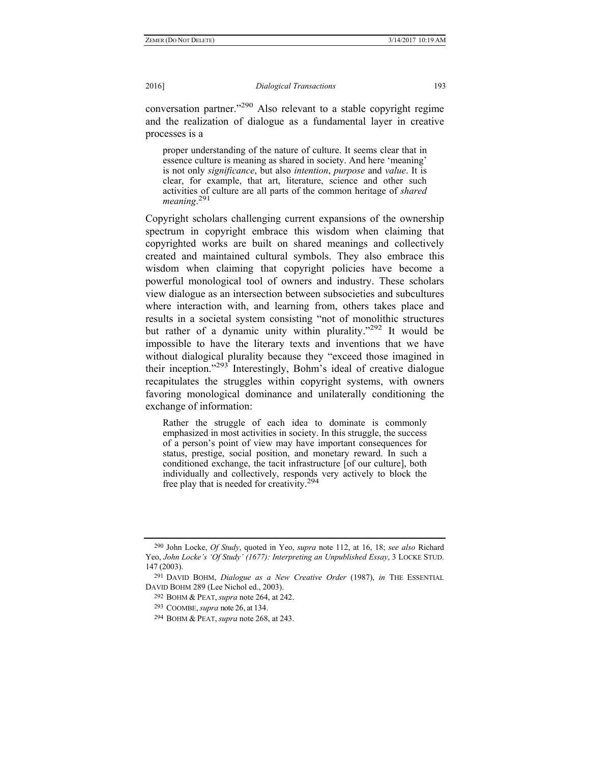conversation partner."290 Also relevant to a stable copyright regime and the realization of dialogue as a fundamental layer in creative processes is a

proper understanding of the nature of culture. It seems clear that in essence culture is meaning as shared in society. And here 'meaning' is not only *significance*, but also *intention*, *purpose* and *value*. It is clear, for example, that art, literature, science and other such activities of culture are all parts of the common heritage of *shared meaning*. 291

Copyright scholars challenging current expansions of the ownership spectrum in copyright embrace this wisdom when claiming that copyrighted works are built on shared meanings and collectively created and maintained cultural symbols. They also embrace this wisdom when claiming that copyright policies have become a powerful monological tool of owners and industry. These scholars view dialogue as an intersection between subsocieties and subcultures where interaction with, and learning from, others takes place and results in a societal system consisting "not of monolithic structures but rather of a dynamic unity within plurality."<sup>292</sup> It would be impossible to have the literary texts and inventions that we have without dialogical plurality because they "exceed those imagined in their inception."<sup>293</sup> Interestingly, Bohm's ideal of creative dialogue recapitulates the struggles within copyright systems, with owners favoring monological dominance and unilaterally conditioning the exchange of information:

Rather the struggle of each idea to dominate is commonly emphasized in most activities in society. In this struggle, the success of a person's point of view may have important consequences for status, prestige, social position, and monetary reward. In such a conditioned exchange, the tacit infrastructure [of our culture], both individually and collectively, responds very actively to block the free play that is needed for creativity.<sup>294</sup>

<sup>290</sup> John Locke, *Of Study*, quoted in Yeo, *supra* note 112, at 16, 18; *see also* Richard Yeo, *John Locke's 'Of Study' (1677): Interpreting an Unpublished Essay*, 3 LOCKE STUD. 147 (2003).

<sup>291</sup> DAVID BOHM, *Dialogue as a New Creative Order* (1987), *in* THE ESSENTIAL DAVID BOHM 289 (Lee Nichol ed., 2003).

<sup>292</sup> BOHM & PEAT, *supra* note 264, at 242.

<sup>293</sup> COOMBE, *supra* note 26, at 134.

<sup>294</sup> BOHM & PEAT, *supra* note 268, at 243.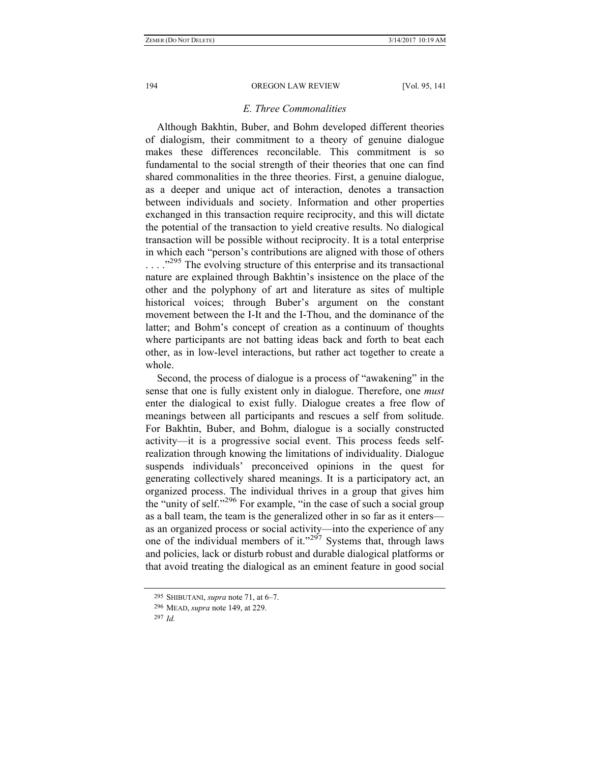## *E. Three Commonalities*

Although Bakhtin, Buber, and Bohm developed different theories of dialogism, their commitment to a theory of genuine dialogue makes these differences reconcilable. This commitment is so fundamental to the social strength of their theories that one can find shared commonalities in the three theories. First, a genuine dialogue, as a deeper and unique act of interaction, denotes a transaction between individuals and society. Information and other properties exchanged in this transaction require reciprocity, and this will dictate the potential of the transaction to yield creative results. No dialogical transaction will be possible without reciprocity. It is a total enterprise in which each "person's contributions are aligned with those of others  $\ldots$ <sup>295</sup>. The evolving structure of this enterprise and its transactional nature are explained through Bakhtin's insistence on the place of the other and the polyphony of art and literature as sites of multiple historical voices; through Buber's argument on the constant movement between the I-It and the I-Thou, and the dominance of the latter; and Bohm's concept of creation as a continuum of thoughts where participants are not batting ideas back and forth to beat each other, as in low-level interactions, but rather act together to create a whole.

Second, the process of dialogue is a process of "awakening" in the sense that one is fully existent only in dialogue. Therefore, one *must* enter the dialogical to exist fully. Dialogue creates a free flow of meanings between all participants and rescues a self from solitude. For Bakhtin, Buber, and Bohm, dialogue is a socially constructed activity—it is a progressive social event. This process feeds selfrealization through knowing the limitations of individuality. Dialogue suspends individuals' preconceived opinions in the quest for generating collectively shared meanings. It is a participatory act, an organized process. The individual thrives in a group that gives him the "unity of self."<sup>296</sup> For example, "in the case of such a social group as a ball team, the team is the generalized other in so far as it enters as an organized process or social activity—into the experience of any one of the individual members of it."<sup>297</sup> Systems that, through laws and policies, lack or disturb robust and durable dialogical platforms or that avoid treating the dialogical as an eminent feature in good social

<sup>295</sup> SHIBUTANI, *supra* note 71, at 6–7.

<sup>296</sup> MEAD, *supra* note 149, at 229.

<sup>297</sup> *Id.*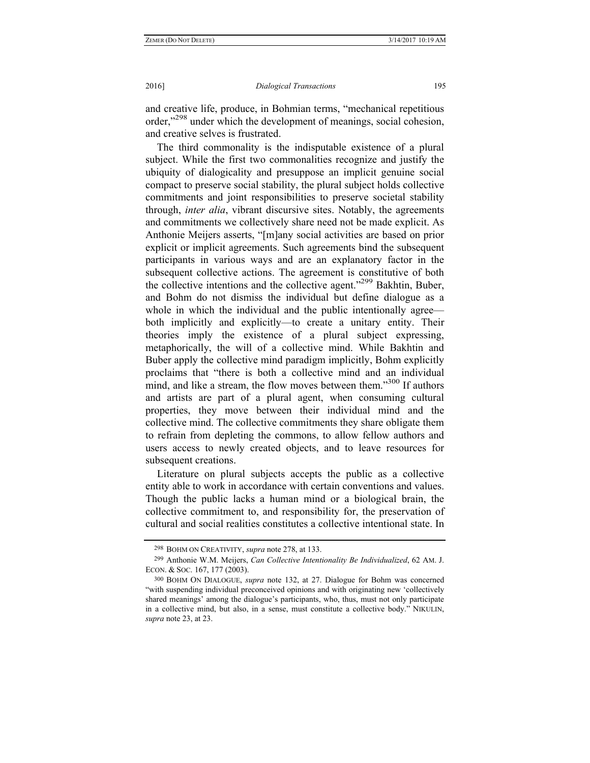and creative life, produce, in Bohmian terms, "mechanical repetitious order,"298 under which the development of meanings, social cohesion, and creative selves is frustrated.

The third commonality is the indisputable existence of a plural subject. While the first two commonalities recognize and justify the ubiquity of dialogicality and presuppose an implicit genuine social compact to preserve social stability, the plural subject holds collective commitments and joint responsibilities to preserve societal stability through, *inter alia*, vibrant discursive sites. Notably, the agreements and commitments we collectively share need not be made explicit. As Anthonie Meijers asserts, "[m]any social activities are based on prior explicit or implicit agreements. Such agreements bind the subsequent participants in various ways and are an explanatory factor in the subsequent collective actions. The agreement is constitutive of both the collective intentions and the collective agent."299 Bakhtin, Buber, and Bohm do not dismiss the individual but define dialogue as a whole in which the individual and the public intentionally agree both implicitly and explicitly—to create a unitary entity. Their theories imply the existence of a plural subject expressing, metaphorically, the will of a collective mind. While Bakhtin and Buber apply the collective mind paradigm implicitly, Bohm explicitly proclaims that "there is both a collective mind and an individual mind, and like a stream, the flow moves between them.<sup>3300</sup> If authors and artists are part of a plural agent, when consuming cultural properties, they move between their individual mind and the collective mind. The collective commitments they share obligate them to refrain from depleting the commons, to allow fellow authors and users access to newly created objects, and to leave resources for subsequent creations.

Literature on plural subjects accepts the public as a collective entity able to work in accordance with certain conventions and values. Though the public lacks a human mind or a biological brain, the collective commitment to, and responsibility for, the preservation of cultural and social realities constitutes a collective intentional state. In

<sup>298</sup> BOHM ON CREATIVITY, *supra* note 278, at 133.

<sup>299</sup> Anthonie W.M. Meijers, *Can Collective Intentionality Be Individualized*, 62 AM. J. ECON. & SOC. 167, 177 (2003).

<sup>300</sup> BOHM ON DIALOGUE, *supra* note 132, at 27. Dialogue for Bohm was concerned "with suspending individual preconceived opinions and with originating new 'collectively shared meanings' among the dialogue's participants, who, thus, must not only participate in a collective mind, but also, in a sense, must constitute a collective body." NIKULIN, *supra* note 23, at 23.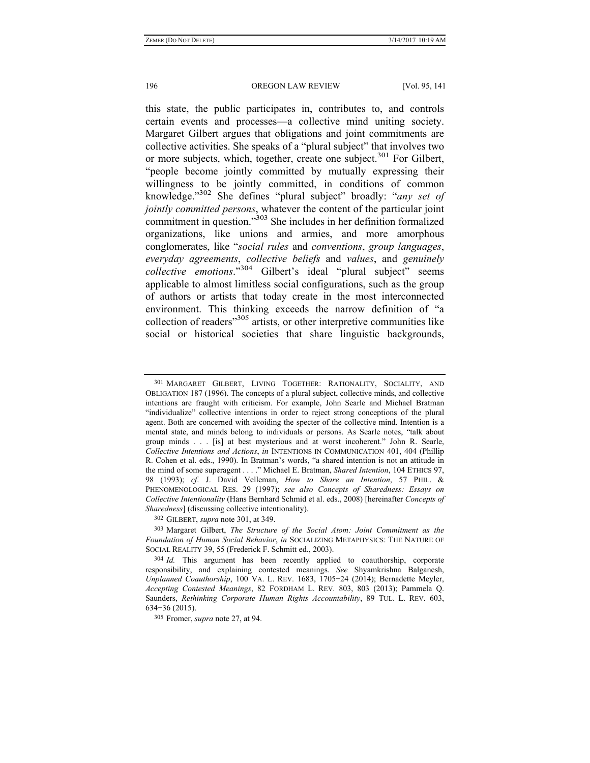this state, the public participates in, contributes to, and controls certain events and processes—a collective mind uniting society. Margaret Gilbert argues that obligations and joint commitments are collective activities. She speaks of a "plural subject" that involves two or more subjects, which, together, create one subject.<sup>301</sup> For Gilbert, "people become jointly committed by mutually expressing their willingness to be jointly committed, in conditions of common knowledge."302 She defines "plural subject" broadly: "*any set of jointly committed persons*, whatever the content of the particular joint commitment in question."303 She includes in her definition formalized organizations, like unions and armies, and more amorphous conglomerates, like "*social rules* and *conventions*, *group languages*, *everyday agreements*, *collective beliefs* and *values*, and *genuinely collective emotions*."304 Gilbert's ideal "plural subject" seems applicable to almost limitless social configurations, such as the group of authors or artists that today create in the most interconnected environment. This thinking exceeds the narrow definition of "a collection of readers"305 artists, or other interpretive communities like social or historical societies that share linguistic backgrounds,

302 GILBERT, *supra* note 301, at 349.

<sup>301</sup> MARGARET GILBERT, LIVING TOGETHER: RATIONALITY, SOCIALITY, AND OBLIGATION 187 (1996). The concepts of a plural subject, collective minds, and collective intentions are fraught with criticism. For example, John Searle and Michael Bratman "individualize" collective intentions in order to reject strong conceptions of the plural agent. Both are concerned with avoiding the specter of the collective mind. Intention is a mental state, and minds belong to individuals or persons. As Searle notes, "talk about group minds . . . [is] at best mysterious and at worst incoherent." John R. Searle, *Collective Intentions and Actions*, *in* INTENTIONS IN COMMUNICATION 401, 404 (Phillip R. Cohen et al. eds., 1990). In Bratman's words, "a shared intention is not an attitude in the mind of some superagent . . . ." Michael E. Bratman, *Shared Intention*, 104 ETHICS 97, 98 (1993); *cf*. J. David Velleman, *How to Share an Intention*, 57 PHIL. & PHENOMENOLOGICAL RES. 29 (1997); *see also Concepts of Sharedness: Essays on Collective Intentionality* (Hans Bernhard Schmid et al. eds., 2008) [hereinafter *Concepts of Sharedness*] (discussing collective intentionality).

<sup>303</sup> Margaret Gilbert, *The Structure of the Social Atom: Joint Commitment as the Foundation of Human Social Behavior*, *in* SOCIALIZING METAPHYSICS: THE NATURE OF SOCIAL REALITY 39, 55 (Frederick F. Schmitt ed., 2003).

<sup>304</sup> *Id.* This argument has been recently applied to coauthorship, corporate responsibility, and explaining contested meanings. *See* Shyamkrishna Balganesh, *Unplanned Coauthorship*, 100 VA. L. REV. 1683, 1705−24 (2014); Bernadette Meyler, *Accepting Contested Meanings*, 82 FORDHAM L. REV. 803, 803 (2013); Pammela Q. Saunders, *Rethinking Corporate Human Rights Accountability*, 89 TUL. L. REV. 603, 634−36 (2015).

<sup>305</sup> Fromer, *supra* note 27, at 94.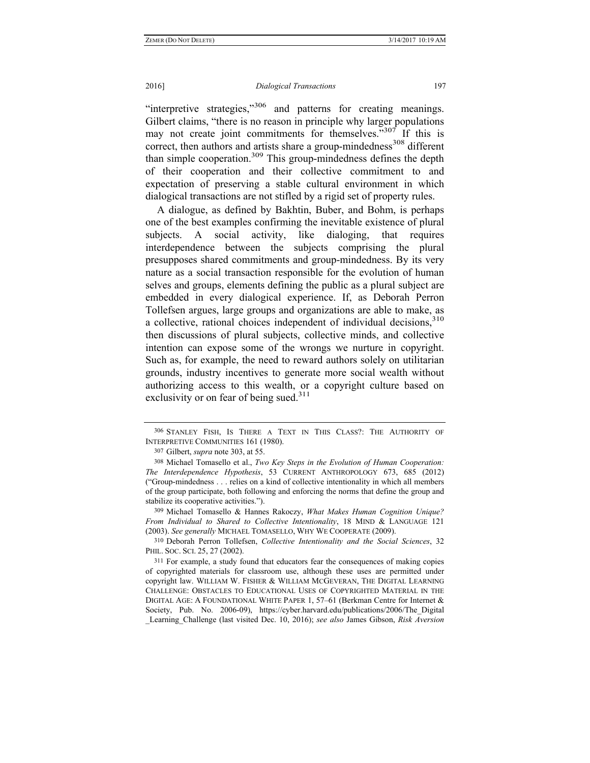"interpretive strategies,"<sup>306</sup> and patterns for creating meanings. Gilbert claims, "there is no reason in principle why larger populations may not create joint commitments for themselves."<sup>307</sup> If this is correct, then authors and artists share a group-mindedness<sup>308</sup> different than simple cooperation.309 This group-mindedness defines the depth of their cooperation and their collective commitment to and expectation of preserving a stable cultural environment in which dialogical transactions are not stifled by a rigid set of property rules.

A dialogue, as defined by Bakhtin, Buber, and Bohm, is perhaps one of the best examples confirming the inevitable existence of plural subjects. A social activity, like dialoging, that requires interdependence between the subjects comprising the plural presupposes shared commitments and group-mindedness. By its very nature as a social transaction responsible for the evolution of human selves and groups, elements defining the public as a plural subject are embedded in every dialogical experience. If, as Deborah Perron Tollefsen argues, large groups and organizations are able to make, as a collective, rational choices independent of individual decisions,  $310$ then discussions of plural subjects, collective minds, and collective intention can expose some of the wrongs we nurture in copyright. Such as, for example, the need to reward authors solely on utilitarian grounds, industry incentives to generate more social wealth without authorizing access to this wealth, or a copyright culture based on exclusivity or on fear of being sued. $311$ 

307 Gilbert, *supra* note 303, at 55.

<sup>306</sup> STANLEY FISH, IS THERE A TEXT IN THIS CLASS?: THE AUTHORITY OF INTERPRETIVE COMMUNITIES 161 (1980).

<sup>308</sup> Michael Tomasello et al., *Two Key Steps in the Evolution of Human Cooperation: The Interdependence Hypothesis*, 53 CURRENT ANTHROPOLOGY 673, 685 (2012) ("Group-mindedness . . . relies on a kind of collective intentionality in which all members of the group participate, both following and enforcing the norms that define the group and stabilize its cooperative activities.").

<sup>309</sup> Michael Tomasello & Hannes Rakoczy, *What Makes Human Cognition Unique? From Individual to Shared to Collective Intentionality*, 18 MIND & LANGUAGE 121 (2003). *See generally* MICHAEL TOMASELLO, WHY WE COOPERATE (2009).

<sup>310</sup> Deborah Perron Tollefsen, *Collective Intentionality and the Social Sciences*, 32 PHIL. SOC. SCI. 25, 27 (2002).

<sup>311</sup> For example, a study found that educators fear the consequences of making copies of copyrighted materials for classroom use, although these uses are permitted under copyright law. WILLIAM W. FISHER & WILLIAM MCGEVERAN, THE DIGITAL LEARNING CHALLENGE: OBSTACLES TO EDUCATIONAL USES OF COPYRIGHTED MATERIAL IN THE DIGITAL AGE: A FOUNDATIONAL WHITE PAPER 1, 57–61 (Berkman Centre for Internet & Society, Pub. No. 2006-09), https://cyber.harvard.edu/publications/2006/The\_Digital \_Learning\_Challenge (last visited Dec. 10, 2016); *see also* James Gibson, *Risk Aversion*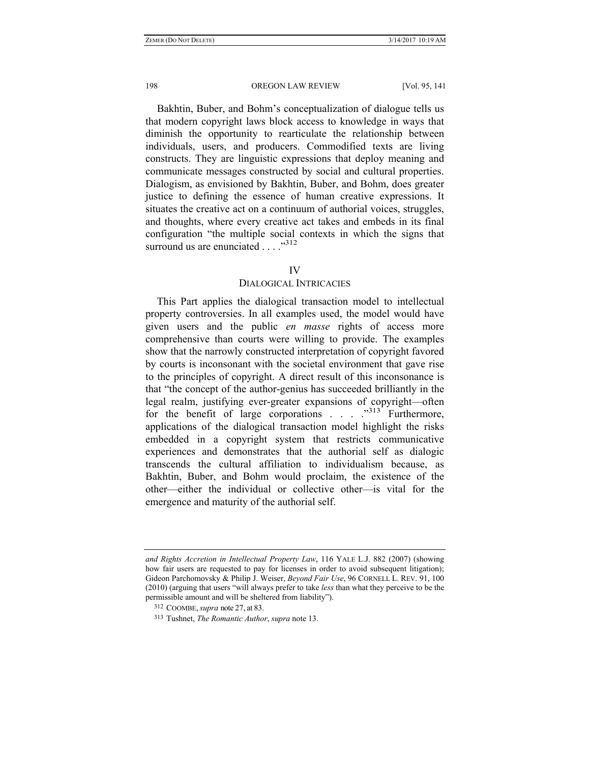Bakhtin, Buber, and Bohm's conceptualization of dialogue tells us that modern copyright laws block access to knowledge in ways that diminish the opportunity to rearticulate the relationship between individuals, users, and producers. Commodified texts are living constructs. They are linguistic expressions that deploy meaning and communicate messages constructed by social and cultural properties. Dialogism, as envisioned by Bakhtin, Buber, and Bohm, does greater justice to defining the essence of human creative expressions. It situates the creative act on a continuum of authorial voices, struggles, and thoughts, where every creative act takes and embeds in its final configuration "the multiple social contexts in which the signs that surround us are enunciated . . . ."312

### IV

# DIALOGICAL INTRICACIES

This Part applies the dialogical transaction model to intellectual property controversies. In all examples used, the model would have given users and the public *en masse* rights of access more comprehensive than courts were willing to provide. The examples show that the narrowly constructed interpretation of copyright favored by courts is inconsonant with the societal environment that gave rise to the principles of copyright. A direct result of this inconsonance is that "the concept of the author-genius has succeeded brilliantly in the legal realm, justifying ever-greater expansions of copyright—often for the benefit of large corporations  $\ldots$   $\ldots$   $\ldots$   $\ldots$   $\ldots$   $\ldots$  Furthermore, applications of the dialogical transaction model highlight the risks embedded in a copyright system that restricts communicative experiences and demonstrates that the authorial self as dialogic transcends the cultural affiliation to individualism because, as Bakhtin, Buber, and Bohm would proclaim, the existence of the other—either the individual or collective other—is vital for the emergence and maturity of the authorial self.

*and Rights Accretion in Intellectual Property Law*, 116 YALE L.J. 882 (2007) (showing how fair users are requested to pay for licenses in order to avoid subsequent litigation); Gideon Parchomovsky & Philip J. Weiser, *Beyond Fair Use*, 96 CORNELL L. REV. 91, 100 (2010) (arguing that users "will always prefer to take *less* than what they perceive to be the permissible amount and will be sheltered from liability").

<sup>312</sup> COOMBE, *supra* note 27, at 83.

<sup>313</sup> Tushnet, *The Romantic Author*, *supra* note 13.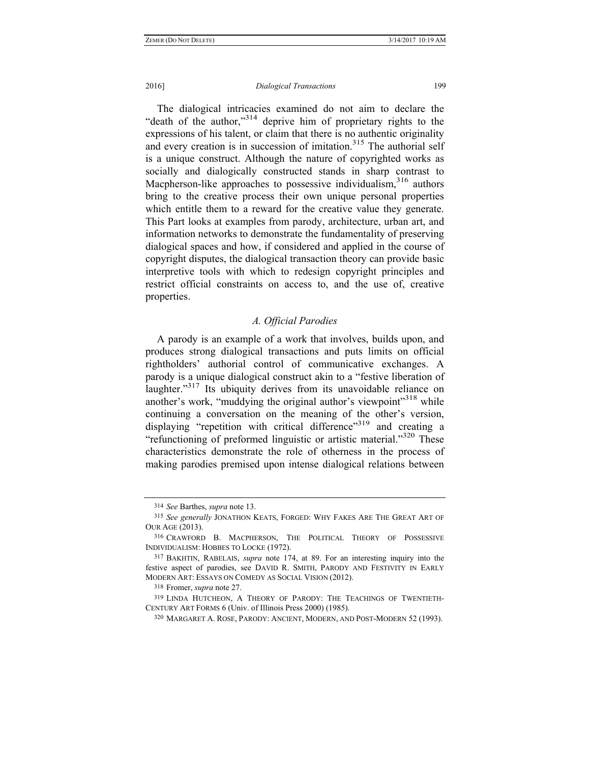### 2016] *Dialogical Transactions* 199

The dialogical intricacies examined do not aim to declare the "death of the author,"314 deprive him of proprietary rights to the expressions of his talent, or claim that there is no authentic originality and every creation is in succession of imitation.<sup>315</sup> The authorial self is a unique construct. Although the nature of copyrighted works as socially and dialogically constructed stands in sharp contrast to Macpherson-like approaches to possessive individualism.<sup>316</sup> authors bring to the creative process their own unique personal properties which entitle them to a reward for the creative value they generate. This Part looks at examples from parody, architecture, urban art, and information networks to demonstrate the fundamentality of preserving dialogical spaces and how, if considered and applied in the course of copyright disputes, the dialogical transaction theory can provide basic interpretive tools with which to redesign copyright principles and restrict official constraints on access to, and the use of, creative properties.

# *A. Official Parodies*

A parody is an example of a work that involves, builds upon, and produces strong dialogical transactions and puts limits on official rightholders' authorial control of communicative exchanges. A parody is a unique dialogical construct akin to a "festive liberation of laughter."<sup>317</sup> Its ubiquity derives from its unavoidable reliance on another's work, "muddying the original author's viewpoint"<sup>318</sup> while continuing a conversation on the meaning of the other's version, displaying "repetition with critical difference"<sup>319</sup> and creating a "refunctioning of preformed linguistic or artistic material."<sup>320</sup> These characteristics demonstrate the role of otherness in the process of making parodies premised upon intense dialogical relations between

<sup>314</sup> *See* Barthes, *supra* note 13.

<sup>315</sup> *See generally* JONATHON KEATS, FORGED: WHY FAKES ARE THE GREAT ART OF OUR AGE (2013).

<sup>316</sup> CRAWFORD B. MACPHERSON, THE POLITICAL THEORY OF POSSESSIVE INDIVIDUALISM: HOBBES TO LOCKE (1972).

<sup>317</sup> BAKHTIN, RABELAIS, *supra* note 174, at 89. For an interesting inquiry into the festive aspect of parodies, see DAVID R. SMITH, PARODY AND FESTIVITY IN EARLY MODERN ART: ESSAYS ON COMEDY AS SOCIAL VISION (2012).

<sup>318</sup> Fromer, *supra* note 27.

<sup>319</sup> LINDA HUTCHEON, A THEORY OF PARODY: THE TEACHINGS OF TWENTIETH-CENTURY ART FORMS 6 (Univ. of Illinois Press 2000) (1985).

<sup>320</sup> MARGARET A. ROSE, PARODY: ANCIENT, MODERN, AND POST-MODERN 52 (1993).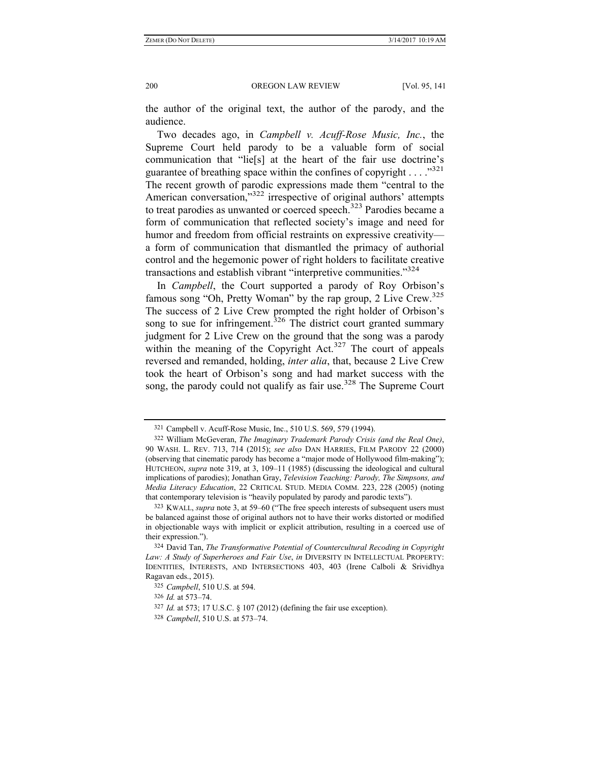the author of the original text, the author of the parody, and the audience.

Two decades ago, in *Campbell v. Acuff-Rose Music, Inc.*, the Supreme Court held parody to be a valuable form of social communication that "lie[s] at the heart of the fair use doctrine's guarantee of breathing space within the confines of copyright  $\ldots$ .  $\frac{1321}{2}$ The recent growth of parodic expressions made them "central to the American conversation."<sup>322</sup> irrespective of original authors' attempts to treat parodies as unwanted or coerced speech.<sup>323</sup> Parodies became a form of communication that reflected society's image and need for humor and freedom from official restraints on expressive creativity a form of communication that dismantled the primacy of authorial control and the hegemonic power of right holders to facilitate creative transactions and establish vibrant "interpretive communities."<sup>324</sup>

In *Campbell*, the Court supported a parody of Roy Orbison's famous song "Oh, Pretty Woman" by the rap group, 2 Live Crew.<sup>325</sup> The success of 2 Live Crew prompted the right holder of Orbison's song to sue for infringement.<sup>326</sup> The district court granted summary judgment for 2 Live Crew on the ground that the song was a parody within the meaning of the Copyright Act. $327$  The court of appeals reversed and remanded, holding, *inter alia*, that, because 2 Live Crew took the heart of Orbison's song and had market success with the song, the parody could not qualify as fair use.<sup>328</sup> The Supreme Court

<sup>321</sup> Campbell v. Acuff-Rose Music, Inc., 510 U.S. 569, 579 (1994).

<sup>322</sup> William McGeveran, *The Imaginary Trademark Parody Crisis (and the Real One)*, 90 WASH. L. REV. 713, 714 (2015); *see also* DAN HARRIES, FILM PARODY 22 (2000) (observing that cinematic parody has become a "major mode of Hollywood film-making"); HUTCHEON, *supra* note 319, at 3, 109–11 (1985) (discussing the ideological and cultural implications of parodies); Jonathan Gray, *Television Teaching: Parody, The Simpsons, and Media Literacy Education*, 22 CRITICAL STUD. MEDIA COMM. 223, 228 (2005) (noting that contemporary television is "heavily populated by parody and parodic texts").

<sup>323</sup> KWALL, *supra* note 3, at 59–60 ("The free speech interests of subsequent users must be balanced against those of original authors not to have their works distorted or modified in objectionable ways with implicit or explicit attribution, resulting in a coerced use of their expression.").

<sup>324</sup> David Tan, *The Transformative Potential of Countercultural Recoding in Copyright Law: A Study of Superheroes and Fair Use*, *in* DIVERSITY IN INTELLECTUAL PROPERTY: IDENTITIES, INTERESTS, AND INTERSECTIONS 403, 403 (Irene Calboli & Srividhya Ragavan eds., 2015).

<sup>325</sup> *Campbell*, 510 U.S. at 594.

<sup>326</sup> *Id.* at 573–74.

<sup>327</sup> *Id.* at 573; 17 U.S.C. § 107 (2012) (defining the fair use exception).

<sup>328</sup> *Campbell*, 510 U.S. at 573–74.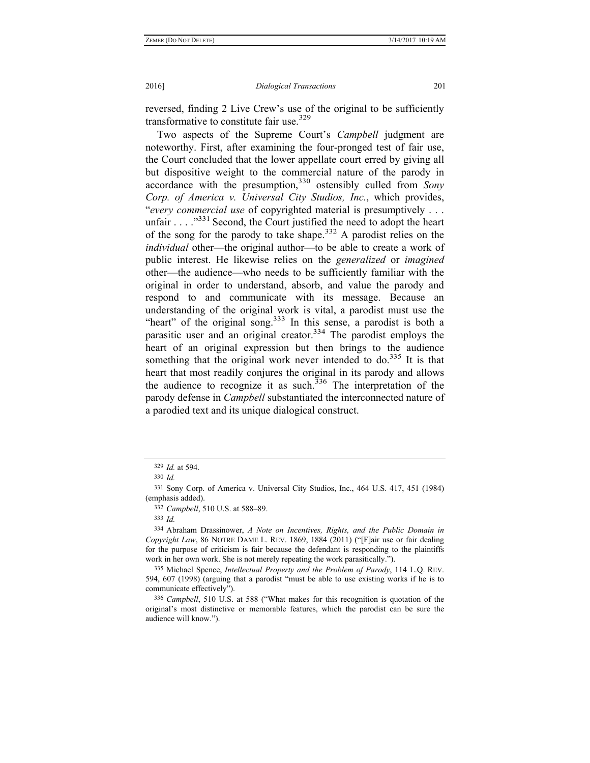reversed, finding 2 Live Crew's use of the original to be sufficiently transformative to constitute fair use.<sup>329</sup>

Two aspects of the Supreme Court's *Campbell* judgment are noteworthy. First, after examining the four-pronged test of fair use, the Court concluded that the lower appellate court erred by giving all but dispositive weight to the commercial nature of the parody in accordance with the presumption,330 ostensibly culled from *Sony Corp. of America v. Universal City Studios, Inc.*, which provides, "*every commercial use* of copyrighted material is presumptively . . . unfair  $\ldots$  ."<sup>331</sup> Second, the Court justified the need to adopt the heart of the song for the parody to take shape.<sup>332</sup> A parodist relies on the *individual* other—the original author—to be able to create a work of public interest. He likewise relies on the *generalized* or *imagined* other—the audience—who needs to be sufficiently familiar with the original in order to understand, absorb, and value the parody and respond to and communicate with its message. Because an understanding of the original work is vital, a parodist must use the "heart" of the original song.<sup>333</sup> In this sense, a parodist is both a parasitic user and an original creator.<sup>334</sup> The parodist employs the heart of an original expression but then brings to the audience something that the original work never intended to do.<sup>335</sup> It is that heart that most readily conjures the original in its parody and allows the audience to recognize it as such.<sup>336</sup> The interpretation of the parody defense in *Campbell* substantiated the interconnected nature of a parodied text and its unique dialogical construct.

332 *Campbell*, 510 U.S. at 588–89.

<sup>329</sup> *Id.* at 594.

<sup>330</sup> *Id.*

<sup>331</sup> Sony Corp. of America v. Universal City Studios, Inc., 464 U.S. 417, 451 (1984) (emphasis added).

<sup>333</sup> *Id.*

<sup>334</sup> Abraham Drassinower, *A Note on Incentives, Rights, and the Public Domain in Copyright Law*, 86 NOTRE DAME L. REV. 1869, 1884 (2011) ("[F]air use or fair dealing for the purpose of criticism is fair because the defendant is responding to the plaintiffs work in her own work. She is not merely repeating the work parasitically.").

<sup>335</sup> Michael Spence, *Intellectual Property and the Problem of Parody*, 114 L.Q. REV. 594, 607 (1998) (arguing that a parodist "must be able to use existing works if he is to communicate effectively").

<sup>336</sup> *Campbell*, 510 U.S. at 588 ("What makes for this recognition is quotation of the original's most distinctive or memorable features, which the parodist can be sure the audience will know.").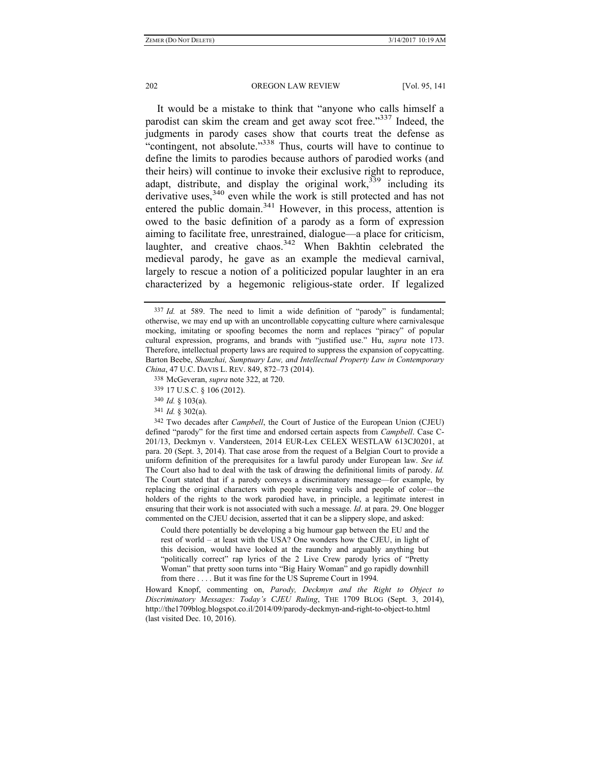It would be a mistake to think that "anyone who calls himself a parodist can skim the cream and get away scot free."<sup>337</sup> Indeed, the judgments in parody cases show that courts treat the defense as "contingent, not absolute."338 Thus, courts will have to continue to define the limits to parodies because authors of parodied works (and their heirs) will continue to invoke their exclusive right to reproduce, adapt, distribute, and display the original work,  $339$  including its derivative uses,<sup>340</sup> even while the work is still protected and has not entered the public domain.<sup>341</sup> However, in this process, attention is owed to the basic definition of a parody as a form of expression aiming to facilitate free, unrestrained, dialogue—a place for criticism, laughter, and creative chaos.<sup>342</sup> When Bakhtin celebrated the medieval parody, he gave as an example the medieval carnival, largely to rescue a notion of a politicized popular laughter in an era characterized by a hegemonic religious-state order. If legalized

342 Two decades after *Campbell*, the Court of Justice of the European Union (CJEU) defined "parody" for the first time and endorsed certain aspects from *Campbell*. Case C-201/13, Deckmyn v. Vandersteen, 2014 EUR-Lex CELEX WESTLAW 613CJ0201, at para. 20 (Sept. 3, 2014). That case arose from the request of a Belgian Court to provide a uniform definition of the prerequisites for a lawful parody under European law. *See id.* The Court also had to deal with the task of drawing the definitional limits of parody. *Id.* The Court stated that if a parody conveys a discriminatory message—for example, by replacing the original characters with people wearing veils and people of color—the holders of the rights to the work parodied have, in principle, a legitimate interest in ensuring that their work is not associated with such a message. *Id*. at para. 29. One blogger commented on the CJEU decision, asserted that it can be a slippery slope, and asked:

Could there potentially be developing a big humour gap between the EU and the rest of world – at least with the USA? One wonders how the CJEU, in light of this decision, would have looked at the raunchy and arguably anything but "politically correct" rap lyrics of the 2 Live Crew parody lyrics of "Pretty Woman" that pretty soon turns into "Big Hairy Woman" and go rapidly downhill from there . . . . But it was fine for the US Supreme Court in 1994.

Howard Knopf, commenting on, *Parody, Deckmyn and the Right to Object to Discriminatory Messages: Today's CJEU Ruling*, THE 1709 BLOG (Sept. 3, 2014), http://the1709blog.blogspot.co.il/2014/09/parody-deckmyn-and-right-to-object-to.html (last visited Dec. 10, 2016).

<sup>337</sup> *Id.* at 589. The need to limit a wide definition of "parody" is fundamental; otherwise, we may end up with an uncontrollable copycatting culture where carnivalesque mocking, imitating or spoofing becomes the norm and replaces "piracy" of popular cultural expression, programs, and brands with "justified use." Hu, *supra* note 173. Therefore, intellectual property laws are required to suppress the expansion of copycatting. Barton Beebe, *Shanzhai, Sumptuary Law, and Intellectual Property Law in Contemporary China*, 47 U.C. DAVIS L. REV. 849, 872–73 (2014).

<sup>338</sup> McGeveran, *supra* note 322, at 720.

<sup>339</sup> 17 U.S.C. § 106 (2012).

<sup>340</sup> *Id.* § 103(a).

<sup>341</sup> *Id.* § 302(a).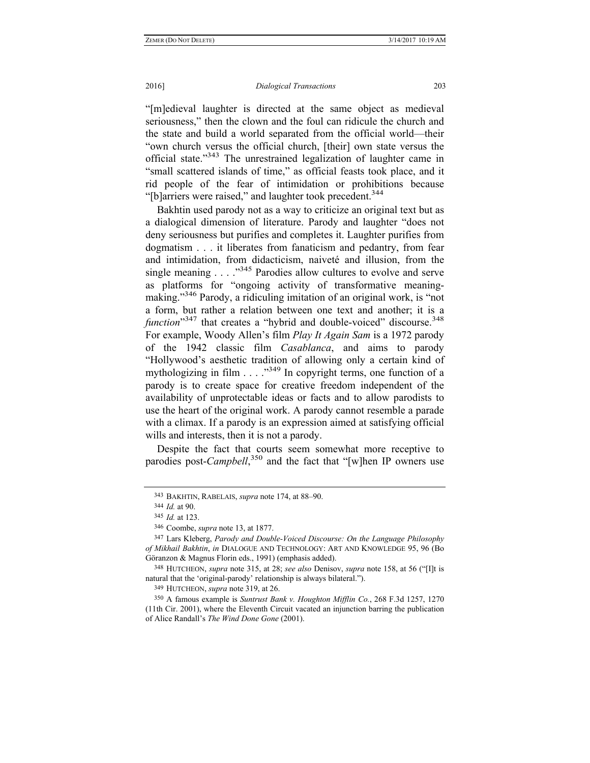### 2016] *Dialogical Transactions* 203

"[m]edieval laughter is directed at the same object as medieval seriousness," then the clown and the foul can ridicule the church and the state and build a world separated from the official world—their "own church versus the official church, [their] own state versus the official state."343 The unrestrained legalization of laughter came in "small scattered islands of time," as official feasts took place, and it rid people of the fear of intimidation or prohibitions because "[b]arriers were raised," and laughter took precedent.<sup>344</sup>

Bakhtin used parody not as a way to criticize an original text but as a dialogical dimension of literature. Parody and laughter "does not deny seriousness but purifies and completes it. Laughter purifies from dogmatism . . . it liberates from fanaticism and pedantry, from fear and intimidation, from didacticism, naiveté and illusion, from the single meaning . . . ."345 Parodies allow cultures to evolve and serve as platforms for "ongoing activity of transformative meaningmaking."<sup>346</sup> Parody, a ridiculing imitation of an original work, is "not a form, but rather a relation between one text and another; it is a *function*<sup>347</sup> that creates a "hybrid and double-voiced" discourse.<sup>348</sup> For example, Woody Allen's film *Play It Again Sam* is a 1972 parody of the 1942 classic film *Casablanca*, and aims to parody "Hollywood's aesthetic tradition of allowing only a certain kind of mythologizing in film  $\ldots$   $\cdot$  ...  $\cdot$  <sup>349</sup> In copyright terms, one function of a parody is to create space for creative freedom independent of the availability of unprotectable ideas or facts and to allow parodists to use the heart of the original work. A parody cannot resemble a parade with a climax. If a parody is an expression aimed at satisfying official wills and interests, then it is not a parody.

Despite the fact that courts seem somewhat more receptive to parodies post-*Campbell*,<sup>350</sup> and the fact that "[w]hen IP owners use

<sup>343</sup> BAKHTIN, RABELAIS, *supra* note 174, at 88–90.

<sup>344</sup> *Id.* at 90.

<sup>345</sup> *Id.* at 123.

<sup>346</sup> Coombe, *supra* note 13, at 1877.

<sup>347</sup> Lars Kleberg, *Parody and Double-Voiced Discourse: On the Language Philosophy of Mikhail Bakhtin*, *in* DIALOGUE AND TECHNOLOGY: ART AND KNOWLEDGE 95, 96 (Bo Göranzon & Magnus Florin eds., 1991) (emphasis added).

<sup>348</sup> HUTCHEON, *supra* note 315, at 28; *see also* Denisov, *supra* note 158, at 56 ("[I]t is natural that the 'original-parody' relationship is always bilateral.").

<sup>349</sup> HUTCHEON, *supra* note 319, at 26.

<sup>350</sup> A famous example is *Suntrust Bank v. Houghton Mifflin Co.*, 268 F.3d 1257, 1270 (11th Cir. 2001), where the Eleventh Circuit vacated an injunction barring the publication of Alice Randall's *The Wind Done Gone* (2001).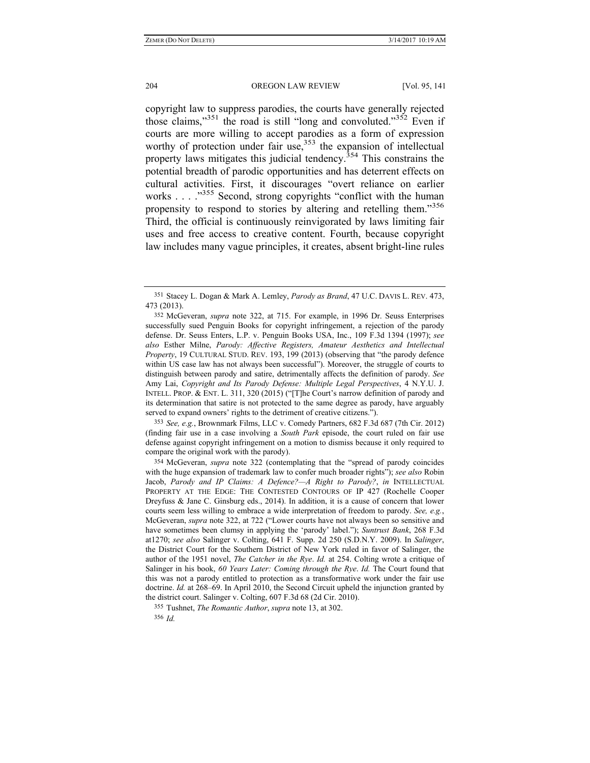copyright law to suppress parodies, the courts have generally rejected those claims," $351$  the road is still "long and convoluted." $352$  Even if courts are more willing to accept parodies as a form of expression worthy of protection under fair use,<sup>353</sup> the expansion of intellectual property laws mitigates this judicial tendency.<sup>354</sup> This constrains the potential breadth of parodic opportunities and has deterrent effects on cultural activities. First, it discourages "overt reliance on earlier works  $\ldots$   $\ldots$   $\ldots$   $\ldots$   $\ldots$  Second, strong copyrights "conflict with the human propensity to respond to stories by altering and retelling them."<sup>356</sup> Third, the official is continuously reinvigorated by laws limiting fair uses and free access to creative content. Fourth, because copyright law includes many vague principles, it creates, absent bright-line rules

353 *See, e.g.*, Brownmark Films, LLC v. Comedy Partners, 682 F.3d 687 (7th Cir. 2012) (finding fair use in a case involving a *South Park* episode, the court ruled on fair use defense against copyright infringement on a motion to dismiss because it only required to compare the original work with the parody).

354 McGeveran, *supra* note 322 (contemplating that the "spread of parody coincides with the huge expansion of trademark law to confer much broader rights"); *see also* Robin Jacob, *Parody and IP Claims: A Defence?—A Right to Parody?*, *in* INTELLECTUAL PROPERTY AT THE EDGE: THE CONTESTED CONTOURS OF IP 427 (Rochelle Cooper Dreyfuss & Jane C. Ginsburg eds., 2014). In addition, it is a cause of concern that lower courts seem less willing to embrace a wide interpretation of freedom to parody. *See, e.g.*, McGeveran, *supra* note 322, at 722 ("Lower courts have not always been so sensitive and have sometimes been clumsy in applying the 'parody' label."); *Suntrust Bank*, 268 F.3d at1270; *see also* Salinger v. Colting, 641 F. Supp. 2d 250 (S.D.N.Y. 2009). In *Salinger*, the District Court for the Southern District of New York ruled in favor of Salinger, the author of the 1951 novel, *The Catcher in the Rye*. *Id.* at 254. Colting wrote a critique of Salinger in his book, *60 Years Later: Coming through the Rye*. *Id.* The Court found that this was not a parody entitled to protection as a transformative work under the fair use doctrine. *Id.* at 268–69. In April 2010, the Second Circuit upheld the injunction granted by the district court. Salinger v. Colting, 607 F.3d 68 (2d Cir. 2010).

355 Tushnet, *The Romantic Author*, *supra* note 13, at 302.

356 *Id.*

<sup>351</sup> Stacey L. Dogan & Mark A. Lemley, *Parody as Brand*, 47 U.C. DAVIS L. REV. 473, 473 (2013).

<sup>352</sup> McGeveran, *supra* note 322, at 715. For example, in 1996 Dr. Seuss Enterprises successfully sued Penguin Books for copyright infringement, a rejection of the parody defense. Dr. Seuss Enters, L.P. v. Penguin Books USA, Inc., 109 F.3d 1394 (1997); *see also* Esther Milne, *Parody: Affective Registers, Amateur Aesthetics and Intellectual Property*, 19 CULTURAL STUD. REV. 193, 199 (2013) (observing that "the parody defence within US case law has not always been successful"). Moreover, the struggle of courts to distinguish between parody and satire, detrimentally affects the definition of parody. *See* Amy Lai, *Copyright and Its Parody Defense: Multiple Legal Perspectives*, 4 N.Y.U. J. INTELL. PROP. & ENT. L. 311, 320 (2015) ("[T]he Court's narrow definition of parody and its determination that satire is not protected to the same degree as parody, have arguably served to expand owners' rights to the detriment of creative citizens.").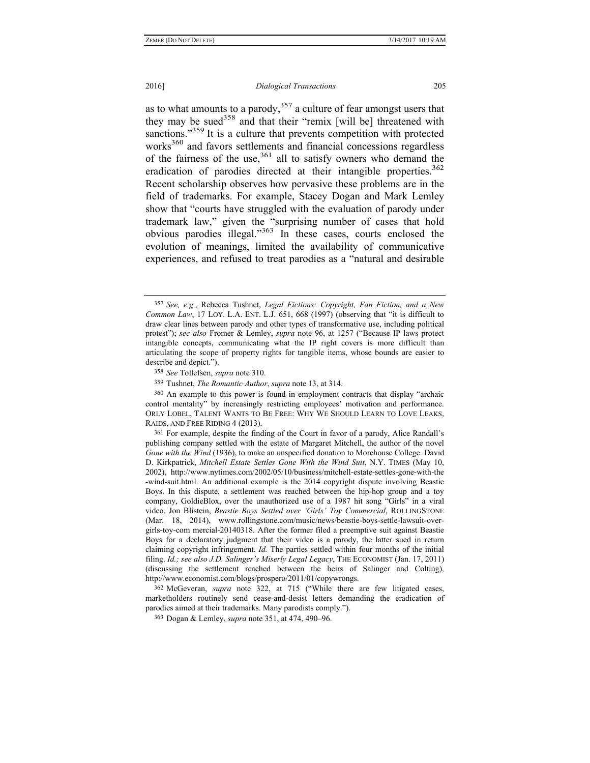### 2016] *Dialogical Transactions* 205

as to what amounts to a parody, $357$  a culture of fear amongst users that they may be sued<sup>358</sup> and that their "remix [will be] threatened with sanctions."<sup>359</sup> It is a culture that prevents competition with protected works<sup>360</sup> and favors settlements and financial concessions regardless of the fairness of the use, $361$  all to satisfy owners who demand the eradication of parodies directed at their intangible properties.<sup>362</sup> Recent scholarship observes how pervasive these problems are in the field of trademarks. For example, Stacey Dogan and Mark Lemley show that "courts have struggled with the evaluation of parody under trademark law," given the "surprising number of cases that hold obvious parodies illegal."363 In these cases, courts enclosed the evolution of meanings, limited the availability of communicative experiences, and refused to treat parodies as a "natural and desirable

361 For example, despite the finding of the Court in favor of a parody, Alice Randall's publishing company settled with the estate of Margaret Mitchell, the author of the novel *Gone with the Wind* (1936), to make an unspecified donation to Morehouse College. David D. Kirkpatrick, *Mitchell Estate Settles Gone With the Wind Suit*, N.Y. TIMES (May 10, 2002), http://www.nytimes.com/2002/05/10/business/mitchell-estate-settles-gone-with-the -wind-suit.html. An additional example is the 2014 copyright dispute involving Beastie Boys. In this dispute, a settlement was reached between the hip-hop group and a toy company, GoldieBlox, over the unauthorized use of a 1987 hit song "Girls" in a viral video. Jon Blistein, *Beastie Boys Settled over 'Girls' Toy Commercial*, ROLLINGSTONE (Mar. 18, 2014), www.rollingstone.com/music/news/beastie-boys-settle-lawsuit-overgirls-toy-com mercial-20140318. After the former filed a preemptive suit against Beastie Boys for a declaratory judgment that their video is a parody, the latter sued in return claiming copyright infringement. *Id.* The parties settled within four months of the initial filing. *Id.; see also J.D. Salinger's Miserly Legal Legacy*, THE ECONOMIST (Jan. 17, 2011) (discussing the settlement reached between the heirs of Salinger and Colting), http://www.economist.com/blogs/prospero/2011/01/copywrongs.

362 McGeveran, *supra* note 322, at 715 ("While there are few litigated cases, marketholders routinely send cease-and-desist letters demanding the eradication of parodies aimed at their trademarks. Many parodists comply.").

363 Dogan & Lemley, *supra* note 351, at 474, 490–96.

<sup>357</sup> *See, e.g.*, Rebecca Tushnet, *Legal Fictions: Copyright, Fan Fiction, and a New Common Law*, 17 LOY. L.A. ENT. L.J. 651, 668 (1997) (observing that "it is difficult to draw clear lines between parody and other types of transformative use, including political protest"); *see also* Fromer & Lemley, *supra* note 96, at 1257 ("Because IP laws protect intangible concepts, communicating what the IP right covers is more difficult than articulating the scope of property rights for tangible items, whose bounds are easier to describe and depict.").

<sup>358</sup> *See* Tollefsen, *supra* note 310.

<sup>359</sup> Tushnet, *The Romantic Author*, *supra* note 13, at 314.

<sup>360</sup> An example to this power is found in employment contracts that display "archaic control mentality" by increasingly restricting employees' motivation and performance. ORLY LOBEL, TALENT WANTS TO BE FREE: WHY WE SHOULD LEARN TO LOVE LEAKS, RAIDS, AND FREE RIDING 4 (2013).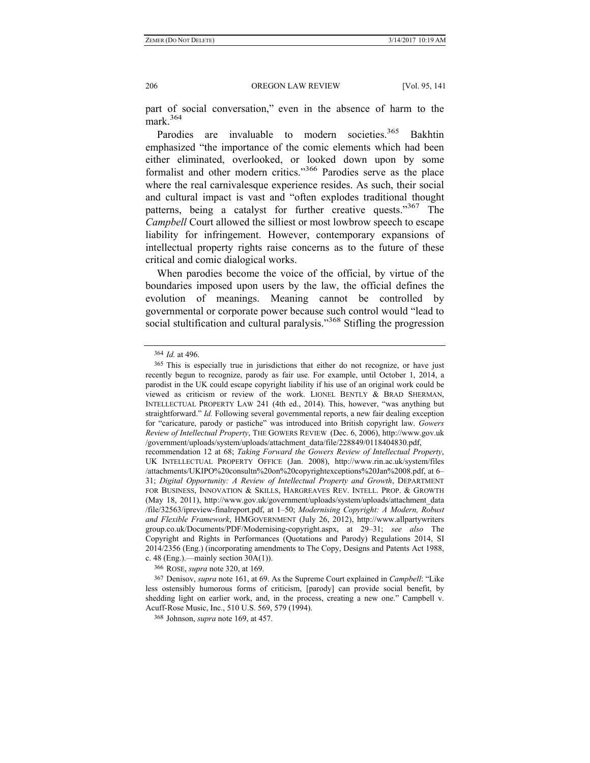part of social conversation," even in the absence of harm to the mark $364$ 

Parodies are invaluable to modern societies.<sup>365</sup> Bakhtin emphasized "the importance of the comic elements which had been either eliminated, overlooked, or looked down upon by some formalist and other modern critics."366 Parodies serve as the place where the real carnivalesque experience resides. As such, their social and cultural impact is vast and "often explodes traditional thought patterns, being a catalyst for further creative quests."367 The *Campbell* Court allowed the silliest or most lowbrow speech to escape liability for infringement. However, contemporary expansions of intellectual property rights raise concerns as to the future of these critical and comic dialogical works.

When parodies become the voice of the official, by virtue of the boundaries imposed upon users by the law, the official defines the evolution of meanings. Meaning cannot be controlled by governmental or corporate power because such control would "lead to social stultification and cultural paralysis."<sup>368</sup> Stifling the progression

366 ROSE, *supra* note 320, at 169.

367 Denisov, *supra* note 161, at 69. As the Supreme Court explained in *Campbell*: "Like less ostensibly humorous forms of criticism, [parody] can provide social benefit, by shedding light on earlier work, and, in the process, creating a new one." Campbell v. Acuff-Rose Music, Inc., 510 U.S. 569, 579 (1994).

368 Johnson, *supra* note 169, at 457.

<sup>364</sup> *Id.* at 496.

<sup>365</sup> This is especially true in jurisdictions that either do not recognize, or have just recently begun to recognize, parody as fair use. For example, until October 1, 2014, a parodist in the UK could escape copyright liability if his use of an original work could be viewed as criticism or review of the work. LIONEL BENTLY & BRAD SHERMAN, INTELLECTUAL PROPERTY LAW 241 (4th ed., 2014). This, however, "was anything but straightforward." *Id.* Following several governmental reports, a new fair dealing exception for "caricature, parody or pastiche" was introduced into British copyright law. *Gowers Review of Intellectual Property*, THE GOWERS REVIEW (Dec. 6, 2006), http://www.gov.uk /government/uploads/system/uploads/attachment\_data/file/228849/0118404830.pdf,

recommendation 12 at 68; *Taking Forward the Gowers Review of Intellectual Property*, UK INTELLECTUAL PROPERTY OFFICE (Jan. 2008), http://www.rin.ac.uk/system/files /attachments/UKIPO%20consultn%20on%20copyrightexceptions%20Jan%2008.pdf, at 6– 31; *Digital Opportunity: A Review of Intellectual Property and Growth*, DEPARTMENT FOR BUSINESS, INNOVATION & SKILLS, HARGREAVES REV. INTELL. PROP. & GROWTH (May 18, 2011), http://www.gov.uk/government/uploads/system/uploads/attachment\_data /file/32563/ipreview-finalreport.pdf, at 1–50; *Modernising Copyright: A Modern, Robust and Flexible Framework*, HMGOVERNMENT (July 26, 2012), http://www.allpartywriters group.co.uk/Documents/PDF/Modernising-copyright.aspx, at 29–31; *see also* The Copyright and Rights in Performances (Quotations and Parody) Regulations 2014, SI 2014/2356 (Eng.) (incorporating amendments to The Copy, Designs and Patents Act 1988, c. 48 (Eng.).—mainly section  $30A(1)$ ).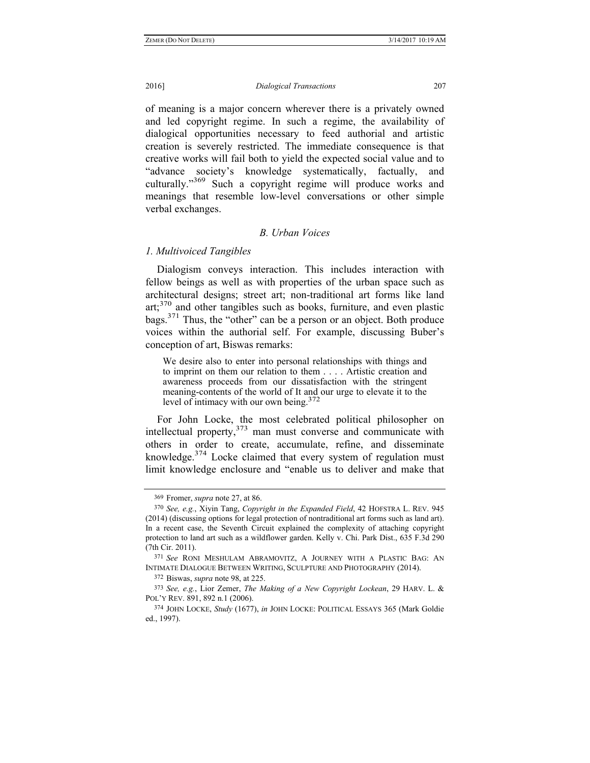of meaning is a major concern wherever there is a privately owned and led copyright regime. In such a regime, the availability of dialogical opportunities necessary to feed authorial and artistic creation is severely restricted. The immediate consequence is that creative works will fail both to yield the expected social value and to "advance society's knowledge systematically, factually, and culturally."<sup>369</sup> Such a copyright regime will produce works and meanings that resemble low-level conversations or other simple verbal exchanges.

# *B. Urban Voices*

### *1. Multivoiced Tangibles*

Dialogism conveys interaction. This includes interaction with fellow beings as well as with properties of the urban space such as architectural designs; street art; non-traditional art forms like land art;<sup>370</sup> and other tangibles such as books, furniture, and even plastic bags.371 Thus, the "other" can be a person or an object. Both produce voices within the authorial self. For example, discussing Buber's conception of art, Biswas remarks:

We desire also to enter into personal relationships with things and to imprint on them our relation to them . . . . Artistic creation and awareness proceeds from our dissatisfaction with the stringent meaning-contents of the world of It and our urge to elevate it to the level of intimacy with our own being.372

For John Locke, the most celebrated political philosopher on intellectual property, $373$  man must converse and communicate with others in order to create, accumulate, refine, and disseminate knowledge.<sup>374</sup> Locke claimed that every system of regulation must limit knowledge enclosure and "enable us to deliver and make that

372 Biswas, *supra* note 98, at 225.

<sup>369</sup> Fromer, *supra* note 27, at 86.

<sup>370</sup> *See, e.g.*, Xiyin Tang, *Copyright in the Expanded Field*, 42 HOFSTRA L. REV. 945 (2014) (discussing options for legal protection of nontraditional art forms such as land art). In a recent case, the Seventh Circuit explained the complexity of attaching copyright protection to land art such as a wildflower garden. Kelly v. Chi. Park Dist., 635 F.3d 290 (7th Cir. 2011).

<sup>371</sup> *See* RONI MESHULAM ABRAMOVITZ, A JOURNEY WITH A PLASTIC BAG: AN INTIMATE DIALOGUE BETWEEN WRITING, SCULPTURE AND PHOTOGRAPHY (2014).

<sup>373</sup> *See, e.g.*, Lior Zemer, *The Making of a New Copyright Lockean*, 29 HARV. L. & POL'Y REV. 891, 892 n.1 (2006).

<sup>374</sup> JOHN LOCKE, *Study* (1677), *in* JOHN LOCKE: POLITICAL ESSAYS 365 (Mark Goldie ed., 1997).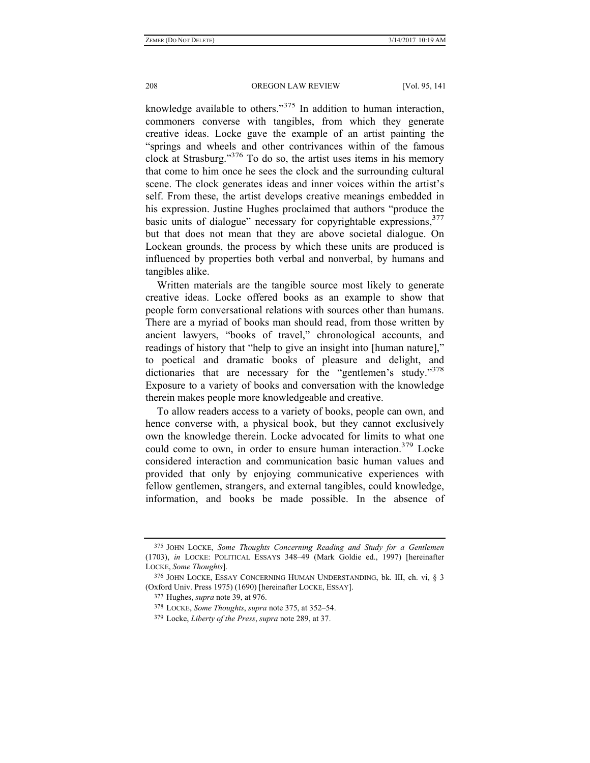knowledge available to others."375 In addition to human interaction, commoners converse with tangibles, from which they generate creative ideas. Locke gave the example of an artist painting the "springs and wheels and other contrivances within of the famous clock at Strasburg."376 To do so, the artist uses items in his memory that come to him once he sees the clock and the surrounding cultural scene. The clock generates ideas and inner voices within the artist's self. From these, the artist develops creative meanings embedded in his expression. Justine Hughes proclaimed that authors "produce the basic units of dialogue" necessary for copyrightable expressions,  $377$ but that does not mean that they are above societal dialogue. On Lockean grounds, the process by which these units are produced is influenced by properties both verbal and nonverbal, by humans and tangibles alike.

Written materials are the tangible source most likely to generate creative ideas. Locke offered books as an example to show that people form conversational relations with sources other than humans. There are a myriad of books man should read, from those written by ancient lawyers, "books of travel," chronological accounts, and readings of history that "help to give an insight into [human nature]," to poetical and dramatic books of pleasure and delight, and dictionaries that are necessary for the "gentlemen's study."<sup>378</sup> Exposure to a variety of books and conversation with the knowledge therein makes people more knowledgeable and creative.

To allow readers access to a variety of books, people can own, and hence converse with, a physical book, but they cannot exclusively own the knowledge therein. Locke advocated for limits to what one could come to own, in order to ensure human interaction.<sup>379</sup> Locke considered interaction and communication basic human values and provided that only by enjoying communicative experiences with fellow gentlemen, strangers, and external tangibles, could knowledge, information, and books be made possible. In the absence of

<sup>375</sup> JOHN LOCKE, *Some Thoughts Concerning Reading and Study for a Gentlemen* (1703), *in* LOCKE: POLITICAL ESSAYS 348–49 (Mark Goldie ed., 1997) [hereinafter LOCKE, *Some Thoughts*].

<sup>376</sup> JOHN LOCKE, ESSAY CONCERNING HUMAN UNDERSTANDING, bk. III, ch. vi, § 3 (Oxford Univ. Press 1975) (1690) [hereinafter LOCKE, ESSAY].

<sup>377</sup> Hughes, *supra* note 39, at 976.

<sup>378</sup> LOCKE, *Some Thoughts*, *supra* note 375, at 352–54.

<sup>379</sup> Locke, *Liberty of the Press*, *supra* note 289, at 37.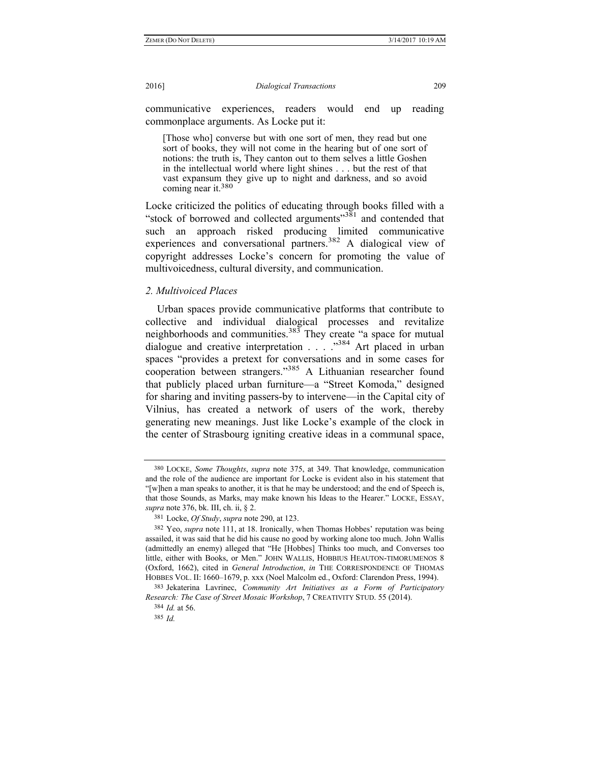communicative experiences, readers would end up reading commonplace arguments. As Locke put it:

[Those who] converse but with one sort of men, they read but one sort of books, they will not come in the hearing but of one sort of notions: the truth is, They canton out to them selves a little Goshen in the intellectual world where light shines . . . but the rest of that vast expansum they give up to night and darkness, and so avoid coming near it.<sup>380</sup>

Locke criticized the politics of educating through books filled with a "stock of borrowed and collected arguments"381 and contended that such an approach risked producing limited communicative experiences and conversational partners.<sup>382</sup> A dialogical view of copyright addresses Locke's concern for promoting the value of multivoicedness, cultural diversity, and communication.

### *2. Multivoiced Places*

Urban spaces provide communicative platforms that contribute to collective and individual dialogical processes and revitalize neighborhoods and communities.<sup>383</sup> They create "a space for mutual dialogue and creative interpretation . . . . . . <sup>384</sup> Art placed in urban spaces "provides a pretext for conversations and in some cases for cooperation between strangers."385 A Lithuanian researcher found that publicly placed urban furniture—a "Street Komoda," designed for sharing and inviting passers-by to intervene—in the Capital city of Vilnius, has created a network of users of the work, thereby generating new meanings. Just like Locke's example of the clock in the center of Strasbourg igniting creative ideas in a communal space,

<sup>380</sup> LOCKE, *Some Thoughts*, *supra* note 375, at 349. That knowledge, communication and the role of the audience are important for Locke is evident also in his statement that "[w]hen a man speaks to another, it is that he may be understood; and the end of Speech is, that those Sounds, as Marks, may make known his Ideas to the Hearer." LOCKE, ESSAY, *supra* note 376, bk. III, ch. ii, § 2.

<sup>381</sup> Locke, *Of Study*, *supra* note 290, at 123.

<sup>382</sup> Yeo, *supra* note 111, at 18. Ironically, when Thomas Hobbes' reputation was being assailed, it was said that he did his cause no good by working alone too much. John Wallis (admittedly an enemy) alleged that "He [Hobbes] Thinks too much, and Converses too little, either with Books, or Men." JOHN WALLIS, HOBBIUS HEAUTON-TIMORUMENOS 8 (Oxford, 1662), cited in *General Introduction*, *in* THE CORRESPONDENCE OF THOMAS HOBBES VOL. II: 1660–1679, p. xxx (Noel Malcolm ed., Oxford: Clarendon Press, 1994).

<sup>383</sup> Jekaterina Lavrinec, *Community Art Initiatives as a Form of Participatory Research: The Case of Street Mosaic Workshop*, 7 CREATIVITY STUD. 55 (2014).

<sup>384</sup> *Id.* at 56.

<sup>385</sup> *Id.*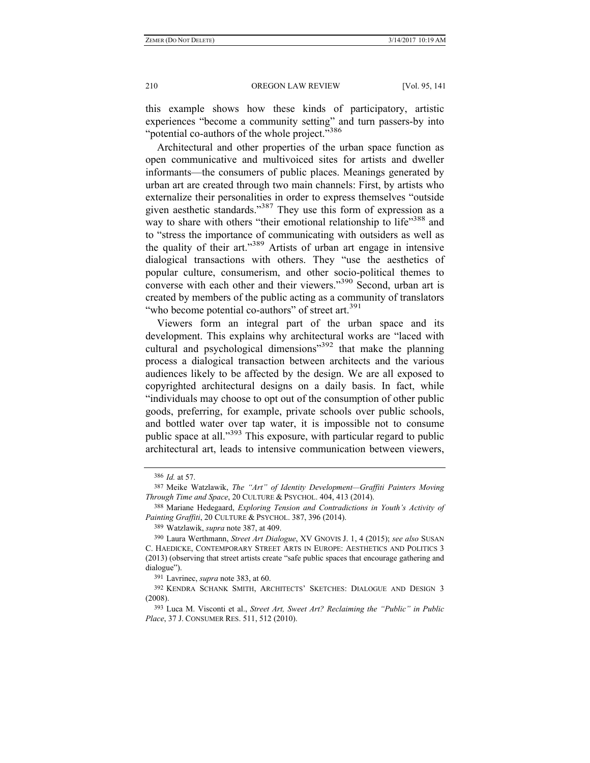this example shows how these kinds of participatory, artistic experiences "become a community setting" and turn passers-by into "potential co-authors of the whole project."<sup>386</sup>

Architectural and other properties of the urban space function as open communicative and multivoiced sites for artists and dweller informants—the consumers of public places. Meanings generated by urban art are created through two main channels: First, by artists who externalize their personalities in order to express themselves "outside given aesthetic standards."<sup>387</sup> They use this form of expression as a way to share with others "their emotional relationship to life"<sup>388</sup> and to "stress the importance of communicating with outsiders as well as the quality of their art."389 Artists of urban art engage in intensive dialogical transactions with others. They "use the aesthetics of popular culture, consumerism, and other socio-political themes to converse with each other and their viewers."<sup>390</sup> Second, urban art is created by members of the public acting as a community of translators "who become potential co-authors" of street art.<sup>391</sup>

Viewers form an integral part of the urban space and its development. This explains why architectural works are "laced with cultural and psychological dimensions<sup>392</sup> that make the planning process a dialogical transaction between architects and the various audiences likely to be affected by the design. We are all exposed to copyrighted architectural designs on a daily basis. In fact, while "individuals may choose to opt out of the consumption of other public goods, preferring, for example, private schools over public schools, and bottled water over tap water, it is impossible not to consume public space at all."<sup>393</sup> This exposure, with particular regard to public architectural art, leads to intensive communication between viewers,

391 Lavrinec, *supra* note 383, at 60.

<sup>386</sup> *Id.* at 57.

<sup>387</sup> Meike Watzlawik, *The "Art" of Identity Development—Graffiti Painters Moving Through Time and Space*, 20 CULTURE & PSYCHOL. 404, 413 (2014).

<sup>388</sup> Mariane Hedegaard, *Exploring Tension and Contradictions in Youth's Activity of Painting Graffiti*, 20 CULTURE & PSYCHOL. 387, 396 (2014).

<sup>389</sup> Watzlawik, *supra* note 387, at 409.

<sup>390</sup> Laura Werthmann, *Street Art Dialogue*, XV GNOVIS J. 1, 4 (2015); *see also* SUSAN C. HAEDICKE, CONTEMPORARY STREET ARTS IN EUROPE: AESTHETICS AND POLITICS 3 (2013) (observing that street artists create "safe public spaces that encourage gathering and dialogue").

<sup>392</sup> KENDRA SCHANK SMITH, ARCHITECTS' SKETCHES: DIALOGUE AND DESIGN 3 (2008).

<sup>393</sup> Luca M. Visconti et al., *Street Art, Sweet Art? Reclaiming the "Public" in Public Place*, 37 J. CONSUMER RES. 511, 512 (2010).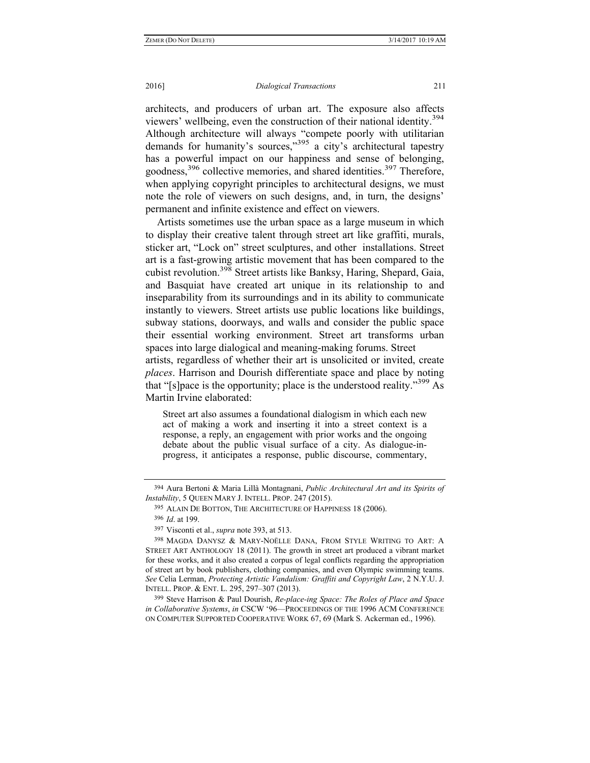architects, and producers of urban art. The exposure also affects viewers' wellbeing, even the construction of their national identity.<sup>394</sup> Although architecture will always "compete poorly with utilitarian demands for humanity's sources,"<sup>395</sup> a city's architectural tapestry has a powerful impact on our happiness and sense of belonging, goodness,<sup>396</sup> collective memories, and shared identities.<sup>397</sup> Therefore, when applying copyright principles to architectural designs, we must note the role of viewers on such designs, and, in turn, the designs' permanent and infinite existence and effect on viewers.

Artists sometimes use the urban space as a large museum in which to display their creative talent through street art like graffiti, murals, sticker art, "Lock on" street sculptures, and other installations. Street art is a fast-growing artistic movement that has been compared to the cubist revolution.398 Street artists like Banksy, Haring, Shepard, Gaia, and Basquiat have created art unique in its relationship to and inseparability from its surroundings and in its ability to communicate instantly to viewers. Street artists use public locations like buildings, subway stations, doorways, and walls and consider the public space their essential working environment. Street art transforms urban spaces into large dialogical and meaning-making forums. Street artists, regardless of whether their art is unsolicited or invited, create *places*. Harrison and Dourish differentiate space and place by noting that "[s]pace is the opportunity; place is the understood reality."<sup>399</sup> As Martin Irvine elaborated:

Street art also assumes a foundational dialogism in which each new act of making a work and inserting it into a street context is a response, a reply, an engagement with prior works and the ongoing debate about the public visual surface of a city. As dialogue-inprogress, it anticipates a response, public discourse, commentary,

<sup>394</sup> Aura Bertoni & Maria Lillà Montagnani, *Public Architectural Art and its Spirits of Instability*, 5 QUEEN MARY J. INTELL. PROP. 247 (2015).

<sup>395</sup> ALAIN DE BOTTON, THE ARCHITECTURE OF HAPPINESS 18 (2006).

<sup>396</sup> *Id*. at 199.

<sup>397</sup> Visconti et al., *supra* note 393, at 513.

<sup>398</sup> MAGDA DANYSZ & MARY-NOËLLE DANA, FROM STYLE WRITING TO ART: A STREET ART ANTHOLOGY 18 (2011). The growth in street art produced a vibrant market for these works, and it also created a corpus of legal conflicts regarding the appropriation of street art by book publishers, clothing companies, and even Olympic swimming teams. *See* Celia Lerman, *Protecting Artistic Vandalism: Graffiti and Copyright Law*, 2 N.Y.U. J. INTELL. PROP. & ENT. L. 295, 297–307 (2013).

<sup>399</sup> Steve Harrison & Paul Dourish, *Re-place-ing Space: The Roles of Place and Space in Collaborative Systems*, *in* CSCW '96—PROCEEDINGS OF THE 1996 ACM CONFERENCE ON COMPUTER SUPPORTED COOPERATIVE WORK 67, 69 (Mark S. Ackerman ed., 1996).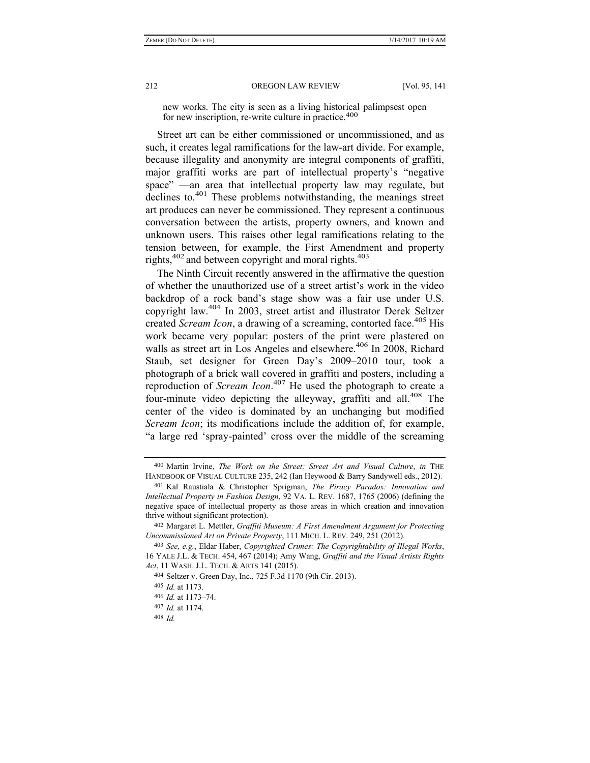new works. The city is seen as a living historical palimpsest open for new inscription, re-write culture in practice.<sup>400</sup>

Street art can be either commissioned or uncommissioned, and as such, it creates legal ramifications for the law-art divide. For example, because illegality and anonymity are integral components of graffiti, major graffiti works are part of intellectual property's "negative space" —an area that intellectual property law may regulate, but declines to <sup>401</sup> These problems notwithstanding, the meanings street art produces can never be commissioned. They represent a continuous conversation between the artists, property owners, and known and unknown users. This raises other legal ramifications relating to the tension between, for example, the First Amendment and property rights, $402$  and between copyright and moral rights. $403$ 

The Ninth Circuit recently answered in the affirmative the question of whether the unauthorized use of a street artist's work in the video backdrop of a rock band's stage show was a fair use under U.S. copyright law.404 In 2003, street artist and illustrator Derek Seltzer created *Scream Icon*, a drawing of a screaming, contorted face.<sup>405</sup> His work became very popular: posters of the print were plastered on walls as street art in Los Angeles and elsewhere.<sup>406</sup> In 2008, Richard Staub, set designer for Green Day's 2009–2010 tour, took a photograph of a brick wall covered in graffiti and posters, including a reproduction of *Scream Icon*. 407 He used the photograph to create a four-minute video depicting the alleyway, graffiti and all.<sup>408</sup> The center of the video is dominated by an unchanging but modified *Scream Icon*; its modifications include the addition of, for example, "a large red 'spray-painted' cross over the middle of the screaming

<sup>400</sup> Martin Irvine, *The Work on the Street: Street Art and Visual Culture*, *in* THE HANDBOOK OF VISUAL CULTURE 235, 242 (Ian Heywood & Barry Sandywell eds., 2012).

<sup>401</sup> Kal Raustiala & Christopher Sprigman, *The Piracy Paradox: Innovation and Intellectual Property in Fashion Design*, 92 VA. L. REV. 1687, 1765 (2006) (defining the negative space of intellectual property as those areas in which creation and innovation thrive without significant protection).

<sup>402</sup> Margaret L. Mettler, *Graffiti Museum: A First Amendment Argument for Protecting Uncommissioned Art on Private Property*, 111 MICH. L. REV. 249, 251 (2012).

<sup>403</sup> *See, e.g.*, Eldar Haber, *Copyrighted Crimes: The Copyrightability of Illegal Works*, 16 YALE J.L. & TECH. 454, 467 (2014); Amy Wang, *Graffiti and the Visual Artists Rights Act*, 11 WASH. J.L. TECH. & ARTS 141 (2015).

<sup>404</sup> Seltzer v. Green Day, Inc., 725 F.3d 1170 (9th Cir. 2013).

<sup>405</sup> *Id.* at 1173.

<sup>406</sup> *Id.* at 1173–74.

<sup>407</sup> *Id.* at 1174.

<sup>408</sup> *Id.*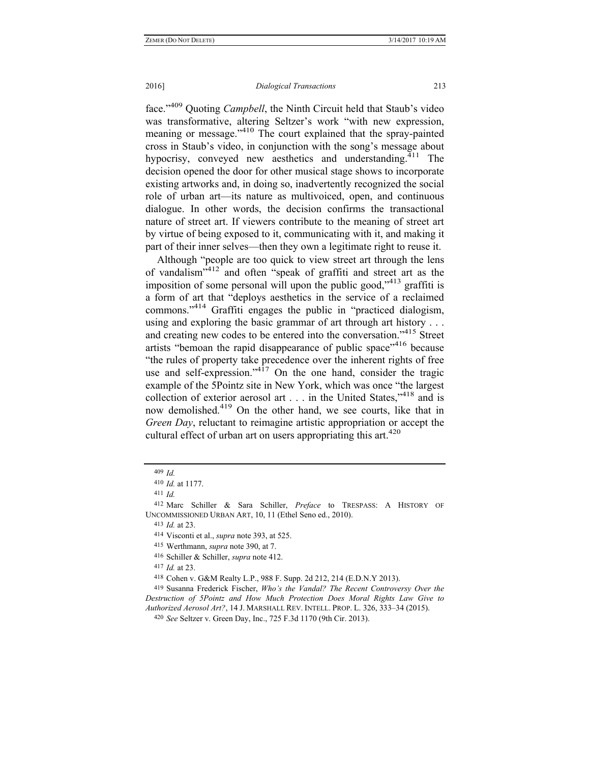## 2016] *Dialogical Transactions* 213

face."409 Quoting *Campbell*, the Ninth Circuit held that Staub's video was transformative, altering Seltzer's work "with new expression, meaning or message."410 The court explained that the spray-painted cross in Staub's video, in conjunction with the song's message about hypocrisy, conveyed new aesthetics and understanding. $411$  The decision opened the door for other musical stage shows to incorporate existing artworks and, in doing so, inadvertently recognized the social role of urban art—its nature as multivoiced, open, and continuous dialogue. In other words, the decision confirms the transactional nature of street art. If viewers contribute to the meaning of street art by virtue of being exposed to it, communicating with it, and making it part of their inner selves—then they own a legitimate right to reuse it.

Although "people are too quick to view street art through the lens of vandalism $^{3412}$  and often "speak of graffiti and street art as the imposition of some personal will upon the public good,<sup>3413</sup> graffiti is a form of art that "deploys aesthetics in the service of a reclaimed commons."414 Graffiti engages the public in "practiced dialogism, using and exploring the basic grammar of art through art history . . . and creating new codes to be entered into the conversation."415 Street artists "bemoan the rapid disappearance of public space"<sup>416</sup> because "the rules of property take precedence over the inherent rights of free use and self-expression." $4^{17}$  On the one hand, consider the tragic example of the 5Pointz site in New York, which was once "the largest collection of exterior aerosol art . . . in the United States,"418 and is now demolished.<sup>419</sup> On the other hand, we see courts, like that in *Green Day*, reluctant to reimagine artistic appropriation or accept the cultural effect of urban art on users appropriating this art. $420$ 

417 *Id.* at 23.

418 Cohen v. G&M Realty L.P., 988 F. Supp. 2d 212, 214 (E.D.N.Y 2013).

419 Susanna Frederick Fischer, *Who's the Vandal? The Recent Controversy Over the Destruction of 5Pointz and How Much Protection Does Moral Rights Law Give to Authorized Aerosol Art?*, 14 J. MARSHALL REV. INTELL. PROP. L. 326, 333–34 (2015).

<sup>409</sup> *Id.*

<sup>410</sup> *Id.* at 1177.

<sup>411</sup> *Id.*

<sup>412</sup> Marc Schiller & Sara Schiller, *Preface* to TRESPASS: A HISTORY OF UNCOMMISSIONED URBAN ART, 10, 11 (Ethel Seno ed., 2010).

<sup>413</sup> *Id.* at 23.

<sup>414</sup> Visconti et al., *supra* note 393, at 525.

<sup>415</sup> Werthmann, *supra* note 390, at 7.

<sup>416</sup> Schiller & Schiller, *supra* note 412.

<sup>420</sup> *See* Seltzer v. Green Day, Inc., 725 F.3d 1170 (9th Cir. 2013).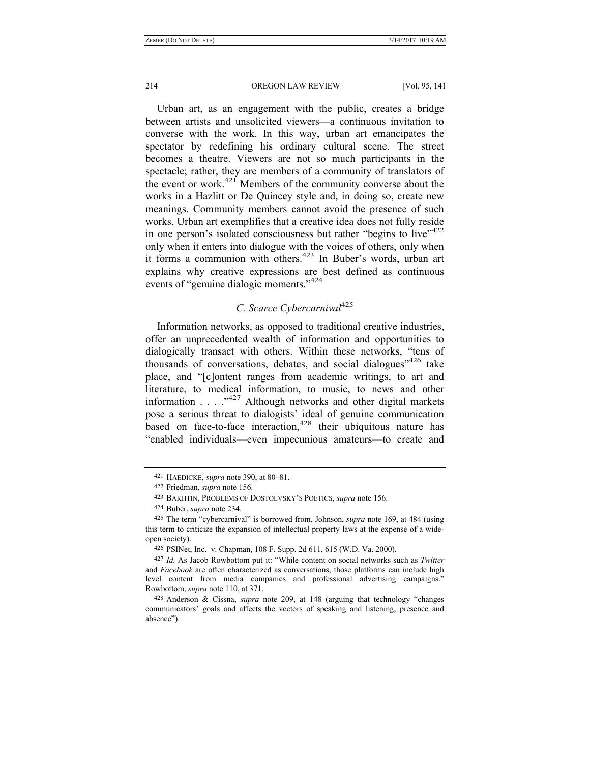Urban art, as an engagement with the public, creates a bridge between artists and unsolicited viewers—a continuous invitation to converse with the work. In this way, urban art emancipates the spectator by redefining his ordinary cultural scene. The street becomes a theatre. Viewers are not so much participants in the spectacle; rather, they are members of a community of translators of the event or work.<sup>421</sup> Members of the community converse about the works in a Hazlitt or De Quincey style and, in doing so, create new meanings. Community members cannot avoid the presence of such works. Urban art exemplifies that a creative idea does not fully reside in one person's isolated consciousness but rather "begins to live" $422$ only when it enters into dialogue with the voices of others, only when it forms a communion with others.<sup>423</sup> In Buber's words, urban art explains why creative expressions are best defined as continuous events of "genuine dialogic moments."<sup>424</sup>

## *C. Scarce Cybercarnival*<sup>425</sup>

Information networks, as opposed to traditional creative industries, offer an unprecedented wealth of information and opportunities to dialogically transact with others. Within these networks, "tens of thousands of conversations, debates, and social dialogues<sup> $1426$ </sup> take place, and "[c]ontent ranges from academic writings, to art and literature, to medical information, to music, to news and other information  $\ldots$   $\ldots$   $\ldots$   $\ldots$  Although networks and other digital markets pose a serious threat to dialogists' ideal of genuine communication based on face-to-face interaction,<sup>428</sup> their ubiquitous nature has "enabled individuals—even impecunious amateurs—to create and

<sup>421</sup> HAEDICKE, *supra* note 390, at 80–81.

<sup>422</sup> Friedman, *supra* note 156.

<sup>423</sup> BAKHTIN, PROBLEMS OF DOSTOEVSKY'S POETICS, *supra* note 156.

<sup>424</sup> Buber, *supra* note 234.

<sup>425</sup> The term "cybercarnival" is borrowed from, Johnson, *supra* note 169, at 484 (using this term to criticize the expansion of intellectual property laws at the expense of a wideopen society).

<sup>426</sup> PSINet, Inc. v. Chapman, 108 F. Supp. 2d 611, 615 (W.D. Va. 2000).

<sup>427</sup> *Id.* As Jacob Rowbottom put it: "While content on social networks such as *Twitter* and *Facebook* are often characterized as conversations, those platforms can include high level content from media companies and professional advertising campaigns." Rowbottom, *supra* note 110, at 371.

<sup>428</sup> Anderson & Cissna, *supra* note 209, at 148 (arguing that technology "changes communicators' goals and affects the vectors of speaking and listening, presence and absence").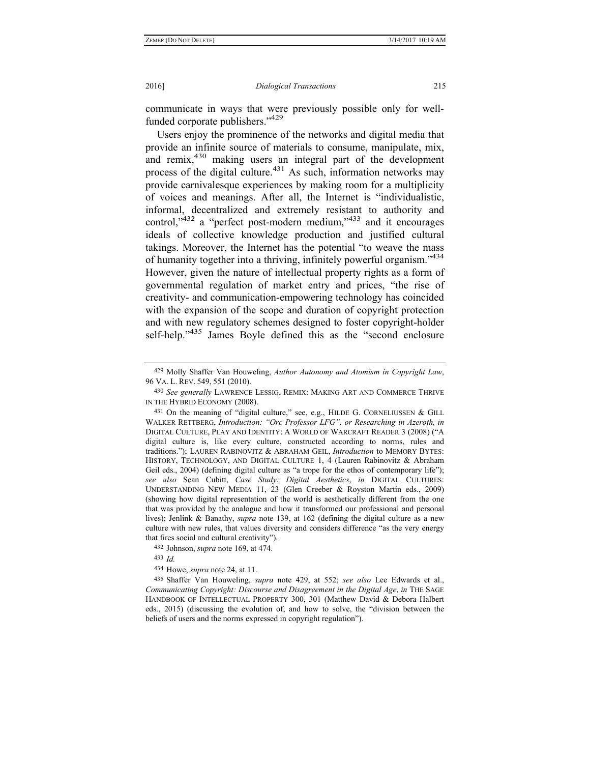communicate in ways that were previously possible only for wellfunded corporate publishers."<sup>429</sup>

Users enjoy the prominence of the networks and digital media that provide an infinite source of materials to consume, manipulate, mix, and remix,<sup>430</sup> making users an integral part of the development process of the digital culture.<sup>431</sup> As such, information networks may provide carnivalesque experiences by making room for a multiplicity of voices and meanings. After all, the Internet is "individualistic, informal, decentralized and extremely resistant to authority and control, $v^{432}$  a "perfect post-modern medium, $v^{433}$  and it encourages ideals of collective knowledge production and justified cultural takings. Moreover, the Internet has the potential "to weave the mass of humanity together into a thriving, infinitely powerful organism."434 However, given the nature of intellectual property rights as a form of governmental regulation of market entry and prices, "the rise of creativity- and communication-empowering technology has coincided with the expansion of the scope and duration of copyright protection and with new regulatory schemes designed to foster copyright-holder self-help."<sup>435</sup> James Boyle defined this as the "second enclosure

433 *Id.*

434 Howe, *supra* note 24, at 11.

435 Shaffer Van Houweling, *supra* note 429, at 552; *see also* Lee Edwards et al., *Communicating Copyright: Discourse and Disagreement in the Digital Age*, *in* THE SAGE HANDBOOK OF INTELLECTUAL PROPERTY 300, 301 (Matthew David & Debora Halbert eds., 2015) (discussing the evolution of, and how to solve, the "division between the beliefs of users and the norms expressed in copyright regulation").

<sup>429</sup> Molly Shaffer Van Houweling, *Author Autonomy and Atomism in Copyright Law*, 96 VA. L. REV. 549, 551 (2010).

<sup>430</sup> *See generally* LAWRENCE LESSIG, REMIX: MAKING ART AND COMMERCE THRIVE IN THE HYBRID ECONOMY (2008).

<sup>431</sup> On the meaning of "digital culture," see, e.g., HILDE G. CORNELIUSSEN & GILL WALKER RETTBERG, *Introduction: "Orc Professor LFG", or Researching in Azeroth, in*  DIGITAL CULTURE, PLAY AND IDENTITY: A WORLD OF WARCRAFT READER 3 (2008) ("A digital culture is, like every culture, constructed according to norms, rules and traditions."); LAUREN RABINOVITZ & ABRAHAM GEIL, *Introduction* to MEMORY BYTES: HISTORY, TECHNOLOGY, AND DIGITAL CULTURE 1, 4 (Lauren Rabinovitz & Abraham Geil eds., 2004) (defining digital culture as "a trope for the ethos of contemporary life"); *see also* Sean Cubitt, *Case Study: Digital Aesthetics*, *in* DIGITAL CULTURES: UNDERSTANDING NEW MEDIA 11, 23 (Glen Creeber & Royston Martin eds., 2009) (showing how digital representation of the world is aesthetically different from the one that was provided by the analogue and how it transformed our professional and personal lives); Jenlink & Banathy, *supra* note 139, at 162 (defining the digital culture as a new culture with new rules, that values diversity and considers difference "as the very energy that fires social and cultural creativity").

<sup>432</sup> Johnson, *supra* note 169, at 474.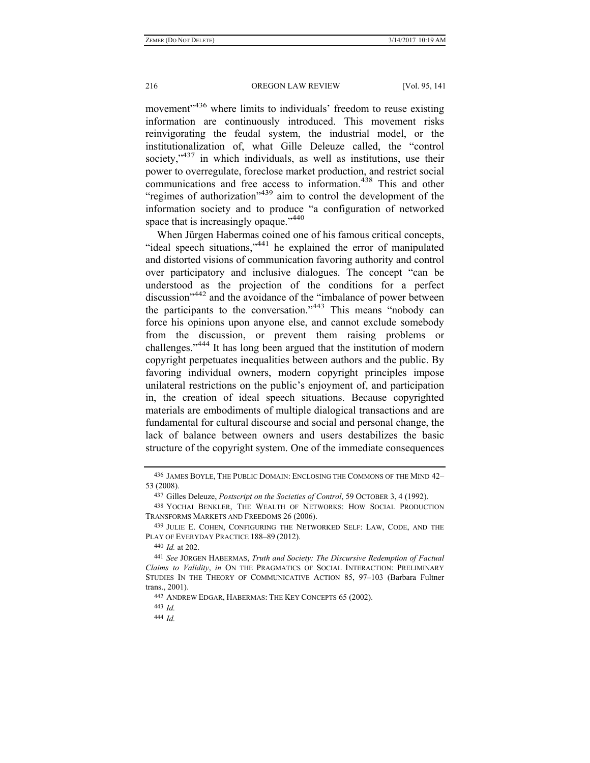movement<sup>3436</sup> where limits to individuals' freedom to reuse existing information are continuously introduced. This movement risks reinvigorating the feudal system, the industrial model, or the institutionalization of, what Gille Deleuze called, the "control society, $1437$  in which individuals, as well as institutions, use their power to overregulate, foreclose market production, and restrict social communications and free access to information.<sup>438</sup> This and other "regimes of authorization"<sup>439</sup> aim to control the development of the information society and to produce "a configuration of networked space that is increasingly opaque."<sup>440</sup>

When Jürgen Habermas coined one of his famous critical concepts, "ideal speech situations,"441 he explained the error of manipulated and distorted visions of communication favoring authority and control over participatory and inclusive dialogues. The concept "can be understood as the projection of the conditions for a perfect discussion"442 and the avoidance of the "imbalance of power between the participants to the conversation."443 This means "nobody can force his opinions upon anyone else, and cannot exclude somebody from the discussion, or prevent them raising problems or challenges."444 It has long been argued that the institution of modern copyright perpetuates inequalities between authors and the public. By favoring individual owners, modern copyright principles impose unilateral restrictions on the public's enjoyment of, and participation in, the creation of ideal speech situations. Because copyrighted materials are embodiments of multiple dialogical transactions and are fundamental for cultural discourse and social and personal change, the lack of balance between owners and users destabilizes the basic structure of the copyright system. One of the immediate consequences

440 *Id.* at 202.

442 ANDREW EDGAR, HABERMAS: THE KEY CONCEPTS 65 (2002).

443 *Id.*

444 *Id.*

<sup>436</sup> JAMES BOYLE, THE PUBLIC DOMAIN: ENCLOSING THE COMMONS OF THE MIND 42– 53 (2008).

<sup>437</sup> Gilles Deleuze, *Postscript on the Societies of Control*, 59 OCTOBER 3, 4 (1992).

<sup>438</sup> YOCHAI BENKLER, THE WEALTH OF NETWORKS: HOW SOCIAL PRODUCTION TRANSFORMS MARKETS AND FREEDOMS 26 (2006).

<sup>439</sup> JULIE E. COHEN, CONFIGURING THE NETWORKED SELF: LAW, CODE, AND THE PLAY OF EVERYDAY PRACTICE 188–89 (2012).

<sup>441</sup> *See* JÜRGEN HABERMAS, *Truth and Society: The Discursive Redemption of Factual Claims to Validity*, *in* ON THE PRAGMATICS OF SOCIAL INTERACTION: PRELIMINARY STUDIES IN THE THEORY OF COMMUNICATIVE ACTION 85, 97–103 (Barbara Fultner trans., 2001).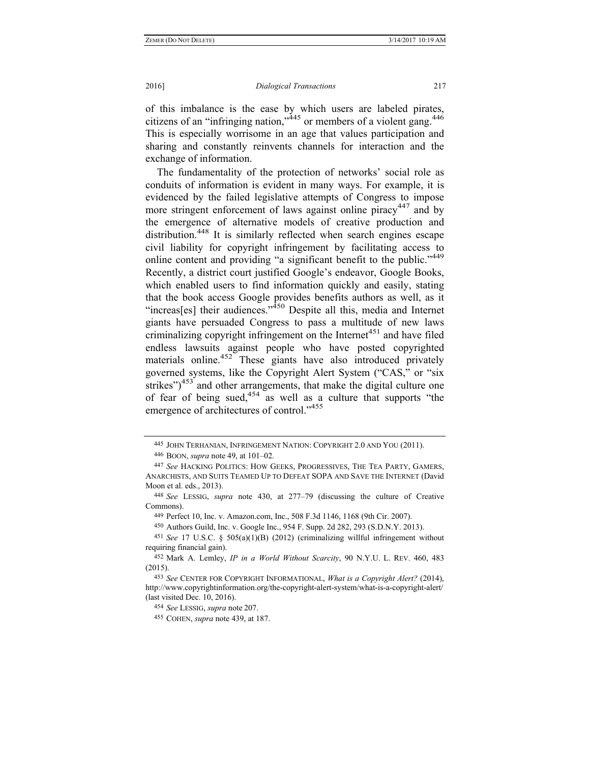of this imbalance is the ease by which users are labeled pirates, citizens of an "infringing nation," $445$  or members of a violent gang. $446$ This is especially worrisome in an age that values participation and sharing and constantly reinvents channels for interaction and the exchange of information.

The fundamentality of the protection of networks' social role as conduits of information is evident in many ways. For example, it is evidenced by the failed legislative attempts of Congress to impose more stringent enforcement of laws against online piracy<sup>447</sup> and by the emergence of alternative models of creative production and distribution.<sup>448</sup> It is similarly reflected when search engines escape civil liability for copyright infringement by facilitating access to online content and providing "a significant benefit to the public."<sup>449</sup> Recently, a district court justified Google's endeavor, Google Books, which enabled users to find information quickly and easily, stating that the book access Google provides benefits authors as well, as it "increas[es] their audiences." $350$  Despite all this, media and Internet giants have persuaded Congress to pass a multitude of new laws criminalizing copyright infringement on the Internet<sup>451</sup> and have filed endless lawsuits against people who have posted copyrighted materials online.<sup>452</sup> These giants have also introduced privately governed systems, like the Copyright Alert System ("CAS," or "six strikes")<sup>453</sup> and other arrangements, that make the digital culture one of fear of being sued, $454$  as well as a culture that supports "the emergence of architectures of control."<sup>455</sup>

<sup>445</sup> JOHN TERHANIAN, INFRINGEMENT NATION: COPYRIGHT 2.0 AND YOU (2011).

<sup>446</sup> BOON, *supra* note 49, at 101–02.

<sup>447</sup> *See* HACKING POLITICS: HOW GEEKS, PROGRESSIVES, THE TEA PARTY, GAMERS, ANARCHISTS, AND SUITS TEAMED UP TO DEFEAT SOPA AND SAVE THE INTERNET (David Moon et al. eds., 2013).

<sup>448</sup> *See* LESSIG, *supra* note 430, at 277–79 (discussing the culture of Creative Commons).

<sup>449</sup> Perfect 10, Inc. v. Amazon.com, Inc., 508 F.3d 1146, 1168 (9th Cir. 2007).

<sup>450</sup> Authors Guild, Inc. v. Google Inc., 954 F. Supp. 2d 282, 293 (S.D.N.Y. 2013).

<sup>451</sup> *See* 17 U.S.C. § 505(a)(1)(B) (2012) (criminalizing willful infringement without requiring financial gain).

<sup>452</sup> Mark A. Lemley, *IP in a World Without Scarcity*, 90 N.Y.U. L. REV. 460, 483 (2015).

<sup>453</sup> *See* CENTER FOR COPYRIGHT INFORMATIONAL, *What is a Copyright Alert?* (2014), http://www.copyrightinformation.org/the-copyright-alert-system/what-is-a-copyright-alert/ (last visited Dec. 10, 2016).

<sup>454</sup> *See* LESSIG, *supra* note 207.

<sup>455</sup> COHEN, *supra* note 439, at 187.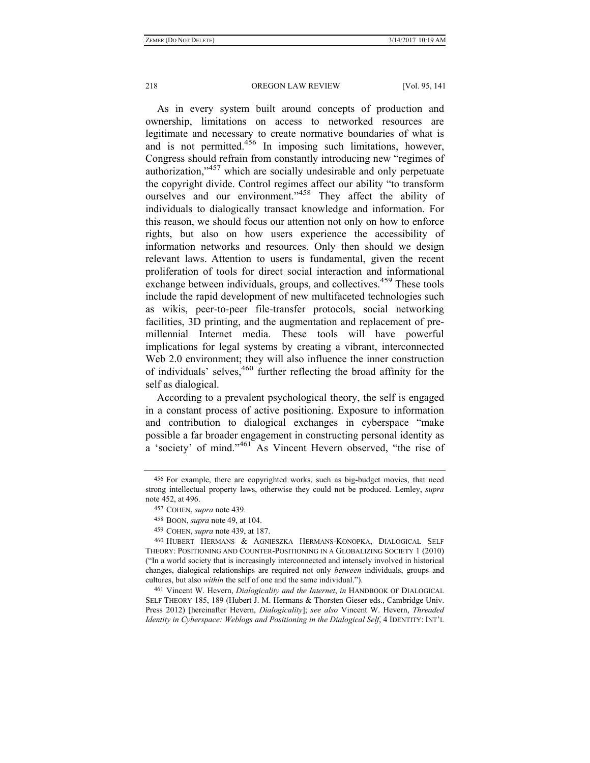As in every system built around concepts of production and ownership, limitations on access to networked resources are legitimate and necessary to create normative boundaries of what is and is not permitted.<sup>456</sup> In imposing such limitations, however, Congress should refrain from constantly introducing new "regimes of authorization,"<sup>457</sup> which are socially undesirable and only perpetuate the copyright divide. Control regimes affect our ability "to transform ourselves and our environment."<sup>458</sup> They affect the ability of individuals to dialogically transact knowledge and information. For this reason, we should focus our attention not only on how to enforce rights, but also on how users experience the accessibility of information networks and resources. Only then should we design relevant laws. Attention to users is fundamental, given the recent proliferation of tools for direct social interaction and informational exchange between individuals, groups, and collectives.<sup>459</sup> These tools include the rapid development of new multifaceted technologies such as wikis, peer-to-peer file-transfer protocols, social networking facilities, 3D printing, and the augmentation and replacement of premillennial Internet media. These tools will have powerful implications for legal systems by creating a vibrant, interconnected Web 2.0 environment; they will also influence the inner construction of individuals' selves, $460$  further reflecting the broad affinity for the self as dialogical.

According to a prevalent psychological theory, the self is engaged in a constant process of active positioning. Exposure to information and contribution to dialogical exchanges in cyberspace "make possible a far broader engagement in constructing personal identity as a 'society' of mind."<sup>461</sup> As Vincent Hevern observed, "the rise of

461 Vincent W. Hevern, *Dialogicality and the Internet*, *in* HANDBOOK OF DIALOGICAL SELF THEORY 185, 189 (Hubert J. M. Hermans & Thorsten Gieser eds., Cambridge Univ. Press 2012) [hereinafter Hevern, *Dialogicality*]; *see also* Vincent W. Hevern, *Threaded Identity in Cyberspace: Weblogs and Positioning in the Dialogical Self*, 4 IDENTITY: INT'L

<sup>456</sup> For example, there are copyrighted works, such as big-budget movies, that need strong intellectual property laws, otherwise they could not be produced. Lemley, *supra* note 452, at 496.

<sup>457</sup> COHEN, *supra* note 439.

<sup>458</sup> BOON, *supra* note 49, at 104.

<sup>459</sup> COHEN, *supra* note 439, at 187.

<sup>460</sup> HUBERT HERMANS & AGNIESZKA HERMANS-KONOPKA, DIALOGICAL SELF THEORY: POSITIONING AND COUNTER-POSITIONING IN A GLOBALIZING SOCIETY 1 (2010) ("In a world society that is increasingly interconnected and intensely involved in historical changes, dialogical relationships are required not only *between* individuals, groups and cultures, but also *within* the self of one and the same individual.").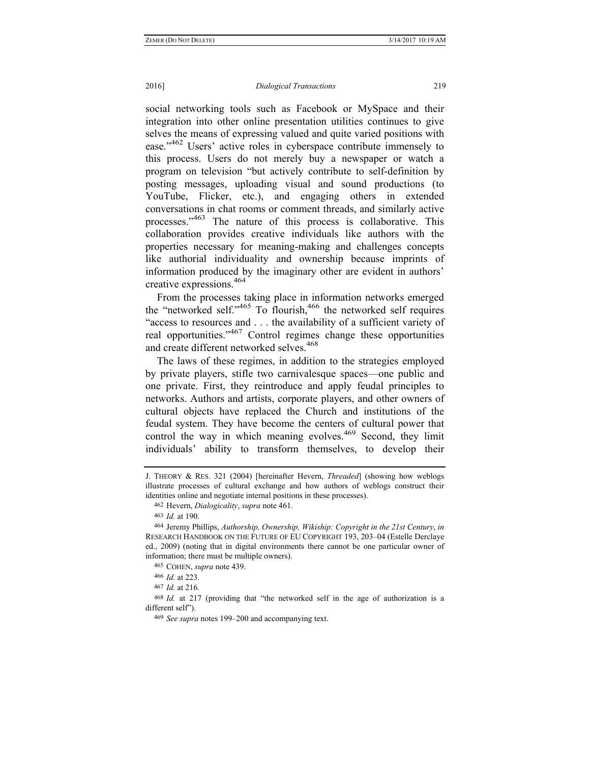social networking tools such as Facebook or MySpace and their integration into other online presentation utilities continues to give selves the means of expressing valued and quite varied positions with ease."<sup>462</sup> Users' active roles in cyberspace contribute immensely to this process. Users do not merely buy a newspaper or watch a program on television "but actively contribute to self-definition by posting messages, uploading visual and sound productions (to YouTube, Flicker, etc.), and engaging others in extended conversations in chat rooms or comment threads, and similarly active processes."463 The nature of this process is collaborative. This collaboration provides creative individuals like authors with the properties necessary for meaning-making and challenges concepts like authorial individuality and ownership because imprints of information produced by the imaginary other are evident in authors' creative expressions.464

From the processes taking place in information networks emerged the "networked self."<sup>465</sup> To flourish,  $466$  the networked self requires "access to resources and . . . the availability of a sufficient variety of real opportunities."467 Control regimes change these opportunities and create different networked selves.<sup>468</sup>

The laws of these regimes, in addition to the strategies employed by private players, stifle two carnivalesque spaces—one public and one private. First, they reintroduce and apply feudal principles to networks. Authors and artists, corporate players, and other owners of cultural objects have replaced the Church and institutions of the feudal system. They have become the centers of cultural power that control the way in which meaning evolves.<sup>469</sup> Second, they limit individuals' ability to transform themselves, to develop their

J. THEORY & RES. 321 (2004) [hereinafter Hevern, *Threaded*] (showing how weblogs illustrate processes of cultural exchange and how authors of weblogs construct their identities online and negotiate internal positions in these processes).

<sup>462</sup> Hevern, *Dialogicality*, *supra* note 461.

<sup>463</sup> *Id.* at 190.

<sup>464</sup> Jeremy Phillips, *Authorship, Ownership, Wikiship: Copyright in the 21st Century*, *in* RESEARCH HANDBOOK ON THE FUTURE OF EU COPYRIGHT 193, 203–04 (Estelle Derclaye ed., 2009) (noting that in digital environments there cannot be one particular owner of information; there must be multiple owners).

<sup>465</sup> COHEN, *supra* note 439.

<sup>466</sup> *Id.* at 223.

<sup>467</sup> *Id.* at 216.

<sup>468</sup> *Id.* at 217 (providing that "the networked self in the age of authorization is a different self").

<sup>469</sup> *See supra* notes 199–200 and accompanying text.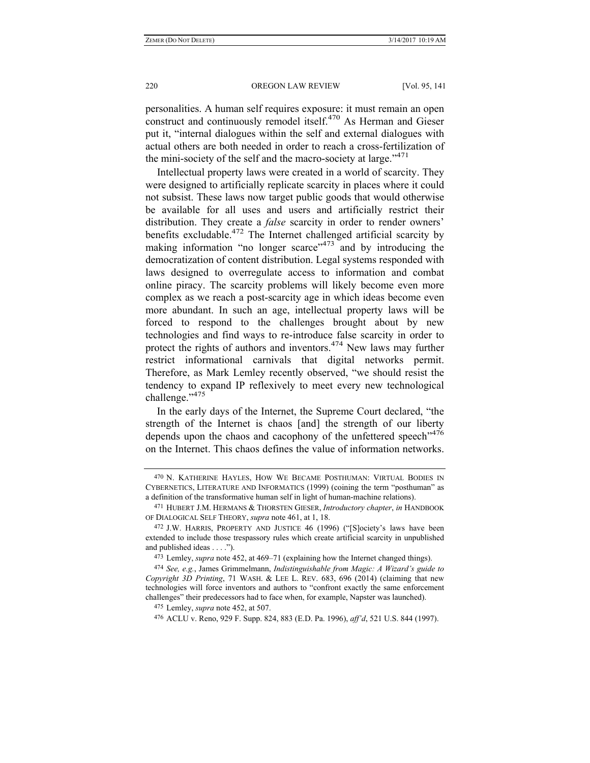personalities. A human self requires exposure: it must remain an open construct and continuously remodel itself.<sup>470</sup> As Herman and Gieser put it, "internal dialogues within the self and external dialogues with actual others are both needed in order to reach a cross-fertilization of the mini-society of the self and the macro-society at large." $471$ 

Intellectual property laws were created in a world of scarcity. They were designed to artificially replicate scarcity in places where it could not subsist. These laws now target public goods that would otherwise be available for all uses and users and artificially restrict their distribution. They create a *false* scarcity in order to render owners' benefits excludable.<sup>472</sup> The Internet challenged artificial scarcity by making information "no longer scarce" $473$  and by introducing the democratization of content distribution. Legal systems responded with laws designed to overregulate access to information and combat online piracy. The scarcity problems will likely become even more complex as we reach a post-scarcity age in which ideas become even more abundant. In such an age, intellectual property laws will be forced to respond to the challenges brought about by new technologies and find ways to re-introduce false scarcity in order to protect the rights of authors and inventors.474 New laws may further restrict informational carnivals that digital networks permit. Therefore, as Mark Lemley recently observed, "we should resist the tendency to expand IP reflexively to meet every new technological challenge."<sup>475</sup>

In the early days of the Internet, the Supreme Court declared, "the strength of the Internet is chaos [and] the strength of our liberty depends upon the chaos and cacophony of the unfettered speech"<sup>476</sup> on the Internet. This chaos defines the value of information networks.

475 Lemley, *supra* note 452, at 507.

<sup>470</sup> N. KATHERINE HAYLES, HOW WE BECAME POSTHUMAN: VIRTUAL BODIES IN CYBERNETICS, LITERATURE AND INFORMATICS (1999) (coining the term "posthuman" as a definition of the transformative human self in light of human-machine relations).

<sup>471</sup> HUBERT J.M. HERMANS & THORSTEN GIESER, *Introductory chapter*, *in* HANDBOOK OF DIALOGICAL SELF THEORY, *supra* note 461, at 1, 18.

<sup>472</sup> J.W. HARRIS, PROPERTY AND JUSTICE 46 (1996) ("[S]ociety's laws have been extended to include those trespassory rules which create artificial scarcity in unpublished and published ideas . . . .").

<sup>473</sup> Lemley, *supra* note 452, at 469–71 (explaining how the Internet changed things).

<sup>474</sup> *See, e.g.*, James Grimmelmann, *Indistinguishable from Magic: A Wizard's guide to Copyright 3D Printing*, 71 WASH. & LEE L. REV. 683, 696 (2014) (claiming that new technologies will force inventors and authors to "confront exactly the same enforcement challenges" their predecessors had to face when, for example, Napster was launched).

<sup>476</sup> ACLU v. Reno, 929 F. Supp. 824, 883 (E.D. Pa. 1996), *aff'd*, 521 U.S. 844 (1997).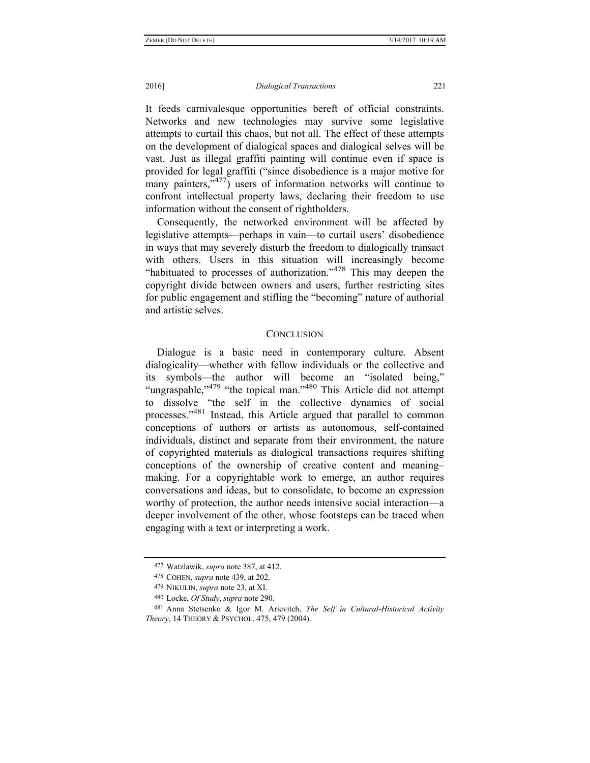It feeds carnivalesque opportunities bereft of official constraints. Networks and new technologies may survive some legislative attempts to curtail this chaos, but not all. The effect of these attempts on the development of dialogical spaces and dialogical selves will be vast. Just as illegal graffiti painting will continue even if space is provided for legal graffiti ("since disobedience is a major motive for many painters, $\sqrt[3]{477}$  users of information networks will continue to confront intellectual property laws, declaring their freedom to use information without the consent of rightholders.

Consequently, the networked environment will be affected by legislative attempts—perhaps in vain—to curtail users' disobedience in ways that may severely disturb the freedom to dialogically transact with others. Users in this situation will increasingly become "habituated to processes of authorization."<sup>478</sup> This may deepen the copyright divide between owners and users, further restricting sites for public engagement and stifling the "becoming" nature of authorial and artistic selves.

## **CONCLUSION**

Dialogue is a basic need in contemporary culture. Absent dialogicality—whether with fellow individuals or the collective and its symbols—the author will become an "isolated being," "ungraspable,"<sup>479</sup> "the topical man."<sup>480</sup> This Article did not attempt to dissolve "the self in the collective dynamics of social processes."481 Instead, this Article argued that parallel to common conceptions of authors or artists as autonomous, self-contained individuals, distinct and separate from their environment, the nature of copyrighted materials as dialogical transactions requires shifting conceptions of the ownership of creative content and meaning– making. For a copyrightable work to emerge, an author requires conversations and ideas, but to consolidate, to become an expression worthy of protection, the author needs intensive social interaction—a deeper involvement of the other, whose footsteps can be traced when engaging with a text or interpreting a work.

<sup>477</sup> Watzlawik, *supra* note 387, at 412.

<sup>478</sup> COHEN, *supra* note 439, at 202.

<sup>479</sup> NIKULIN, *supra* note 23, at XI.

<sup>480</sup> Locke, *Of Study*, *supra* note 290.

<sup>481</sup> Anna Stetsenko & Igor M. Arievitch, *The Self in Cultural-Historical Activity Theory*, 14 THEORY & PSYCHOL. 475, 479 (2004).